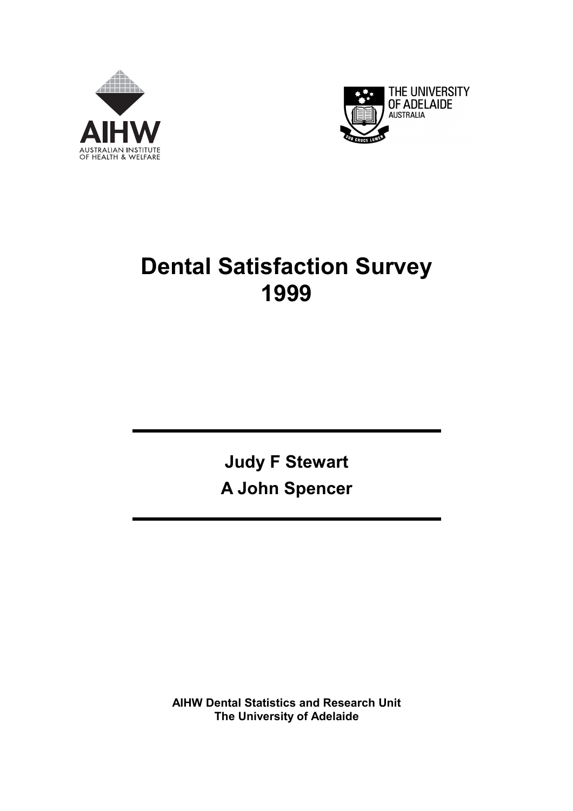



# **Dental Satisfaction Survey 1999**

**Judy F Stewart A John Spencer** 

**AIHW Dental Statistics and Research Unit The University of Adelaide**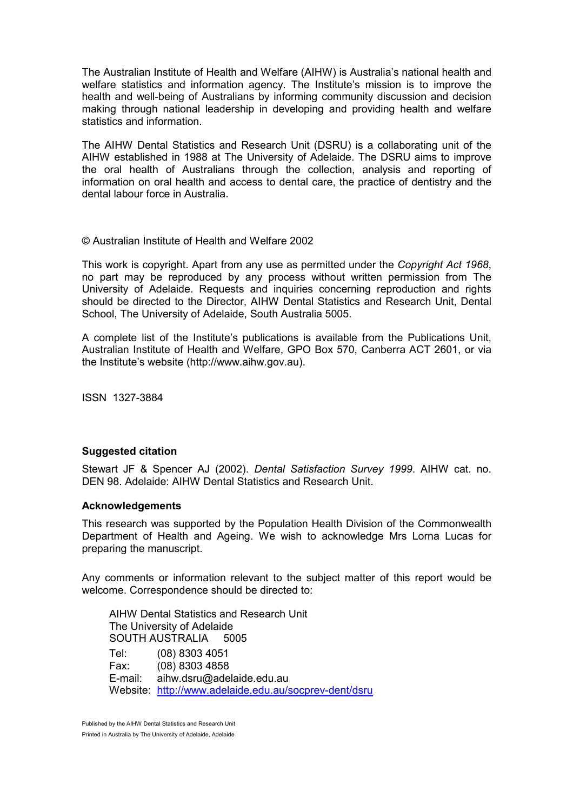The Australian Institute of Health and Welfare (AIHW) is Australia's national health and welfare statistics and information agency. The Institute's mission is to improve the health and well-being of Australians by informing community discussion and decision making through national leadership in developing and providing health and welfare statistics and information.

The AIHW Dental Statistics and Research Unit (DSRU) is a collaborating unit of the AIHW established in 1988 at The University of Adelaide. The DSRU aims to improve the oral health of Australians through the collection, analysis and reporting of information on oral health and access to dental care, the practice of dentistry and the dental labour force in Australia.

#### © Australian Institute of Health and Welfare 2002

This work is copyright. Apart from any use as permitted under the *Copyright Act 1968*, no part may be reproduced by any process without written permission from The University of Adelaide. Requests and inquiries concerning reproduction and rights should be directed to the Director, AIHW Dental Statistics and Research Unit, Dental School, The University of Adelaide, South Australia 5005.

A complete list of the Institute's publications is available from the Publications Unit, Australian Institute of Health and Welfare, GPO Box 570, Canberra ACT 2601, or via the Institute's website (http://www.aihw.gov.au).

ISSN 1327-3884

#### **Suggested citation**

Stewart JF & Spencer AJ (2002). *Dental Satisfaction Survey 1999*. AIHW cat. no. DEN 98. Adelaide: AIHW Dental Statistics and Research Unit.

#### **Acknowledgements**

This research was supported by the Population Health Division of the Commonwealth Department of Health and Ageing. We wish to acknowledge Mrs Lorna Lucas for preparing the manuscript.

Any comments or information relevant to the subject matter of this report would be welcome. Correspondence should be directed to:

AIHW Dental Statistics and Research Unit The University of Adelaide SOUTH AUSTRALIA 5005 Tel: (08) 8303 4051 Fax: (08) 8303 4858 E-mail: aihw.dsru@adelaide.edu.au Website: http://www.adelaide.edu.au/socprev-dent/dsru

Published by the AIHW Dental Statistics and Research Unit Printed in Australia by The University of Adelaide, Adelaide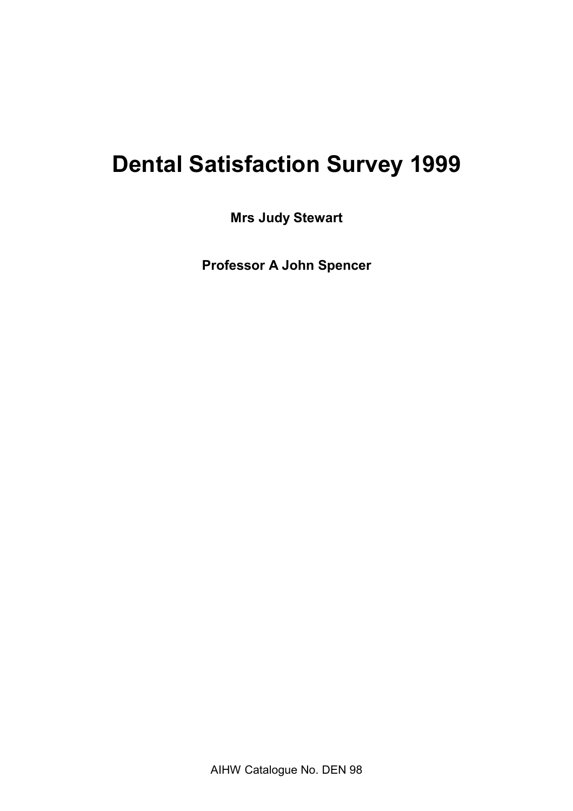# **Dental Satisfaction Survey 1999**

**Mrs Judy Stewart** 

**Professor A John Spencer**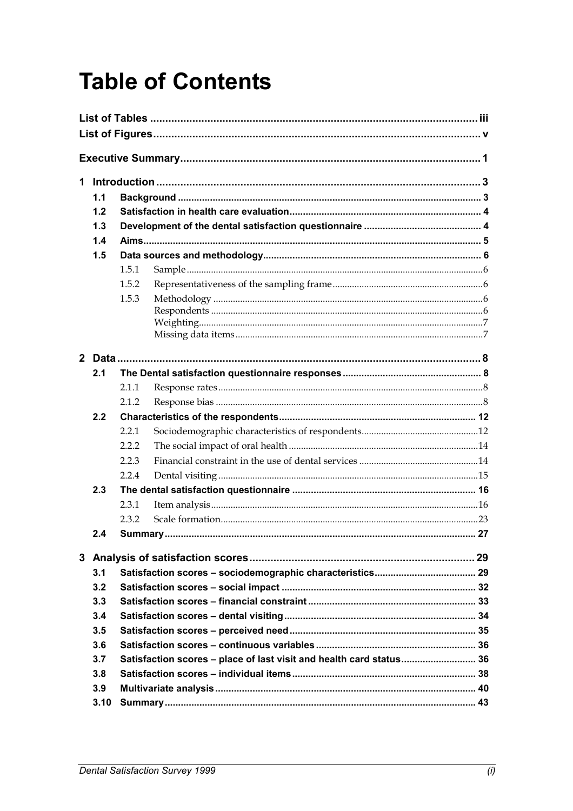# **Table of Contents**

| 1. |      |       |                                                                     |  |  |  |  |
|----|------|-------|---------------------------------------------------------------------|--|--|--|--|
|    | 1.1  |       |                                                                     |  |  |  |  |
|    | 1.2  |       |                                                                     |  |  |  |  |
|    | 1.3  |       |                                                                     |  |  |  |  |
|    | 1.4  |       |                                                                     |  |  |  |  |
|    | 1.5  |       |                                                                     |  |  |  |  |
|    |      | 1.5.1 |                                                                     |  |  |  |  |
|    |      | 1.5.2 |                                                                     |  |  |  |  |
|    |      | 1.5.3 |                                                                     |  |  |  |  |
|    |      |       |                                                                     |  |  |  |  |
|    |      |       |                                                                     |  |  |  |  |
|    |      |       |                                                                     |  |  |  |  |
|    |      |       |                                                                     |  |  |  |  |
|    | 2.1  |       |                                                                     |  |  |  |  |
|    |      | 2.1.1 |                                                                     |  |  |  |  |
|    |      | 2.1.2 |                                                                     |  |  |  |  |
|    | 2.2  |       |                                                                     |  |  |  |  |
|    |      | 2.2.1 |                                                                     |  |  |  |  |
|    |      | 2.2.2 |                                                                     |  |  |  |  |
|    |      | 2.2.3 |                                                                     |  |  |  |  |
|    |      | 2.2.4 |                                                                     |  |  |  |  |
|    | 2.3  |       |                                                                     |  |  |  |  |
|    |      | 2.3.1 |                                                                     |  |  |  |  |
|    |      | 2.3.2 |                                                                     |  |  |  |  |
|    | 2.4  |       |                                                                     |  |  |  |  |
|    |      |       |                                                                     |  |  |  |  |
|    | 3.1  |       |                                                                     |  |  |  |  |
|    | 3.2  |       |                                                                     |  |  |  |  |
|    | 3.3  |       |                                                                     |  |  |  |  |
|    | 3.4  |       |                                                                     |  |  |  |  |
|    | 3.5  |       |                                                                     |  |  |  |  |
|    | 3.6  |       |                                                                     |  |  |  |  |
|    | 3.7  |       | Satisfaction scores - place of last visit and health card status 36 |  |  |  |  |
|    | 3.8  |       |                                                                     |  |  |  |  |
|    | 3.9  |       |                                                                     |  |  |  |  |
|    | 3.10 |       |                                                                     |  |  |  |  |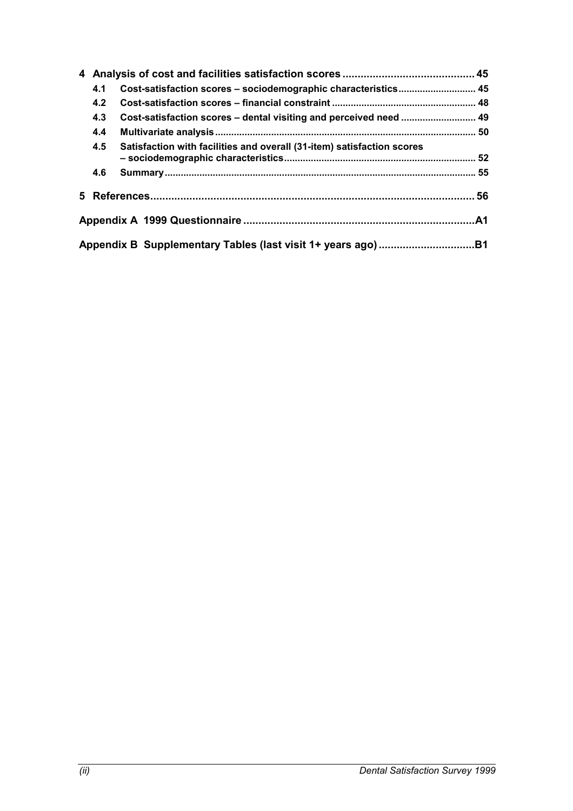|  | 4.1 | Cost-satisfaction scores - sociodemographic characteristics 45         |  |  |  |  |
|--|-----|------------------------------------------------------------------------|--|--|--|--|
|  | 4.2 |                                                                        |  |  |  |  |
|  | 4.3 | Cost-satisfaction scores - dental visiting and perceived need  49      |  |  |  |  |
|  | 4.4 |                                                                        |  |  |  |  |
|  | 4.5 | Satisfaction with facilities and overall (31-item) satisfaction scores |  |  |  |  |
|  | 4.6 |                                                                        |  |  |  |  |
|  |     |                                                                        |  |  |  |  |
|  |     |                                                                        |  |  |  |  |
|  |     |                                                                        |  |  |  |  |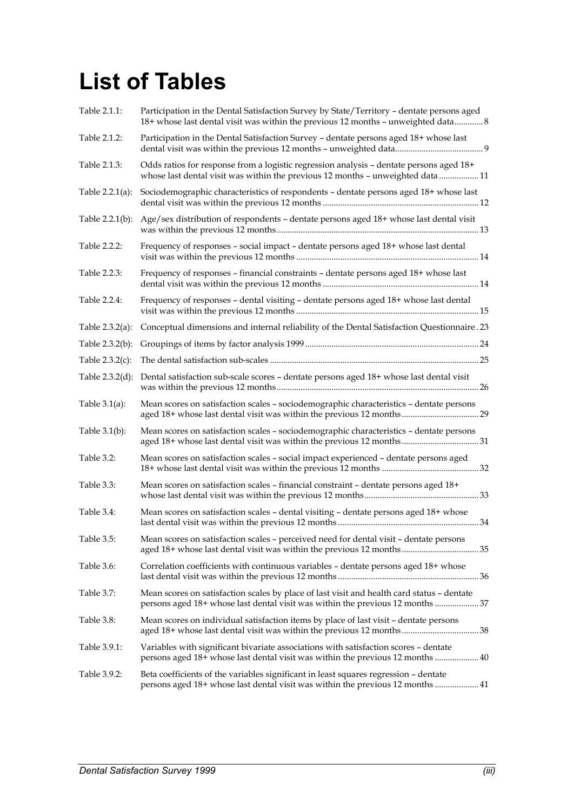# **List of Tables**

| Table 2.1.1:       | Participation in the Dental Satisfaction Survey by State/Territory - dentate persons aged<br>18+ whose last dental visit was within the previous 12 months - unweighted data 8 |
|--------------------|--------------------------------------------------------------------------------------------------------------------------------------------------------------------------------|
| Table 2.1.2:       | Participation in the Dental Satisfaction Survey - dentate persons aged 18+ whose last                                                                                          |
| Table 2.1.3:       | Odds ratios for response from a logistic regression analysis - dentate persons aged 18+<br>whose last dental visit was within the previous 12 months - unweighted data 11      |
| Table 2.2.1(a):    | Sociodemographic characteristics of respondents - dentate persons aged 18+ whose last                                                                                          |
| Table $2.2.1(b)$ : | Age/sex distribution of respondents - dentate persons aged 18+ whose last dental visit                                                                                         |
| Table 2.2.2:       | Frequency of responses - social impact - dentate persons aged 18+ whose last dental                                                                                            |
| Table 2.2.3:       | Frequency of responses - financial constraints - dentate persons aged 18+ whose last                                                                                           |
| Table 2.2.4:       | Frequency of responses - dental visiting - dentate persons aged 18+ whose last dental                                                                                          |
| Table $2.3.2(a)$ : | Conceptual dimensions and internal reliability of the Dental Satisfaction Questionnaire .23                                                                                    |
| Table 2.3.2(b):    |                                                                                                                                                                                |
| Table $2.3.2(c)$ : |                                                                                                                                                                                |
| Table $2.3.2(d)$ : | Dental satisfaction sub-scale scores - dentate persons aged 18+ whose last dental visit                                                                                        |
| Table $3.1(a)$ :   | Mean scores on satisfaction scales - sociodemographic characteristics - dentate persons<br>aged 18+ whose last dental visit was within the previous 12 months 29               |
| Table $3.1(b)$ :   | Mean scores on satisfaction scales - sociodemographic characteristics - dentate persons                                                                                        |
| Table 3.2:         | Mean scores on satisfaction scales - social impact experienced - dentate persons aged                                                                                          |
| Table 3.3:         | Mean scores on satisfaction scales - financial constraint - dentate persons aged 18+                                                                                           |
| Table 3.4:         | Mean scores on satisfaction scales - dental visiting - dentate persons aged 18+ whose                                                                                          |
| Table 3.5:         | Mean scores on satisfaction scales - perceived need for dental visit - dentate persons                                                                                         |
| Table 3.6:         | Correlation coefficients with continuous variables - dentate persons aged 18+ whose                                                                                            |
| Table 3.7:         | Mean scores on satisfaction scales by place of last visit and health card status - dentate<br>persons aged 18+ whose last dental visit was within the previous 12 months 37    |
| Table 3.8:         | Mean scores on individual satisfaction items by place of last visit – dentate persons<br>aged 18+ whose last dental visit was within the previous 12 months38                  |
| Table 3.9.1:       | Variables with significant bivariate associations with satisfaction scores - dentate<br>persons aged 18+ whose last dental visit was within the previous 12 months  40         |
| Table 3.9.2:       | Beta coefficients of the variables significant in least squares regression - dentate<br>persons aged 18+ whose last dental visit was within the previous 12 months  41         |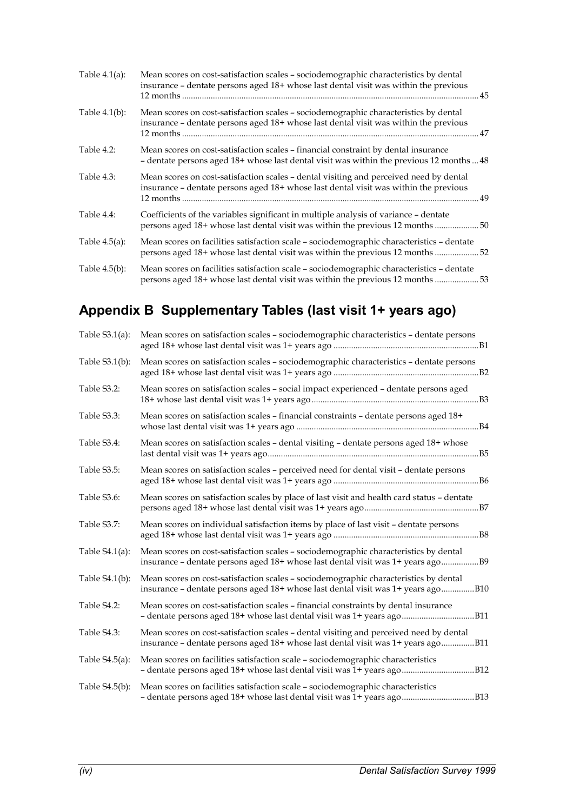| Table $4.1(a)$ : | Mean scores on cost-satisfaction scales - sociodemographic characteristics by dental<br>insurance - dentate persons aged 18+ whose last dental visit was within the previous   |
|------------------|--------------------------------------------------------------------------------------------------------------------------------------------------------------------------------|
| Table $4.1(b)$ : | Mean scores on cost-satisfaction scales - sociodemographic characteristics by dental<br>insurance - dentate persons aged 18+ whose last dental visit was within the previous   |
| Table $4.2$ :    | Mean scores on cost-satisfaction scales – financial constraint by dental insurance<br>- dentate persons aged 18+ whose last dental visit was within the previous 12 months  48 |
| Table 4.3:       | Mean scores on cost-satisfaction scales – dental visiting and perceived need by dental<br>insurance - dentate persons aged 18+ whose last dental visit was within the previous |
| Table 4.4:       | Coefficients of the variables significant in multiple analysis of variance - dentate<br>persons aged 18+ whose last dental visit was within the previous 12 months 50          |
| Table $4.5(a)$ : | Mean scores on facilities satisfaction scale - sociodemographic characteristics - dentate<br>persons aged 18+ whose last dental visit was within the previous 12 months 52     |
| Table $4.5(b)$ : | Mean scores on facilities satisfaction scale - sociodemographic characteristics - dentate<br>persons aged 18+ whose last dental visit was within the previous 12 months 53     |

# **Appendix B Supplementary Tables (last visit 1+ years ago)**

| Table $S3.1(a)$ : | Mean scores on satisfaction scales - sociodemographic characteristics - dentate persons                                                                                    |  |
|-------------------|----------------------------------------------------------------------------------------------------------------------------------------------------------------------------|--|
| Table $S3.1(b)$ : | Mean scores on satisfaction scales - sociodemographic characteristics - dentate persons                                                                                    |  |
| Table S3.2:       | Mean scores on satisfaction scales - social impact experienced - dentate persons aged                                                                                      |  |
| Table S3.3:       | Mean scores on satisfaction scales - financial constraints - dentate persons aged 18+                                                                                      |  |
| Table S3.4:       | Mean scores on satisfaction scales - dental visiting - dentate persons aged 18+ whose                                                                                      |  |
| Table S3.5:       | Mean scores on satisfaction scales - perceived need for dental visit - dentate persons                                                                                     |  |
| Table S3.6:       | Mean scores on satisfaction scales by place of last visit and health card status - dentate                                                                                 |  |
| Table S3.7:       | Mean scores on individual satisfaction items by place of last visit - dentate persons                                                                                      |  |
| Table $S4.1(a)$ : | Mean scores on cost-satisfaction scales - sociodemographic characteristics by dental<br>insurance – dentate persons aged 18+ whose last dental visit was 1+ years ago      |  |
| Table $S4.1(b)$ : | Mean scores on cost-satisfaction scales - sociodemographic characteristics by dental<br>insurance - dentate persons aged 18+ whose last dental visit was 1+ years agoB10   |  |
| Table S4.2:       | Mean scores on cost-satisfaction scales - financial constraints by dental insurance                                                                                        |  |
| Table S4.3:       | Mean scores on cost-satisfaction scales - dental visiting and perceived need by dental<br>insurance - dentate persons aged 18+ whose last dental visit was 1+ years agoB11 |  |
| Table $S4.5(a)$ : | Mean scores on facilities satisfaction scale - sociodemographic characteristics                                                                                            |  |
| Table S4.5(b):    | Mean scores on facilities satisfaction scale - sociodemographic characteristics                                                                                            |  |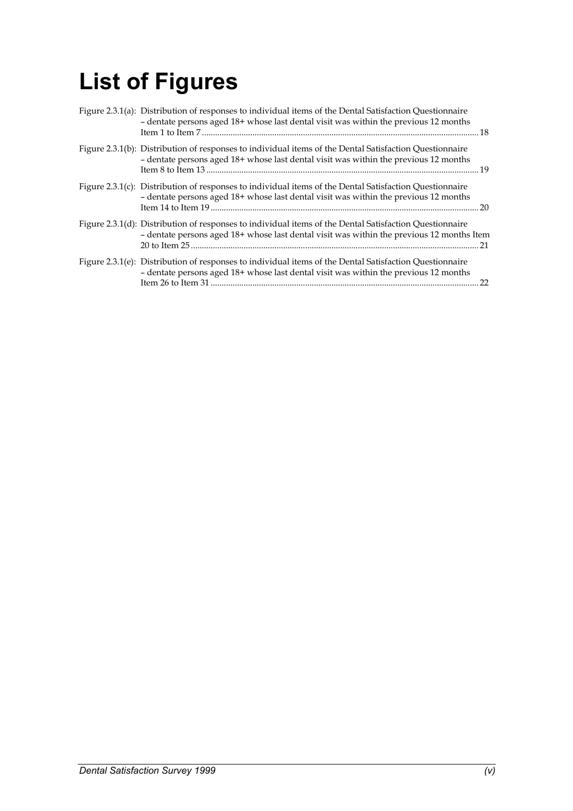# **List of Figures**

| Figure 2.3.1(a): Distribution of responses to individual items of the Dental Satisfaction Questionnaire<br>- dentate persons aged 18+ whose last dental visit was within the previous 12 months      |    |
|------------------------------------------------------------------------------------------------------------------------------------------------------------------------------------------------------|----|
| Figure 2.3.1(b): Distribution of responses to individual items of the Dental Satisfaction Questionnaire<br>- dentate persons aged 18+ whose last dental visit was within the previous 12 months      |    |
| Figure 2.3.1(c): Distribution of responses to individual items of the Dental Satisfaction Questionnaire<br>- dentate persons aged 18+ whose last dental visit was within the previous 12 months      |    |
| Figure 2.3.1(d): Distribution of responses to individual items of the Dental Satisfaction Questionnaire<br>- dentate persons aged 18+ whose last dental visit was within the previous 12 months Item |    |
| Figure 2.3.1(e): Distribution of responses to individual items of the Dental Satisfaction Questionnaire<br>- dentate persons aged 18+ whose last dental visit was within the previous 12 months      | 22 |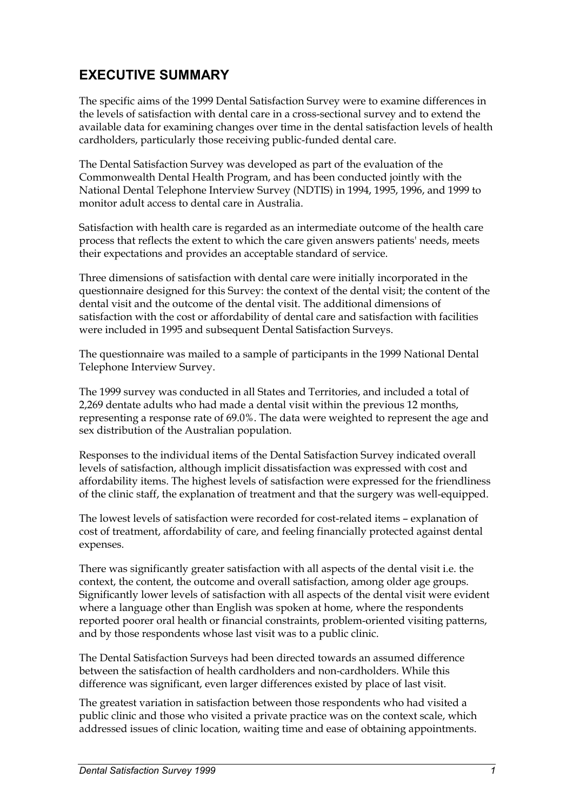# **EXECUTIVE SUMMARY**

The specific aims of the 1999 Dental Satisfaction Survey were to examine differences in the levels of satisfaction with dental care in a cross-sectional survey and to extend the available data for examining changes over time in the dental satisfaction levels of health cardholders, particularly those receiving public-funded dental care.

The Dental Satisfaction Survey was developed as part of the evaluation of the Commonwealth Dental Health Program, and has been conducted jointly with the National Dental Telephone Interview Survey (NDTIS) in 1994, 1995, 1996, and 1999 to monitor adult access to dental care in Australia.

Satisfaction with health care is regarded as an intermediate outcome of the health care process that reflects the extent to which the care given answers patients' needs, meets their expectations and provides an acceptable standard of service.

Three dimensions of satisfaction with dental care were initially incorporated in the questionnaire designed for this Survey: the context of the dental visit; the content of the dental visit and the outcome of the dental visit. The additional dimensions of satisfaction with the cost or affordability of dental care and satisfaction with facilities were included in 1995 and subsequent Dental Satisfaction Surveys.

The questionnaire was mailed to a sample of participants in the 1999 National Dental Telephone Interview Survey.

The 1999 survey was conducted in all States and Territories, and included a total of 2,269 dentate adults who had made a dental visit within the previous 12 months, representing a response rate of 69.0%. The data were weighted to represent the age and sex distribution of the Australian population.

Responses to the individual items of the Dental Satisfaction Survey indicated overall levels of satisfaction, although implicit dissatisfaction was expressed with cost and affordability items. The highest levels of satisfaction were expressed for the friendliness of the clinic staff, the explanation of treatment and that the surgery was well-equipped.

The lowest levels of satisfaction were recorded for cost-related items – explanation of cost of treatment, affordability of care, and feeling financially protected against dental expenses.

There was significantly greater satisfaction with all aspects of the dental visit i.e. the context, the content, the outcome and overall satisfaction, among older age groups. Significantly lower levels of satisfaction with all aspects of the dental visit were evident where a language other than English was spoken at home, where the respondents reported poorer oral health or financial constraints, problem-oriented visiting patterns, and by those respondents whose last visit was to a public clinic.

The Dental Satisfaction Surveys had been directed towards an assumed difference between the satisfaction of health cardholders and non-cardholders. While this difference was significant, even larger differences existed by place of last visit.

The greatest variation in satisfaction between those respondents who had visited a public clinic and those who visited a private practice was on the context scale, which addressed issues of clinic location, waiting time and ease of obtaining appointments.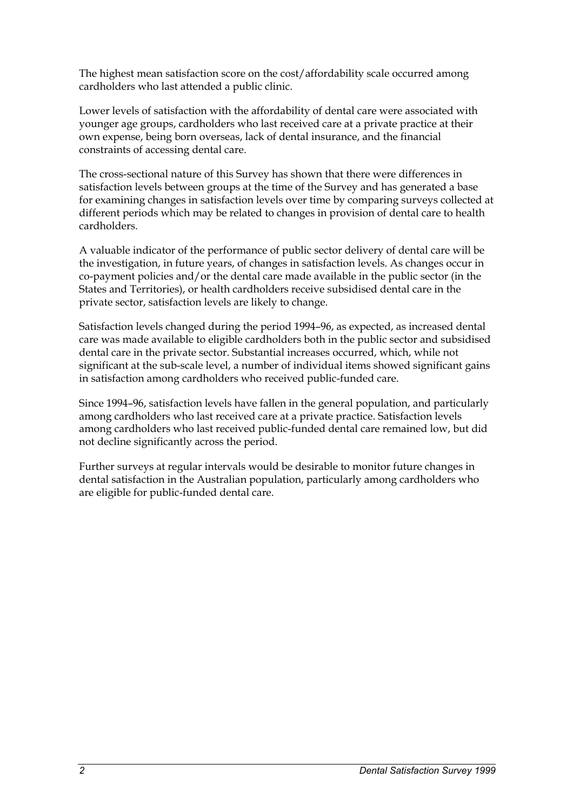The highest mean satisfaction score on the cost/affordability scale occurred among cardholders who last attended a public clinic.

Lower levels of satisfaction with the affordability of dental care were associated with younger age groups, cardholders who last received care at a private practice at their own expense, being born overseas, lack of dental insurance, and the financial constraints of accessing dental care.

The cross-sectional nature of this Survey has shown that there were differences in satisfaction levels between groups at the time of the Survey and has generated a base for examining changes in satisfaction levels over time by comparing surveys collected at different periods which may be related to changes in provision of dental care to health cardholders.

A valuable indicator of the performance of public sector delivery of dental care will be the investigation, in future years, of changes in satisfaction levels. As changes occur in co-payment policies and/or the dental care made available in the public sector (in the States and Territories), or health cardholders receive subsidised dental care in the private sector, satisfaction levels are likely to change.

Satisfaction levels changed during the period 1994–96, as expected, as increased dental care was made available to eligible cardholders both in the public sector and subsidised dental care in the private sector. Substantial increases occurred, which, while not significant at the sub-scale level, a number of individual items showed significant gains in satisfaction among cardholders who received public-funded care.

Since 1994–96, satisfaction levels have fallen in the general population, and particularly among cardholders who last received care at a private practice. Satisfaction levels among cardholders who last received public-funded dental care remained low, but did not decline significantly across the period.

Further surveys at regular intervals would be desirable to monitor future changes in dental satisfaction in the Australian population, particularly among cardholders who are eligible for public-funded dental care.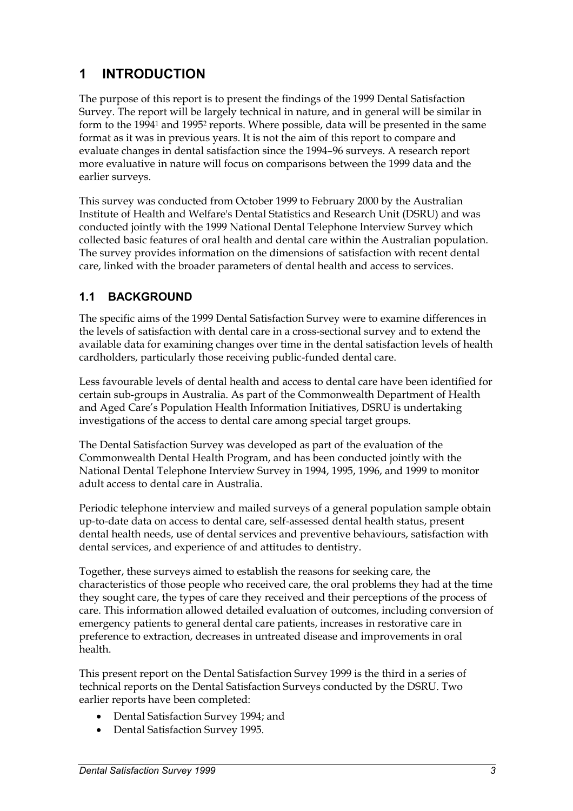# **1 INTRODUCTION**

The purpose of this report is to present the findings of the 1999 Dental Satisfaction Survey. The report will be largely technical in nature, and in general will be similar in form to the 19941 and 19952 reports. Where possible, data will be presented in the same format as it was in previous years. It is not the aim of this report to compare and evaluate changes in dental satisfaction since the 1994–96 surveys. A research report more evaluative in nature will focus on comparisons between the 1999 data and the earlier surveys.

This survey was conducted from October 1999 to February 2000 by the Australian Institute of Health and Welfare's Dental Statistics and Research Unit (DSRU) and was conducted jointly with the 1999 National Dental Telephone Interview Survey which collected basic features of oral health and dental care within the Australian population. The survey provides information on the dimensions of satisfaction with recent dental care, linked with the broader parameters of dental health and access to services.

# **1.1 BACKGROUND**

The specific aims of the 1999 Dental Satisfaction Survey were to examine differences in the levels of satisfaction with dental care in a cross-sectional survey and to extend the available data for examining changes over time in the dental satisfaction levels of health cardholders, particularly those receiving public-funded dental care.

Less favourable levels of dental health and access to dental care have been identified for certain sub-groups in Australia. As part of the Commonwealth Department of Health and Aged Care's Population Health Information Initiatives, DSRU is undertaking investigations of the access to dental care among special target groups.

The Dental Satisfaction Survey was developed as part of the evaluation of the Commonwealth Dental Health Program, and has been conducted jointly with the National Dental Telephone Interview Survey in 1994, 1995, 1996, and 1999 to monitor adult access to dental care in Australia.

Periodic telephone interview and mailed surveys of a general population sample obtain up-to-date data on access to dental care, self-assessed dental health status, present dental health needs, use of dental services and preventive behaviours, satisfaction with dental services, and experience of and attitudes to dentistry.

Together, these surveys aimed to establish the reasons for seeking care, the characteristics of those people who received care, the oral problems they had at the time they sought care, the types of care they received and their perceptions of the process of care. This information allowed detailed evaluation of outcomes, including conversion of emergency patients to general dental care patients, increases in restorative care in preference to extraction, decreases in untreated disease and improvements in oral health.

This present report on the Dental Satisfaction Survey 1999 is the third in a series of technical reports on the Dental Satisfaction Surveys conducted by the DSRU. Two earlier reports have been completed:

- -Dental Satisfaction Survey 1994; and
- $\bullet$ Dental Satisfaction Survey 1995.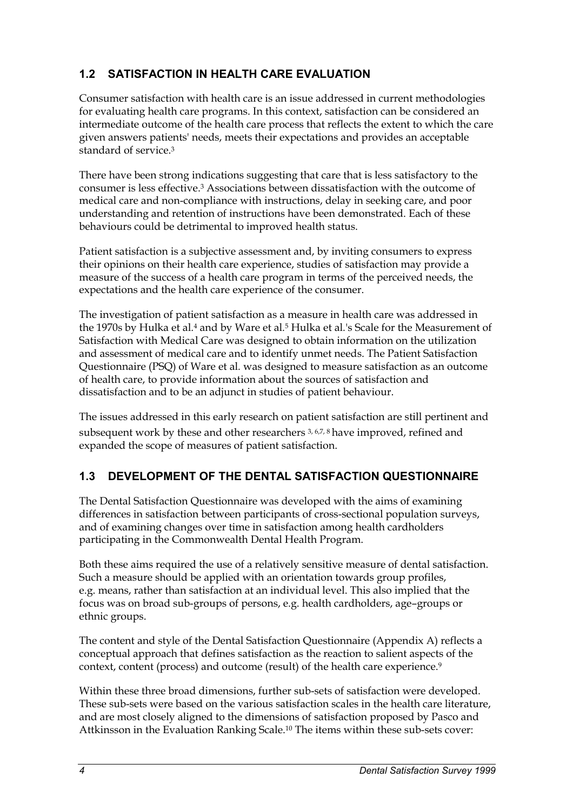# **1.2 SATISFACTION IN HEALTH CARE EVALUATION**

Consumer satisfaction with health care is an issue addressed in current methodologies for evaluating health care programs. In this context, satisfaction can be considered an intermediate outcome of the health care process that reflects the extent to which the care given answers patients' needs, meets their expectations and provides an acceptable standard of service.3

There have been strong indications suggesting that care that is less satisfactory to the consumer is less effective.3 Associations between dissatisfaction with the outcome of medical care and non-compliance with instructions, delay in seeking care, and poor understanding and retention of instructions have been demonstrated. Each of these behaviours could be detrimental to improved health status.

Patient satisfaction is a subjective assessment and, by inviting consumers to express their opinions on their health care experience, studies of satisfaction may provide a measure of the success of a health care program in terms of the perceived needs, the expectations and the health care experience of the consumer.

The investigation of patient satisfaction as a measure in health care was addressed in the 1970s by Hulka et al*.*4 and by Ware et al*.*5 Hulka et al*.*'s Scale for the Measurement of Satisfaction with Medical Care was designed to obtain information on the utilization and assessment of medical care and to identify unmet needs. The Patient Satisfaction Questionnaire (PSQ) of Ware et al*.* was designed to measure satisfaction as an outcome of health care, to provide information about the sources of satisfaction and dissatisfaction and to be an adjunct in studies of patient behaviour.

The issues addressed in this early research on patient satisfaction are still pertinent and subsequent work by these and other researchers 3, 6,7, 8 have improved, refined and expanded the scope of measures of patient satisfaction.

# **1.3 DEVELOPMENT OF THE DENTAL SATISFACTION QUESTIONNAIRE**

The Dental Satisfaction Questionnaire was developed with the aims of examining differences in satisfaction between participants of cross-sectional population surveys, and of examining changes over time in satisfaction among health cardholders participating in the Commonwealth Dental Health Program.

Both these aims required the use of a relatively sensitive measure of dental satisfaction. Such a measure should be applied with an orientation towards group profiles, e.g. means, rather than satisfaction at an individual level. This also implied that the focus was on broad sub-groups of persons, e.g. health cardholders, age–groups or ethnic groups.

The content and style of the Dental Satisfaction Questionnaire (Appendix A) reflects a conceptual approach that defines satisfaction as the reaction to salient aspects of the context, content (process) and outcome (result) of the health care experience.<sup>9</sup>

Within these three broad dimensions, further sub-sets of satisfaction were developed. These sub-sets were based on the various satisfaction scales in the health care literature, and are most closely aligned to the dimensions of satisfaction proposed by Pasco and Attkinsson in the Evaluation Ranking Scale.10 The items within these sub-sets cover: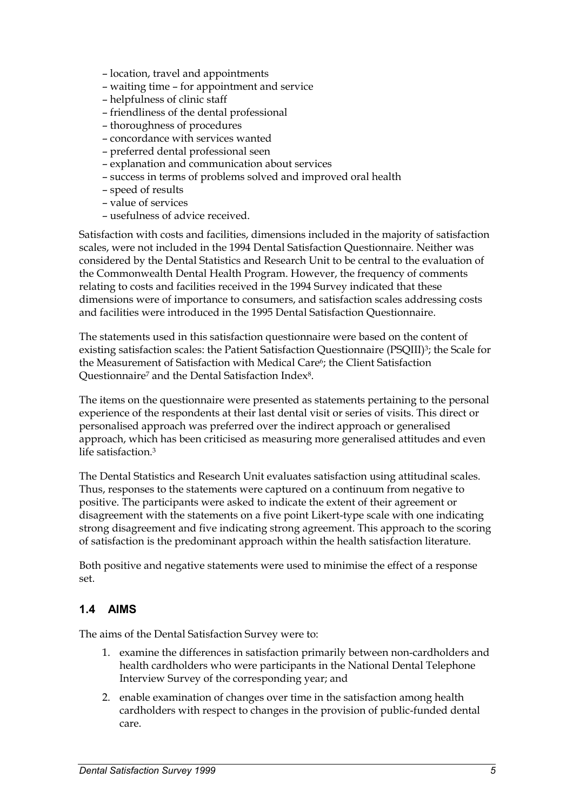- location, travel and appointments
- waiting time for appointment and service
- helpfulness of clinic staff
- friendliness of the dental professional
- thoroughness of procedures
- concordance with services wanted
- preferred dental professional seen
- explanation and communication about services
- success in terms of problems solved and improved oral health
- speed of results
- value of services
- usefulness of advice received.

Satisfaction with costs and facilities, dimensions included in the majority of satisfaction scales, were not included in the 1994 Dental Satisfaction Questionnaire. Neither was considered by the Dental Statistics and Research Unit to be central to the evaluation of the Commonwealth Dental Health Program. However, the frequency of comments relating to costs and facilities received in the 1994 Survey indicated that these dimensions were of importance to consumers, and satisfaction scales addressing costs and facilities were introduced in the 1995 Dental Satisfaction Questionnaire.

The statements used in this satisfaction questionnaire were based on the content of existing satisfaction scales: the Patient Satisfaction Questionnaire (PSQIII)<sup>3</sup>; the Scale for the Measurement of Satisfaction with Medical Care6; the Client Satisfaction Questionnaire<sup>7</sup> and the Dental Satisfaction Index<sup>8</sup>.

The items on the questionnaire were presented as statements pertaining to the personal experience of the respondents at their last dental visit or series of visits. This direct or personalised approach was preferred over the indirect approach or generalised approach, which has been criticised as measuring more generalised attitudes and even life satisfaction.3

The Dental Statistics and Research Unit evaluates satisfaction using attitudinal scales. Thus, responses to the statements were captured on a continuum from negative to positive. The participants were asked to indicate the extent of their agreement or disagreement with the statements on a five point Likert-type scale with one indicating strong disagreement and five indicating strong agreement. This approach to the scoring of satisfaction is the predominant approach within the health satisfaction literature.

Both positive and negative statements were used to minimise the effect of a response set.

#### **1.4 AIMS**

The aims of the Dental Satisfaction Survey were to:

- 1. examine the differences in satisfaction primarily between non-cardholders and health cardholders who were participants in the National Dental Telephone Interview Survey of the corresponding year; and
- 2. enable examination of changes over time in the satisfaction among health cardholders with respect to changes in the provision of public-funded dental care.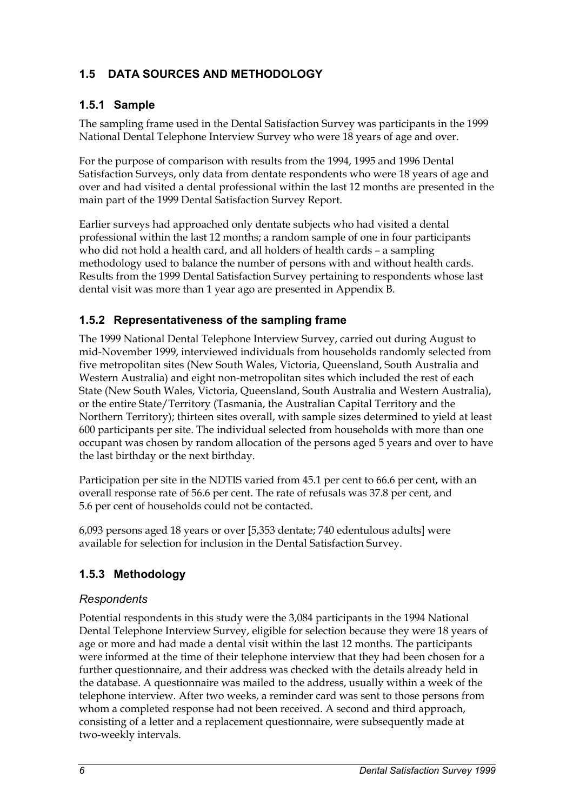# **1.5 DATA SOURCES AND METHODOLOGY**

# **1.5.1 Sample**

The sampling frame used in the Dental Satisfaction Survey was participants in the 1999 National Dental Telephone Interview Survey who were 18 years of age and over.

For the purpose of comparison with results from the 1994, 1995 and 1996 Dental Satisfaction Surveys, only data from dentate respondents who were 18 years of age and over and had visited a dental professional within the last 12 months are presented in the main part of the 1999 Dental Satisfaction Survey Report.

Earlier surveys had approached only dentate subjects who had visited a dental professional within the last 12 months; a random sample of one in four participants who did not hold a health card, and all holders of health cards – a sampling methodology used to balance the number of persons with and without health cards. Results from the 1999 Dental Satisfaction Survey pertaining to respondents whose last dental visit was more than 1 year ago are presented in Appendix B.

# **1.5.2 Representativeness of the sampling frame**

The 1999 National Dental Telephone Interview Survey, carried out during August to mid-November 1999, interviewed individuals from households randomly selected from five metropolitan sites (New South Wales, Victoria, Queensland, South Australia and Western Australia) and eight non-metropolitan sites which included the rest of each State (New South Wales, Victoria, Queensland, South Australia and Western Australia), or the entire State/Territory (Tasmania, the Australian Capital Territory and the Northern Territory); thirteen sites overall, with sample sizes determined to yield at least 600 participants per site. The individual selected from households with more than one occupant was chosen by random allocation of the persons aged 5 years and over to have the last birthday or the next birthday.

Participation per site in the NDTIS varied from 45.1 per cent to 66.6 per cent, with an overall response rate of 56.6 per cent. The rate of refusals was 37.8 per cent, and 5.6 per cent of households could not be contacted.

6,093 persons aged 18 years or over [5,353 dentate; 740 edentulous adults] were available for selection for inclusion in the Dental Satisfaction Survey.

# **1.5.3 Methodology**

#### *Respondents*

Potential respondents in this study were the 3,084 participants in the 1994 National Dental Telephone Interview Survey, eligible for selection because they were 18 years of age or more and had made a dental visit within the last 12 months. The participants were informed at the time of their telephone interview that they had been chosen for a further questionnaire, and their address was checked with the details already held in the database. A questionnaire was mailed to the address, usually within a week of the telephone interview. After two weeks, a reminder card was sent to those persons from whom a completed response had not been received. A second and third approach, consisting of a letter and a replacement questionnaire, were subsequently made at two-weekly intervals.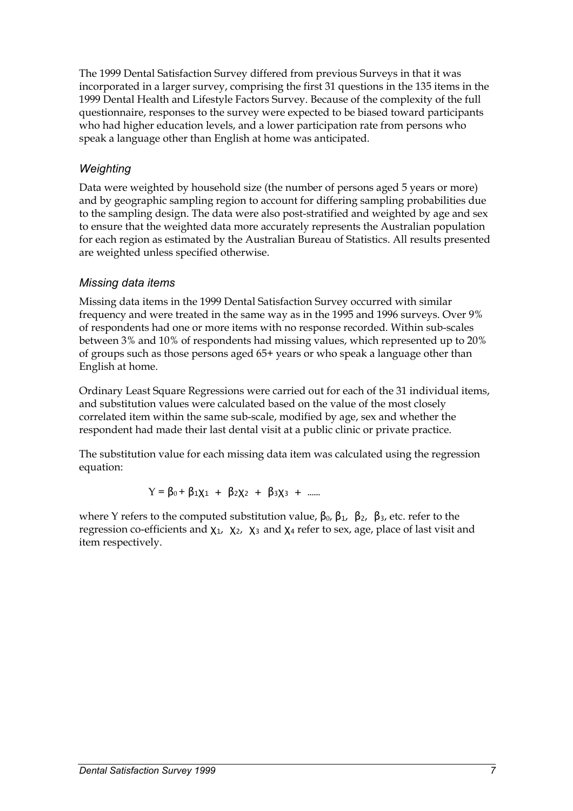The 1999 Dental Satisfaction Survey differed from previous Surveys in that it was incorporated in a larger survey, comprising the first 31 questions in the 135 items in the 1999 Dental Health and Lifestyle Factors Survey. Because of the complexity of the full questionnaire, responses to the survey were expected to be biased toward participants who had higher education levels, and a lower participation rate from persons who speak a language other than English at home was anticipated.

# *Weighting*

Data were weighted by household size (the number of persons aged 5 years or more) and by geographic sampling region to account for differing sampling probabilities due to the sampling design. The data were also post-stratified and weighted by age and sex to ensure that the weighted data more accurately represents the Australian population for each region as estimated by the Australian Bureau of Statistics. All results presented are weighted unless specified otherwise.

#### *Missing data items*

Missing data items in the 1999 Dental Satisfaction Survey occurred with similar frequency and were treated in the same way as in the 1995 and 1996 surveys. Over 9% of respondents had one or more items with no response recorded. Within sub-scales between 3% and 10% of respondents had missing values, which represented up to 20% of groups such as those persons aged 65+ years or who speak a language other than English at home.

Ordinary Least Square Regressions were carried out for each of the 31 individual items, and substitution values were calculated based on the value of the most closely correlated item within the same sub-scale, modified by age, sex and whether the respondent had made their last dental visit at a public clinic or private practice.

The substitution value for each missing data item was calculated using the regression equation:

 $Y = \beta_0 + \beta_1 X_1 + \beta_2 X_2 + \beta_3 X_3 + \dots$ 

where Y refers to the computed substitution value,  $β_0$ ,  $β_1$ ,  $β_2$ ,  $β_3$ , etc. refer to the regression co-efficients and  $\chi_1$ ,  $\chi_2$ ,  $\chi_3$  and  $\chi_4$  refer to sex, age, place of last visit and item respectively.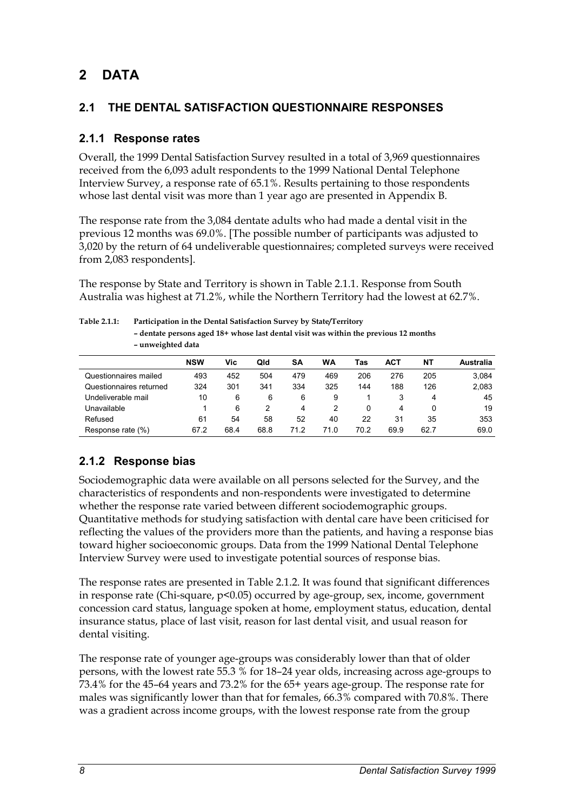# **2 DATA**

# **2.1 THE DENTAL SATISFACTION QUESTIONNAIRE RESPONSES**

### **2.1.1 Response rates**

Overall, the 1999 Dental Satisfaction Survey resulted in a total of 3,969 questionnaires received from the 6,093 adult respondents to the 1999 National Dental Telephone Interview Survey, a response rate of 65.1%. Results pertaining to those respondents whose last dental visit was more than 1 year ago are presented in Appendix B.

The response rate from the 3,084 dentate adults who had made a dental visit in the previous 12 months was 69.0%. [The possible number of participants was adjusted to 3,020 by the return of 64 undeliverable questionnaires; completed surveys were received from 2,083 respondents].

The response by State and Territory is shown in Table 2.1.1. Response from South Australia was highest at 71.2%, while the Northern Territory had the lowest at 62.7%.

| $1401C$ $11$            | I allicipation in the Denial Sausiaction Survey by State/Territory<br>- dentate persons aged 18+ whose last dental visit was within the previous 12 months<br>- unweighted data |            |      |      |      |      |      |            |      |                  |
|-------------------------|---------------------------------------------------------------------------------------------------------------------------------------------------------------------------------|------------|------|------|------|------|------|------------|------|------------------|
|                         |                                                                                                                                                                                 | <b>NSW</b> | Vic  | Qld  | SΑ   | WA   | Tas  | <b>ACT</b> | NΤ   | <b>Australia</b> |
| Questionnaires mailed   |                                                                                                                                                                                 | 493        | 452  | 504  | 479  | 469  | 206  | 276        | 205  | 3,084            |
| Questionnaires returned |                                                                                                                                                                                 | 324        | 301  | 341  | 334  | 325  | 144  | 188        | 126  | 2,083            |
| Undeliverable mail      |                                                                                                                                                                                 | 10         | 6    | 6    | 6    | 9    |      | 3          | 4    | 45               |
| Unavailable             |                                                                                                                                                                                 |            | 6    | 2    | 4    | 2    | 0    | 4          | 0    | 19               |
| Refused                 |                                                                                                                                                                                 | 61         | 54   | 58   | 52   | 40   | 22   | 31         | 35   | 353              |
| Response rate (%)       |                                                                                                                                                                                 | 67.2       | 68.4 | 68.8 | 71.2 | 71.0 | 70.2 | 69.9       | 62.7 | 69.0             |

# **Table 2.1.1: Participation in the Dental Satisfaction Survey by State/Territory**

# **2.1.2 Response bias**

Sociodemographic data were available on all persons selected for the Survey, and the characteristics of respondents and non-respondents were investigated to determine whether the response rate varied between different sociodemographic groups. Quantitative methods for studying satisfaction with dental care have been criticised for reflecting the values of the providers more than the patients, and having a response bias toward higher socioeconomic groups. Data from the 1999 National Dental Telephone Interview Survey were used to investigate potential sources of response bias.

The response rates are presented in Table 2.1.2. It was found that significant differences in response rate (Chi-square, p<0.05) occurred by age-group, sex, income, government concession card status, language spoken at home, employment status, education, dental insurance status, place of last visit, reason for last dental visit, and usual reason for dental visiting.

The response rate of younger age-groups was considerably lower than that of older persons, with the lowest rate 55.3 % for 18–24 year olds, increasing across age-groups to 73.4% for the 45–64 years and 73.2% for the 65+ years age-group. The response rate for males was significantly lower than that for females, 66.3% compared with 70.8%. There was a gradient across income groups, with the lowest response rate from the group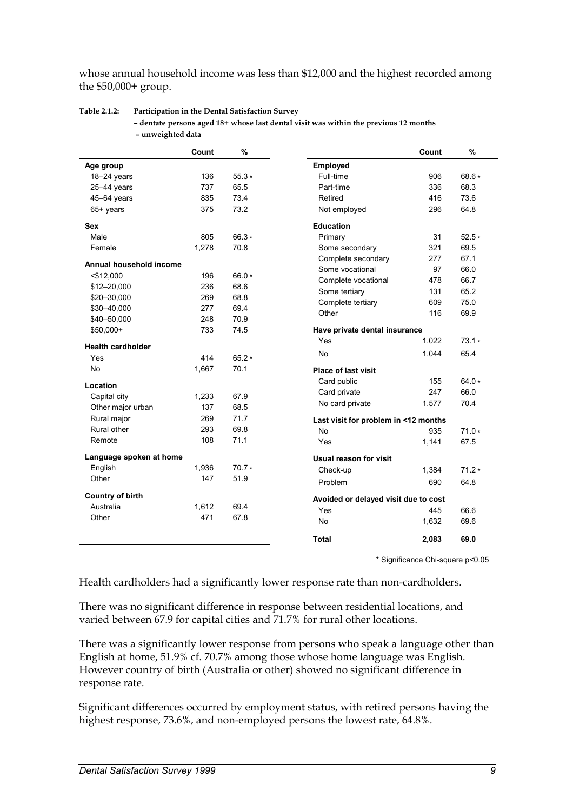whose annual household income was less than \$12,000 and the highest recorded among the \$50,000+ group.

|                          | Count | %            |                                      | Count | $\%$    |
|--------------------------|-------|--------------|--------------------------------------|-------|---------|
| Age group                |       |              | Employed                             |       |         |
| $18-24$ years            | 136   | $55.3*$      | Full-time                            | 906   | 68.6 *  |
| 25-44 years              | 737   | 65.5         | Part-time                            | 336   | 68.3    |
| 45-64 years              | 835   | 73.4         | Retired                              | 416   | 73.6    |
| 65+ years                | 375   | 73.2         | Not employed                         | 296   | 64.8    |
| <b>Sex</b>               |       |              | <b>Education</b>                     |       |         |
| Male                     | 805   | $66.3*$      | Primary                              | 31    | $52.5*$ |
| Female                   | 1,278 | 70.8         | Some secondary                       | 321   | 69.5    |
| Annual household income  |       |              | Complete secondary                   | 277   | 67.1    |
|                          | 196   | $66.0*$      | Some vocational                      | 97    | 66.0    |
| $<$ \$12,000             |       | 68.6         | Complete vocational                  | 478   | 66.7    |
| \$12-20,000              | 236   |              | Some tertiary                        | 131   | 65.2    |
| \$20-30,000              | 269   | 68.8<br>69.4 | Complete tertiary                    | 609   | 75.0    |
| \$30-40,000              | 277   |              | Other                                | 116   | 69.9    |
| \$40-50,000              | 248   | 70.9         |                                      |       |         |
| \$50,000+                | 733   | 74.5         | Have private dental insurance        |       |         |
| <b>Health cardholder</b> |       |              | Yes                                  | 1,022 | $73.1*$ |
| Yes                      | 414   | $65.2*$      | <b>No</b>                            | 1,044 | 65.4    |
| <b>No</b>                | 1,667 | 70.1         | <b>Place of last visit</b>           |       |         |
| Location                 |       |              | Card public                          | 155   | $64.0*$ |
| Capital city             | 1,233 | 67.9         | Card private                         | 247   | 66.0    |
| Other major urban        | 137   | 68.5         | No card private                      | 1,577 | 70.4    |
| Rural major              | 269   | 71.7         |                                      |       |         |
| Rural other              | 293   | 69.8         | Last visit for problem in <12 months |       |         |
| Remote                   | 108   | 71.1         | <b>No</b>                            | 935   | $71.0*$ |
|                          |       |              | Yes                                  | 1,141 | 67.5    |
| Language spoken at home  |       |              | <b>Usual reason for visit</b>        |       |         |
| English                  | 1,936 | $70.7*$      | Check-up                             | 1,384 | $71.2*$ |
| Other                    | 147   | 51.9         | Problem                              | 690   | 64.8    |
| <b>Country of birth</b>  |       |              | Avoided or delayed visit due to cost |       |         |
| Australia                | 1,612 | 69.4         | Yes                                  | 445   | 66.6    |
| Other                    | 471   | 67.8         | <b>No</b>                            | 1,632 | 69.6    |
|                          |       |              | <b>Total</b>                         | 2,083 | 69.0    |

#### **Table 2.1.2: Participation in the Dental Satisfaction Survey**

**– dentate persons aged 18+ whose last dental visit was within the previous 12 months – unweighted data** 

\* Significance Chi-square p<0.05

Health cardholders had a significantly lower response rate than non-cardholders.

There was no significant difference in response between residential locations, and varied between 67.9 for capital cities and 71.7% for rural other locations.

There was a significantly lower response from persons who speak a language other than English at home, 51.9% cf. 70.7% among those whose home language was English. However country of birth (Australia or other) showed no significant difference in response rate.

Significant differences occurred by employment status, with retired persons having the highest response, 73.6%, and non-employed persons the lowest rate, 64.8%.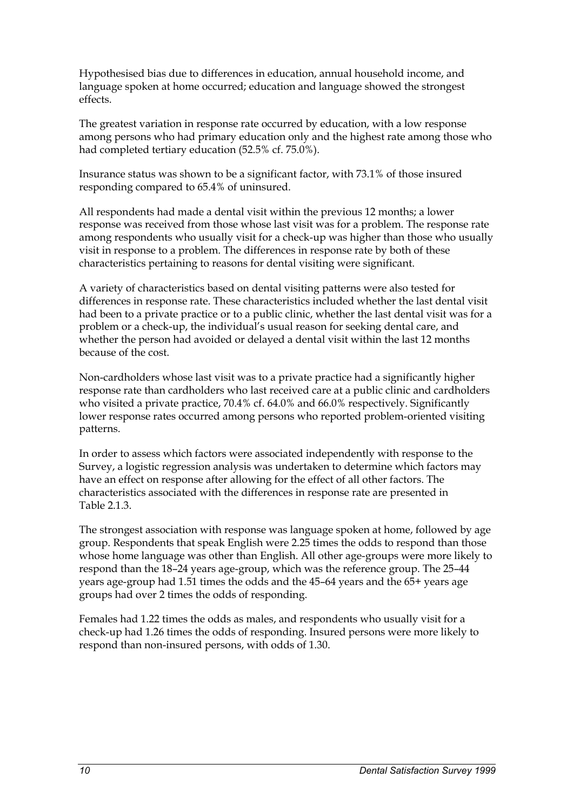Hypothesised bias due to differences in education, annual household income, and language spoken at home occurred; education and language showed the strongest effects.

The greatest variation in response rate occurred by education, with a low response among persons who had primary education only and the highest rate among those who had completed tertiary education (52.5% cf. 75.0%).

Insurance status was shown to be a significant factor, with 73.1% of those insured responding compared to 65.4% of uninsured.

All respondents had made a dental visit within the previous 12 months; a lower response was received from those whose last visit was for a problem. The response rate among respondents who usually visit for a check-up was higher than those who usually visit in response to a problem. The differences in response rate by both of these characteristics pertaining to reasons for dental visiting were significant.

A variety of characteristics based on dental visiting patterns were also tested for differences in response rate. These characteristics included whether the last dental visit had been to a private practice or to a public clinic, whether the last dental visit was for a problem or a check-up, the individual's usual reason for seeking dental care, and whether the person had avoided or delayed a dental visit within the last 12 months because of the cost.

Non-cardholders whose last visit was to a private practice had a significantly higher response rate than cardholders who last received care at a public clinic and cardholders who visited a private practice, 70.4% cf. 64.0% and 66.0% respectively. Significantly lower response rates occurred among persons who reported problem-oriented visiting patterns.

In order to assess which factors were associated independently with response to the Survey, a logistic regression analysis was undertaken to determine which factors may have an effect on response after allowing for the effect of all other factors. The characteristics associated with the differences in response rate are presented in Table 2.1.3.

The strongest association with response was language spoken at home, followed by age group. Respondents that speak English were 2.25 times the odds to respond than those whose home language was other than English. All other age-groups were more likely to respond than the 18–24 years age-group, which was the reference group. The 25–44 years age-group had 1.51 times the odds and the 45–64 years and the 65+ years age groups had over 2 times the odds of responding.

Females had 1.22 times the odds as males, and respondents who usually visit for a check-up had 1.26 times the odds of responding. Insured persons were more likely to respond than non-insured persons, with odds of 1.30.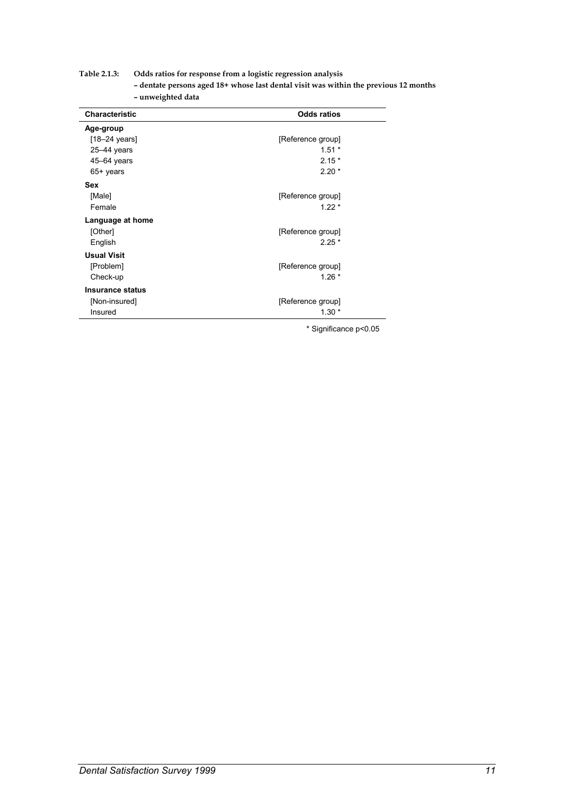#### **Table 2.1.3: Odds ratios for response from a logistic regression analysis**

**– dentate persons aged 18+ whose last dental visit was within the previous 12 months – unweighted data** 

| <b>Characteristic</b>   | <b>Odds ratios</b> |
|-------------------------|--------------------|
| Age-group               |                    |
| $[18-24 \text{ years}]$ | [Reference group]  |
| $25 - 44$ years         | $1.51*$            |
| $45 - 64$ years         | $2.15*$            |
| 65+ years               | $2.20*$            |
| <b>Sex</b>              |                    |
| [Male]                  | [Reference group]  |
| Female                  | $1.22*$            |
| Language at home        |                    |
| [Other]                 | [Reference group]  |
| English                 | $2.25*$            |
| <b>Usual Visit</b>      |                    |
| [Problem]               | [Reference group]  |
| Check-up                | $1.26*$            |
| Insurance status        |                    |
| [Non-insured]           | [Reference group]  |
| Insured                 | $1.30*$            |

\* Significance p<0.05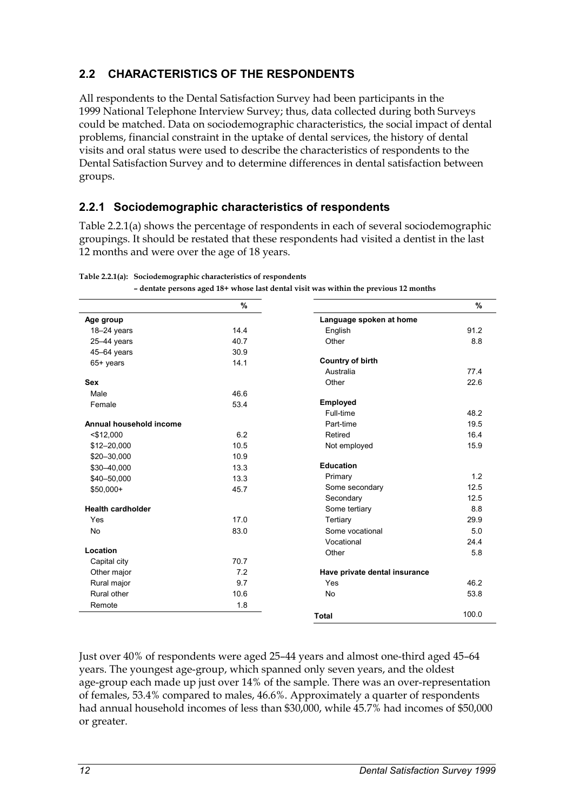# **2.2 CHARACTERISTICS OF THE RESPONDENTS**

All respondents to the Dental Satisfaction Survey had been participants in the 1999 National Telephone Interview Survey; thus, data collected during both Surveys could be matched. Data on sociodemographic characteristics, the social impact of dental problems, financial constraint in the uptake of dental services, the history of dental visits and oral status were used to describe the characteristics of respondents to the Dental Satisfaction Survey and to determine differences in dental satisfaction between groups.

# **2.2.1 Sociodemographic characteristics of respondents**

Table 2.2.1(a) shows the percentage of respondents in each of several sociodemographic groupings. It should be restated that these respondents had visited a dentist in the last 12 months and were over the age of 18 years.

|                          | $\%$         |                               | %     |
|--------------------------|--------------|-------------------------------|-------|
| Age group                |              | Language spoken at home       |       |
| 18-24 years              | 14.4         | English                       | 91.2  |
| $25 - 44$ years          | 40.7         | Other                         | 8.8   |
|                          |              |                               |       |
| 45-64 years              | 30.9<br>14.1 | <b>Country of birth</b>       |       |
| 65+ years                |              | Australia                     | 77.4  |
| <b>Sex</b>               |              | Other                         | 22.6  |
| Male                     | 46.6         |                               |       |
| Female                   | 53.4         | Employed                      |       |
|                          |              | Full-time                     | 48.2  |
| Annual household income  |              | Part-time                     | 19.5  |
| $<$ \$12,000             | 6.2          | Retired                       | 16.4  |
| \$12-20,000              | 10.5         | Not employed                  | 15.9  |
| \$20-30,000              | 10.9         |                               |       |
| \$30-40,000              | 13.3         | <b>Education</b>              |       |
| \$40-50,000              | 13.3         | Primary                       | 1.2   |
| \$50,000+                | 45.7         | Some secondary                | 12.5  |
|                          |              | Secondary                     | 12.5  |
| <b>Health cardholder</b> |              | Some tertiary                 | 8.8   |
| Yes                      | 17.0         | Tertiary                      | 29.9  |
| <b>No</b>                | 83.0         | Some vocational               | 5.0   |
|                          |              | Vocational                    | 24.4  |
| Location                 |              | Other                         | 5.8   |
| Capital city             | 70.7         |                               |       |
| Other major              | 7.2          | Have private dental insurance |       |
| Rural major              | 9.7          | Yes                           | 46.2  |
| Rural other              | 10.6         | <b>No</b>                     | 53.8  |
| Remote                   | 1.8          |                               |       |
|                          |              | <b>Total</b>                  | 100.0 |

**Table 2.2.1(a): Sociodemographic characteristics of respondents** 

**– dentate persons aged 18+ whose last dental visit was within the previous 12 months** 

Just over 40% of respondents were aged 25–44 years and almost one-third aged 45–64 years. The youngest age-group, which spanned only seven years, and the oldest age-group each made up just over 14% of the sample. There was an over-representation of females, 53.4% compared to males, 46.6%. Approximately a quarter of respondents had annual household incomes of less than \$30,000, while 45.7% had incomes of \$50,000 or greater.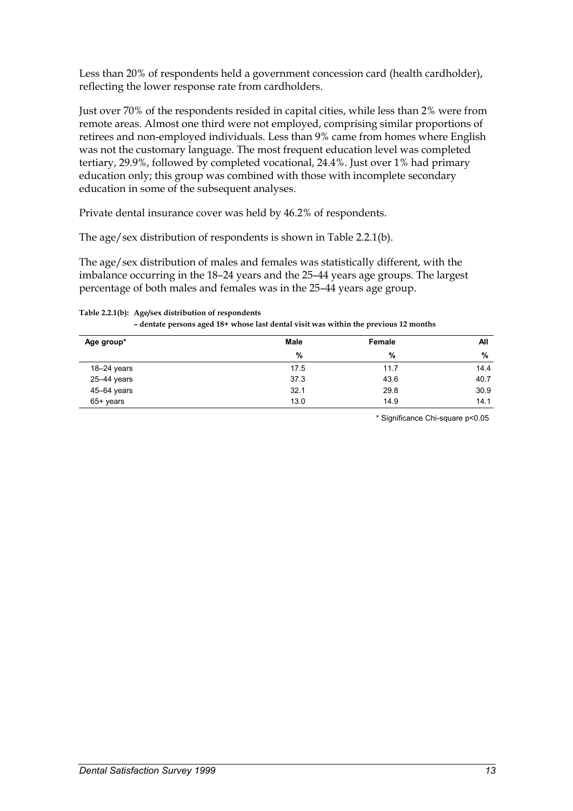Less than 20% of respondents held a government concession card (health cardholder), reflecting the lower response rate from cardholders.

Just over 70% of the respondents resided in capital cities, while less than 2% were from remote areas. Almost one third were not employed, comprising similar proportions of retirees and non-employed individuals. Less than 9% came from homes where English was not the customary language. The most frequent education level was completed tertiary, 29.9%, followed by completed vocational, 24.4%. Just over 1% had primary education only; this group was combined with those with incomplete secondary education in some of the subsequent analyses.

Private dental insurance cover was held by 46.2% of respondents.

The age/sex distribution of respondents is shown in Table 2.2.1(b).

The age/sex distribution of males and females was statistically different, with the imbalance occurring in the 18–24 years and the 25–44 years age groups. The largest percentage of both males and females was in the 25–44 years age group.

**Table 2.2.1(b): Age/sex distribution of respondents** 

| - dentate persons aged 18+ whose last dental visit was within the previous 12 months |  |
|--------------------------------------------------------------------------------------|--|
|--------------------------------------------------------------------------------------|--|

| Age group*      | Male | Female | All  |
|-----------------|------|--------|------|
|                 | %    | %      | %    |
| $18 - 24$ years | 17.5 | 11.7   | 14.4 |
| 25-44 years     | 37.3 | 43.6   | 40.7 |
| 45-64 years     | 32.1 | 29.8   | 30.9 |
| 65+ years       | 13.0 | 14.9   | 14.1 |

\* Significance Chi-square p<0.05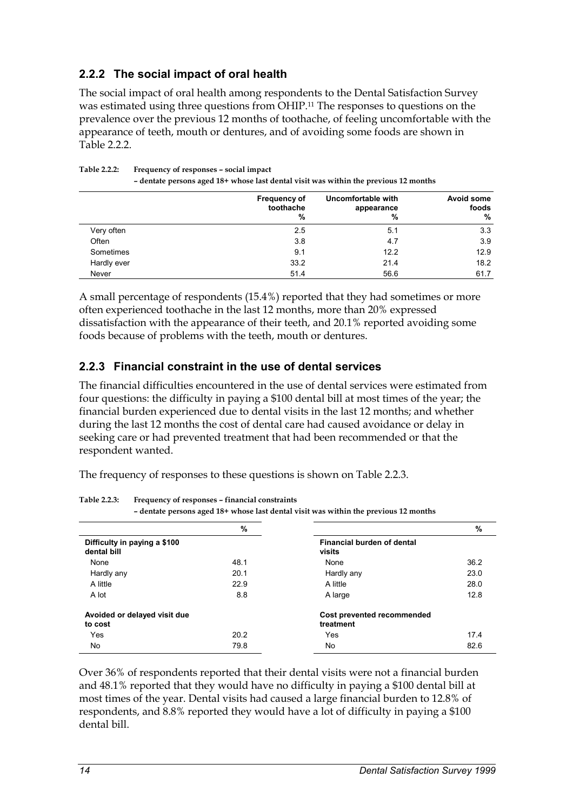# **2.2.2 The social impact of oral health**

The social impact of oral health among respondents to the Dental Satisfaction Survey was estimated using three questions from OHIP.11 The responses to questions on the prevalence over the previous 12 months of toothache, of feeling uncomfortable with the appearance of teeth, mouth or dentures, and of avoiding some foods are shown in Table  $2.2.2$ 

|             | <b>Frequency of</b><br>toothache<br>% | Uncomfortable with<br>appearance<br>% | Avoid some<br>foods<br>$\frac{9}{6}$ |
|-------------|---------------------------------------|---------------------------------------|--------------------------------------|
| Very often  | 2.5                                   | 5.1                                   | 3.3                                  |
| Often       | 3.8                                   | 4.7                                   | 3.9                                  |
| Sometimes   | 9.1                                   | 12.2                                  | 12.9                                 |
| Hardly ever | 33.2                                  | 21.4                                  | 18.2                                 |
| Never       | 51.4                                  | 56.6                                  | 61.7                                 |

**Table 2.2.2: Frequency of responses – social impact – dentate persons aged 18+ whose last dental visit was within the previous 12 months** 

A small percentage of respondents (15.4%) reported that they had sometimes or more often experienced toothache in the last 12 months, more than 20% expressed dissatisfaction with the appearance of their teeth, and 20.1% reported avoiding some foods because of problems with the teeth, mouth or dentures.

### **2.2.3 Financial constraint in the use of dental services**

The financial difficulties encountered in the use of dental services were estimated from four questions: the difficulty in paying a \$100 dental bill at most times of the year; the financial burden experienced due to dental visits in the last 12 months; and whether during the last 12 months the cost of dental care had caused avoidance or delay in seeking care or had prevented treatment that had been recommended or that the respondent wanted.

The frequency of responses to these questions is shown on Table 2.2.3.

**Table 2.2.3: Frequency of responses – financial constraints – dentate persons aged 18+ whose last dental visit was within the previous 12 months** 

|                                             | %    |                                         | %    |
|---------------------------------------------|------|-----------------------------------------|------|
| Difficulty in paying a \$100<br>dental bill |      | Financial burden of dental<br>visits    |      |
| None                                        | 48.1 | None                                    | 36.2 |
| Hardly any                                  | 20.1 | Hardly any                              | 23.0 |
| A little                                    | 22.9 | A little                                | 28.0 |
| A lot                                       | 8.8  | A large                                 | 12.8 |
| Avoided or delayed visit due<br>to cost     |      | Cost prevented recommended<br>treatment |      |
| Yes                                         | 20.2 | Yes                                     | 17.4 |
| No                                          | 79.8 | No                                      | 82.6 |

Over 36% of respondents reported that their dental visits were not a financial burden and 48.1% reported that they would have no difficulty in paying a \$100 dental bill at most times of the year. Dental visits had caused a large financial burden to 12.8% of respondents, and 8.8% reported they would have a lot of difficulty in paying a \$100 dental bill.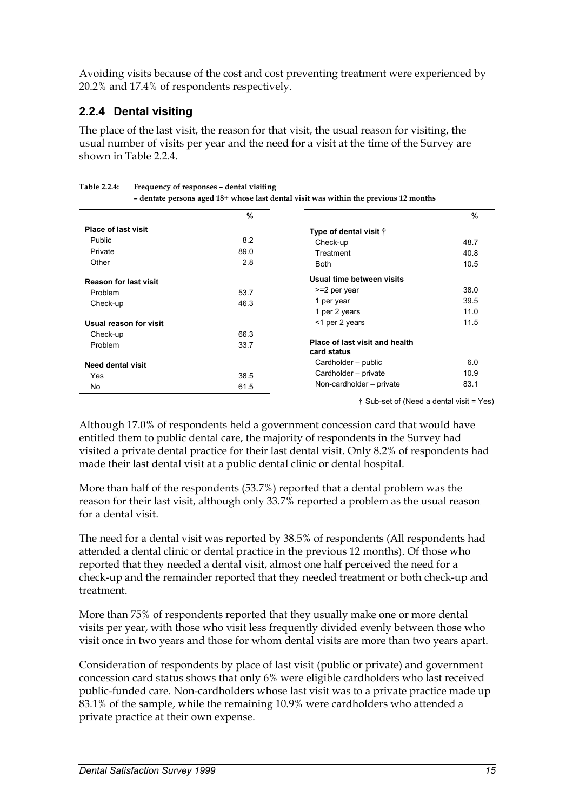Avoiding visits because of the cost and cost preventing treatment were experienced by 20.2% and 17.4% of respondents respectively.

# **2.2.4 Dental visiting**

The place of the last visit, the reason for that visit, the usual reason for visiting, the usual number of visits per year and the need for a visit at the time of the Survey are shown in Table 2.2.4.

|                              | $\%$ |                                               | %    |
|------------------------------|------|-----------------------------------------------|------|
| <b>Place of last visit</b>   |      | Type of dental visit $\dagger$                |      |
| <b>Public</b>                | 8.2  | Check-up                                      | 48.7 |
| Private                      | 89.0 | Treatment                                     | 40.8 |
| Other                        | 2.8  | <b>Both</b>                                   | 10.5 |
| <b>Reason for last visit</b> |      | Usual time between visits                     |      |
| Problem                      | 53.7 | >=2 per year                                  | 38.0 |
| Check-up                     | 46.3 | 1 per year                                    | 39.5 |
|                              |      | 1 per 2 years                                 | 11.0 |
| Usual reason for visit       |      | <1 per 2 years                                | 11.5 |
| Check-up                     | 66.3 |                                               |      |
| Problem                      | 33.7 | Place of last visit and health<br>card status |      |
| <b>Need dental visit</b>     |      | Cardholder - public                           | 6.0  |
| Yes                          | 38.5 | Cardholder - private                          | 10.9 |
| No.                          | 61.5 | Non-cardholder - private                      | 83.1 |

**Table 2.2.4: Frequency of responses – dental visiting** 

† Sub-set of (Need a dental visit = Yes)

Although 17.0% of respondents held a government concession card that would have entitled them to public dental care, the majority of respondents in the Survey had visited a private dental practice for their last dental visit. Only 8.2% of respondents had made their last dental visit at a public dental clinic or dental hospital.

More than half of the respondents (53.7%) reported that a dental problem was the reason for their last visit, although only 33.7% reported a problem as the usual reason for a dental visit.

The need for a dental visit was reported by 38.5% of respondents (All respondents had attended a dental clinic or dental practice in the previous 12 months). Of those who reported that they needed a dental visit, almost one half perceived the need for a check-up and the remainder reported that they needed treatment or both check-up and treatment.

More than 75% of respondents reported that they usually make one or more dental visits per year, with those who visit less frequently divided evenly between those who visit once in two years and those for whom dental visits are more than two years apart.

Consideration of respondents by place of last visit (public or private) and government concession card status shows that only 6% were eligible cardholders who last received public-funded care. Non-cardholders whose last visit was to a private practice made up 83.1% of the sample, while the remaining 10.9% were cardholders who attended a private practice at their own expense.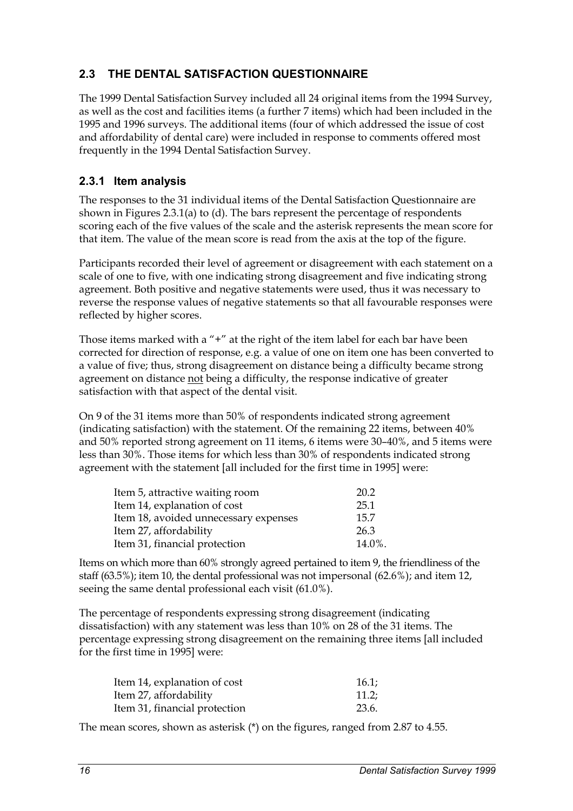# **2.3 THE DENTAL SATISFACTION QUESTIONNAIRE**

The 1999 Dental Satisfaction Survey included all 24 original items from the 1994 Survey, as well as the cost and facilities items (a further 7 items) which had been included in the 1995 and 1996 surveys. The additional items (four of which addressed the issue of cost and affordability of dental care) were included in response to comments offered most frequently in the 1994 Dental Satisfaction Survey.

### **2.3.1 Item analysis**

The responses to the 31 individual items of the Dental Satisfaction Questionnaire are shown in Figures 2.3.1(a) to (d). The bars represent the percentage of respondents scoring each of the five values of the scale and the asterisk represents the mean score for that item. The value of the mean score is read from the axis at the top of the figure.

Participants recorded their level of agreement or disagreement with each statement on a scale of one to five, with one indicating strong disagreement and five indicating strong agreement. Both positive and negative statements were used, thus it was necessary to reverse the response values of negative statements so that all favourable responses were reflected by higher scores.

Those items marked with a "+" at the right of the item label for each bar have been corrected for direction of response, e.g. a value of one on item one has been converted to a value of five; thus, strong disagreement on distance being a difficulty became strong agreement on distance not being a difficulty, the response indicative of greater satisfaction with that aspect of the dental visit.

On 9 of the 31 items more than 50% of respondents indicated strong agreement (indicating satisfaction) with the statement. Of the remaining 22 items, between 40% and 50% reported strong agreement on 11 items, 6 items were 30–40%, and 5 items were less than 30%. Those items for which less than 30% of respondents indicated strong agreement with the statement [all included for the first time in 1995] were:

| Item 5, attractive waiting room       | 20.2   |
|---------------------------------------|--------|
| Item 14, explanation of cost          | 25.1   |
| Item 18, avoided unnecessary expenses | 15.7   |
| Item 27, affordability                | 26.3   |
| Item 31, financial protection         | 14.0%. |

Items on which more than 60% strongly agreed pertained to item 9, the friendliness of the staff (63.5%); item 10, the dental professional was not impersonal (62.6%); and item 12, seeing the same dental professional each visit (61.0%).

The percentage of respondents expressing strong disagreement (indicating dissatisfaction) with any statement was less than 10% on 28 of the 31 items. The percentage expressing strong disagreement on the remaining three items [all included for the first time in 1995] were:

| Item 14, explanation of cost  | 16.1: |
|-------------------------------|-------|
| Item 27, affordability        | 11.2; |
| Item 31, financial protection | 23.6. |

The mean scores, shown as asterisk (\*) on the figures, ranged from 2.87 to 4.55.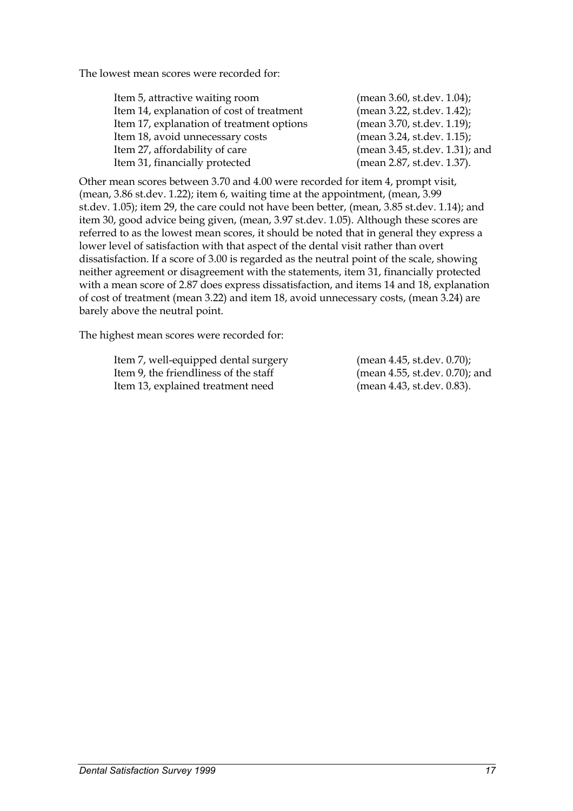The lowest mean scores were recorded for:

| Item 5, attractive waiting room           | (mean 3.60, st.dev. 1.04);     |
|-------------------------------------------|--------------------------------|
| Item 14, explanation of cost of treatment | (mean 3.22, st.dev. 1.42);     |
| Item 17, explanation of treatment options | (mean 3.70, st.dev. 1.19);     |
| Item 18, avoid unnecessary costs          | (mean 3.24, st.dev. 1.15);     |
| Item 27, affordability of care            | (mean 3.45, st.dev. 1.31); and |
| Item 31, financially protected            | (mean 2.87, st.dev. 1.37).     |

Other mean scores between 3.70 and 4.00 were recorded for item 4, prompt visit, (mean, 3.86 st.dev. 1.22); item 6, waiting time at the appointment, (mean, 3.99 st.dev. 1.05); item 29, the care could not have been better, (mean, 3.85 st.dev. 1.14); and item 30, good advice being given, (mean, 3.97 st.dev. 1.05). Although these scores are referred to as the lowest mean scores, it should be noted that in general they express a lower level of satisfaction with that aspect of the dental visit rather than overt dissatisfaction. If a score of 3.00 is regarded as the neutral point of the scale, showing neither agreement or disagreement with the statements, item 31, financially protected with a mean score of 2.87 does express dissatisfaction, and items 14 and 18, explanation of cost of treatment (mean 3.22) and item 18, avoid unnecessary costs, (mean 3.24) are barely above the neutral point.

The highest mean scores were recorded for:

Item 7, well-equipped dental surgery (mean 4.45, st.dev. 0.70); Item 9, the friendliness of the staff (mean 4.55, st.dev. 0.70); and Item 13, explained treatment need (mean 4.43, st.dev. 0.83).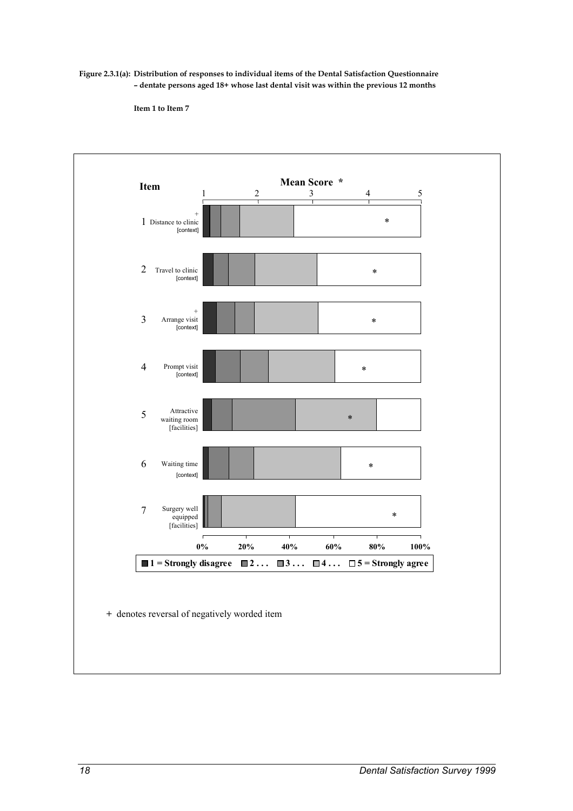**Figure 2.3.1(a): Distribution of responses to individual items of the Dental Satisfaction Questionnaire – dentate persons aged 18+ whose last dental visit was within the previous 12 months** 

**Item 1 to Item 7** 

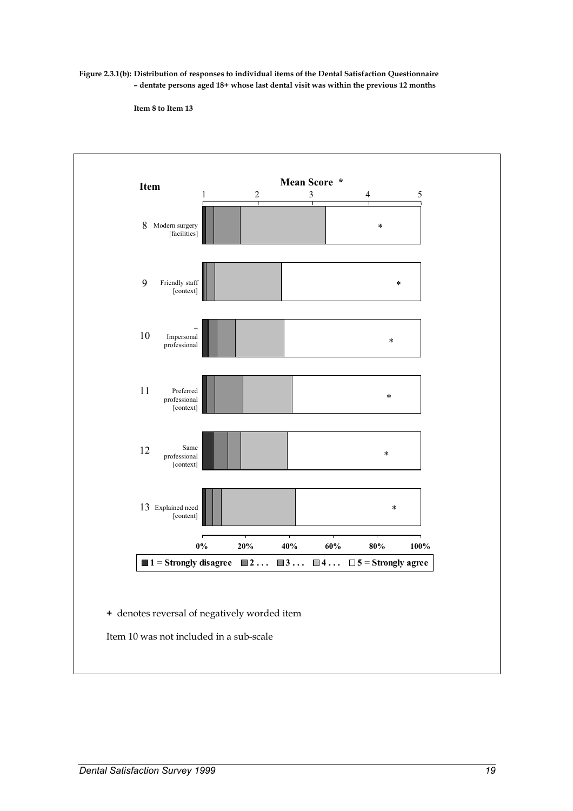**Figure 2.3.1(b): Distribution of responses to individual items of the Dental Satisfaction Questionnaire – dentate persons aged 18+ whose last dental visit was within the previous 12 months** 

**Item 8 to Item 13** 

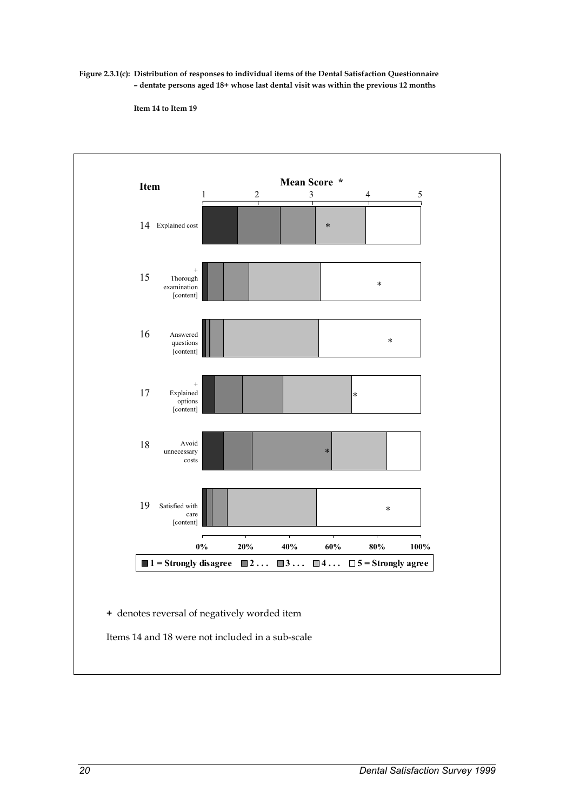**Figure 2.3.1(c): Distribution of responses to individual items of the Dental Satisfaction Questionnaire – dentate persons aged 18+ whose last dental visit was within the previous 12 months** 

**Item 14 to Item 19** 

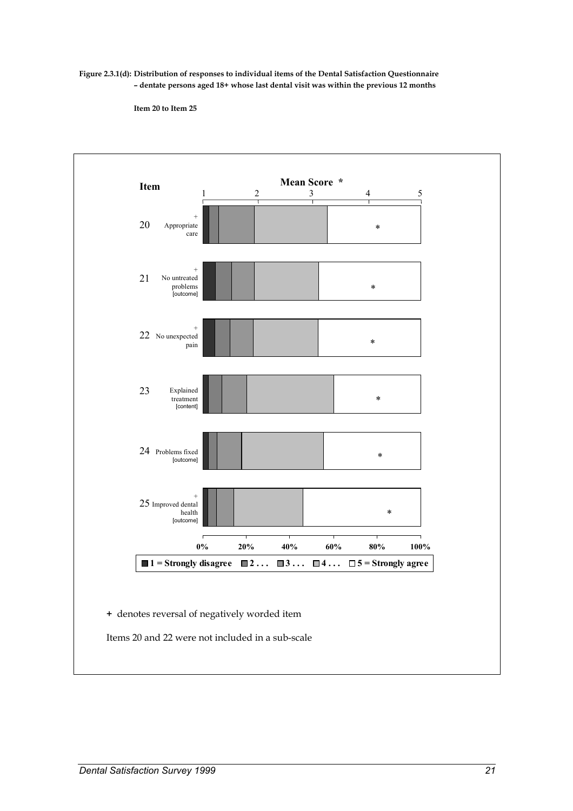**Figure 2.3.1(d): Distribution of responses to individual items of the Dental Satisfaction Questionnaire – dentate persons aged 18+ whose last dental visit was within the previous 12 months** 

**Item 20 to Item 25** 

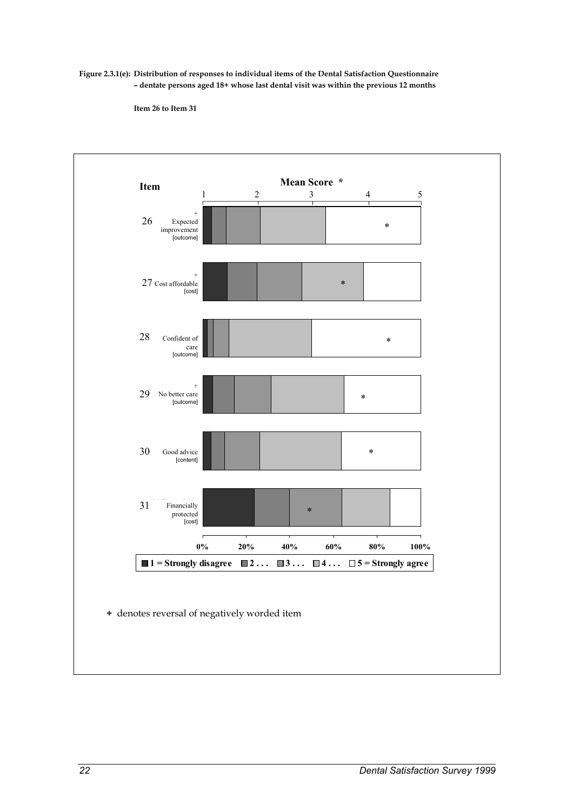**Figure 2.3.1(e): Distribution of responses to individual items of the Dental Satisfaction Questionnaire – dentate persons aged 18+ whose last dental visit was within the previous 12 months** 

**Item 26 to Item 31** 

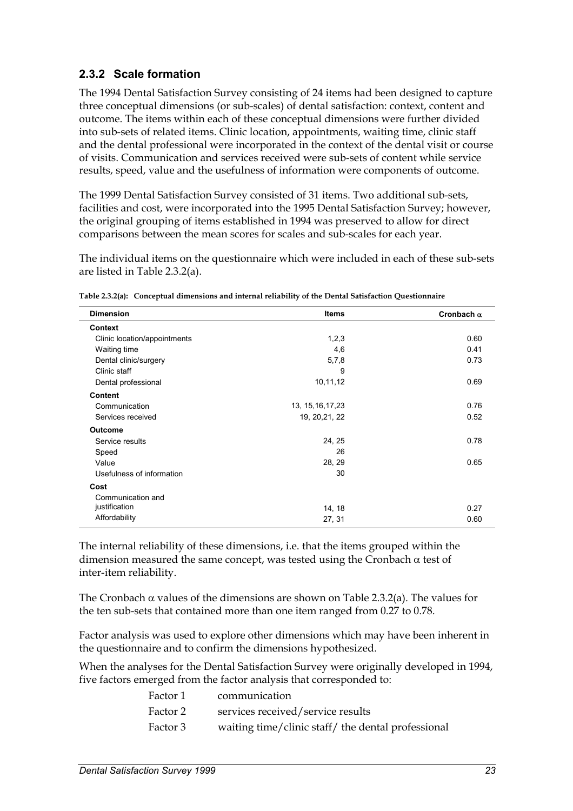# **2.3.2 Scale formation**

The 1994 Dental Satisfaction Survey consisting of 24 items had been designed to capture three conceptual dimensions (or sub-scales) of dental satisfaction: context, content and outcome. The items within each of these conceptual dimensions were further divided into sub-sets of related items. Clinic location, appointments, waiting time, clinic staff and the dental professional were incorporated in the context of the dental visit or course of visits. Communication and services received were sub-sets of content while service results, speed, value and the usefulness of information were components of outcome.

The 1999 Dental Satisfaction Survey consisted of 31 items. Two additional sub-sets, facilities and cost, were incorporated into the 1995 Dental Satisfaction Survey; however, the original grouping of items established in 1994 was preserved to allow for direct comparisons between the mean scores for scales and sub-scales for each year.

The individual items on the questionnaire which were included in each of these sub-sets are listed in Table 2.3.2(a).

| <b>Dimension</b>             | <b>Items</b>       | Cronbach $\alpha$ |
|------------------------------|--------------------|-------------------|
| Context                      |                    |                   |
| Clinic location/appointments | 1,2,3              | 0.60              |
| Waiting time                 | 4,6                | 0.41              |
| Dental clinic/surgery        | 5,7,8              | 0.73              |
| Clinic staff                 | 9                  |                   |
| Dental professional          | 10,11,12           | 0.69              |
| Content                      |                    |                   |
| Communication                | 13, 15, 16, 17, 23 | 0.76              |
| Services received            | 19, 20, 21, 22     | 0.52              |
| <b>Outcome</b>               |                    |                   |
| Service results              | 24, 25             | 0.78              |
| Speed                        | 26                 |                   |
| Value                        | 28, 29             | 0.65              |
| Usefulness of information    | 30                 |                   |
| Cost                         |                    |                   |
| Communication and            |                    |                   |
| justification                | 14, 18             | 0.27              |
| Affordability                | 27, 31             | 0.60              |

| Table 2.3.2(a): Conceptual dimensions and internal reliability of the Dental Satisfaction Questionnaire |  |
|---------------------------------------------------------------------------------------------------------|--|
|                                                                                                         |  |

The internal reliability of these dimensions, i.e. that the items grouped within the dimension measured the same concept, was tested using the Cronbach  $\alpha$  test of inter-item reliability.

The Cronbach  $\alpha$  values of the dimensions are shown on Table 2.3.2(a). The values for the ten sub-sets that contained more than one item ranged from 0.27 to 0.78.

Factor analysis was used to explore other dimensions which may have been inherent in the questionnaire and to confirm the dimensions hypothesized.

When the analyses for the Dental Satisfaction Survey were originally developed in 1994, five factors emerged from the factor analysis that corresponded to:

| Factor 1 | communication                                      |
|----------|----------------------------------------------------|
| Factor 2 | services received/service results                  |
| Factor 3 | waiting time/clinic staff/ the dental professional |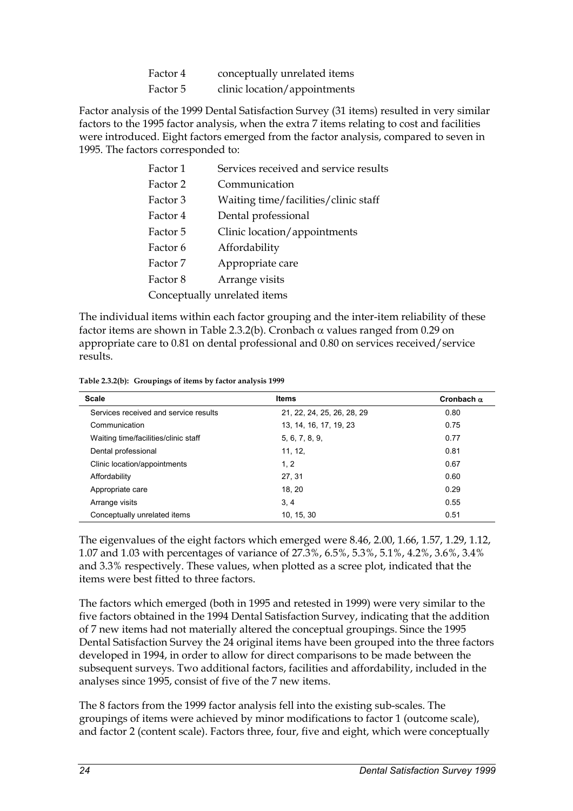| Factor 4 | conceptually unrelated items |
|----------|------------------------------|
| Factor 5 | clinic location/appointments |

Factor analysis of the 1999 Dental Satisfaction Survey (31 items) resulted in very similar factors to the 1995 factor analysis, when the extra 7 items relating to cost and facilities were introduced. Eight factors emerged from the factor analysis, compared to seven in 1995. The factors corresponded to:

| Factor 1                     | Services received and service results |  |
|------------------------------|---------------------------------------|--|
| Factor 2                     | Communication                         |  |
| Factor 3                     | Waiting time/facilities/clinic staff  |  |
| Factor 4                     | Dental professional                   |  |
| Factor 5                     | Clinic location/appointments          |  |
| Factor 6                     | Affordability                         |  |
| Factor 7                     | Appropriate care                      |  |
| Factor 8                     | Arrange visits                        |  |
| Conceptually unrelated items |                                       |  |

The individual items within each factor grouping and the inter-item reliability of these factor items are shown in Table 2.3.2(b). Cronbach  $\alpha$  values ranged from 0.29 on appropriate care to 0.81 on dental professional and 0.80 on services received/service results.

**Table 2.3.2(b): Groupings of items by factor analysis 1999** 

| <b>Scale</b>                          | <b>Items</b>               | Cronbach $\alpha$ |
|---------------------------------------|----------------------------|-------------------|
| Services received and service results | 21, 22, 24, 25, 26, 28, 29 | 0.80              |
| Communication                         | 13, 14, 16, 17, 19, 23     | 0.75              |
| Waiting time/facilities/clinic staff  | 5, 6, 7, 8, 9,             | 0.77              |
| Dental professional                   | 11, 12,                    | 0.81              |
| Clinic location/appointments          | 1, 2                       | 0.67              |
| Affordability                         | 27, 31                     | 0.60              |
| Appropriate care                      | 18.20                      | 0.29              |
| Arrange visits                        | 3, 4                       | 0.55              |
| Conceptually unrelated items          | 10, 15, 30                 | 0.51              |

The eigenvalues of the eight factors which emerged were 8.46, 2.00, 1.66, 1.57, 1.29, 1.12, 1.07 and 1.03 with percentages of variance of 27.3%, 6.5%, 5.3%, 5.1%, 4.2%, 3.6%, 3.4% and 3.3% respectively. These values, when plotted as a scree plot, indicated that the items were best fitted to three factors.

The factors which emerged (both in 1995 and retested in 1999) were very similar to the five factors obtained in the 1994 Dental Satisfaction Survey, indicating that the addition of 7 new items had not materially altered the conceptual groupings. Since the 1995 Dental Satisfaction Survey the 24 original items have been grouped into the three factors developed in 1994, in order to allow for direct comparisons to be made between the subsequent surveys. Two additional factors, facilities and affordability, included in the analyses since 1995, consist of five of the 7 new items.

The 8 factors from the 1999 factor analysis fell into the existing sub-scales. The groupings of items were achieved by minor modifications to factor 1 (outcome scale), and factor 2 (content scale). Factors three, four, five and eight, which were conceptually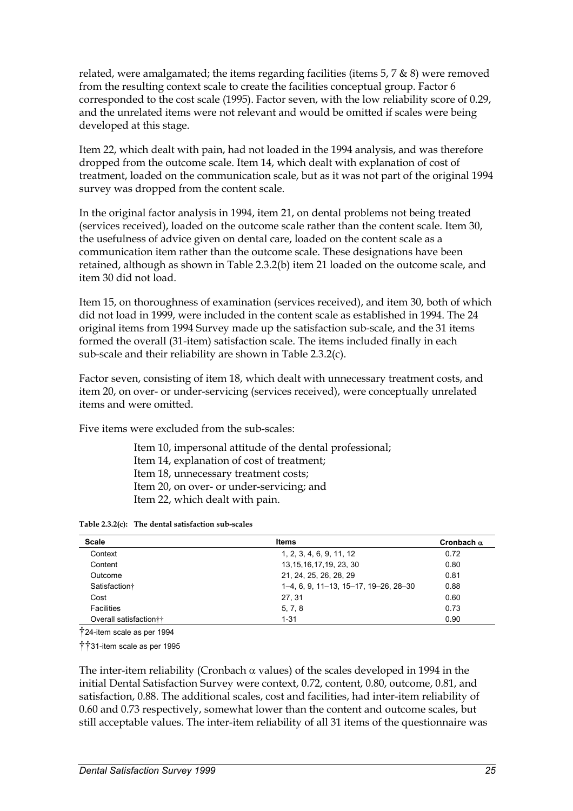related, were amalgamated; the items regarding facilities (items  $5$ ,  $7$   $\&$  8) were removed from the resulting context scale to create the facilities conceptual group. Factor 6 corresponded to the cost scale (1995). Factor seven, with the low reliability score of 0.29, and the unrelated items were not relevant and would be omitted if scales were being developed at this stage.

Item 22, which dealt with pain, had not loaded in the 1994 analysis, and was therefore dropped from the outcome scale. Item 14, which dealt with explanation of cost of treatment, loaded on the communication scale, but as it was not part of the original 1994 survey was dropped from the content scale.

In the original factor analysis in 1994, item 21, on dental problems not being treated (services received), loaded on the outcome scale rather than the content scale. Item 30, the usefulness of advice given on dental care, loaded on the content scale as a communication item rather than the outcome scale. These designations have been retained, although as shown in Table 2.3.2(b) item 21 loaded on the outcome scale, and item 30 did not load.

Item 15, on thoroughness of examination (services received), and item 30, both of which did not load in 1999, were included in the content scale as established in 1994. The 24 original items from 1994 Survey made up the satisfaction sub-scale, and the 31 items formed the overall (31-item) satisfaction scale. The items included finally in each sub-scale and their reliability are shown in Table 2.3.2(c).

Factor seven, consisting of item 18, which dealt with unnecessary treatment costs, and item 20, on over- or under-servicing (services received), were conceptually unrelated items and were omitted.

Five items were excluded from the sub-scales:

Item 10, impersonal attitude of the dental professional; Item 14, explanation of cost of treatment; Item 18, unnecessary treatment costs; Item 20, on over- or under-servicing; and Item 22, which dealt with pain.

| Table 2.3.2(c): The dental satisfaction sub-scales |  |  |  |
|----------------------------------------------------|--|--|--|
|----------------------------------------------------|--|--|--|

| <b>Scale</b>                       | <b>Items</b>                          | Cronbach $\alpha$ |  |
|------------------------------------|---------------------------------------|-------------------|--|
| Context                            | 1, 2, 3, 4, 6, 9, 11, 12              | 0.72              |  |
| Content                            | 13, 15, 16, 17, 19, 23, 30            | 0.80              |  |
| Outcome                            | 21, 24, 25, 26, 28, 29                | 0.81              |  |
| Satisfaction <sup>+</sup>          | 1–4, 6, 9, 11–13, 15–17, 19–26, 28–30 | 0.88              |  |
| Cost                               | 27, 31                                | 0.60              |  |
| <b>Facilities</b>                  | 5, 7, 8                               | 0.73              |  |
| Overall satisfaction <sup>++</sup> | $1 - 31$                              | 0.90              |  |

†24-item scale as per 1994

††31-item scale as per 1995

The inter-item reliability (Cronbach  $\alpha$  values) of the scales developed in 1994 in the initial Dental Satisfaction Survey were context, 0.72, content, 0.80, outcome, 0.81, and satisfaction, 0.88. The additional scales, cost and facilities, had inter-item reliability of 0.60 and 0.73 respectively, somewhat lower than the content and outcome scales, but still acceptable values. The inter-item reliability of all 31 items of the questionnaire was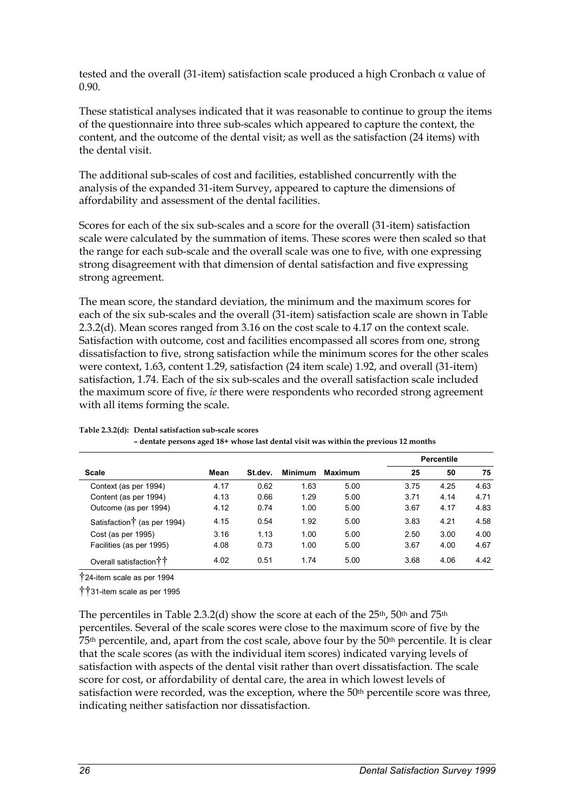tested and the overall (31-item) satisfaction scale produced a high Cronbach  $\alpha$  value of 0.90.

These statistical analyses indicated that it was reasonable to continue to group the items of the questionnaire into three sub-scales which appeared to capture the context, the content, and the outcome of the dental visit; as well as the satisfaction (24 items) with the dental visit.

The additional sub-scales of cost and facilities, established concurrently with the analysis of the expanded 31-item Survey, appeared to capture the dimensions of affordability and assessment of the dental facilities.

Scores for each of the six sub-scales and a score for the overall (31-item) satisfaction scale were calculated by the summation of items. These scores were then scaled so that the range for each sub-scale and the overall scale was one to five, with one expressing strong disagreement with that dimension of dental satisfaction and five expressing strong agreement.

The mean score, the standard deviation, the minimum and the maximum scores for each of the six sub-scales and the overall (31-item) satisfaction scale are shown in Table 2.3.2(d). Mean scores ranged from 3.16 on the cost scale to 4.17 on the context scale. Satisfaction with outcome, cost and facilities encompassed all scores from one, strong dissatisfaction to five, strong satisfaction while the minimum scores for the other scales were context, 1.63, content 1.29, satisfaction (24 item scale) 1.92, and overall (31-item) satisfaction, 1.74. Each of the six sub-scales and the overall satisfaction scale included the maximum score of five, *ie* there were respondents who recorded strong agreement with all items forming the scale.

|                                         | Mean |         | <b>Minimum</b> | Maximum |      | <b>Percentile</b> |      |  |
|-----------------------------------------|------|---------|----------------|---------|------|-------------------|------|--|
| <b>Scale</b>                            |      | St.dev. |                |         | 25   | 50                | 75   |  |
| Context (as per 1994)                   | 4.17 | 0.62    | 1.63           | 5.00    | 3.75 | 4.25              | 4.63 |  |
| Content (as per 1994)                   | 4.13 | 0.66    | 1.29           | 5.00    | 3.71 | 4.14              | 4.71 |  |
| Outcome (as per 1994)                   | 4.12 | 0.74    | 1.00           | 5.00    | 3.67 | 4.17              | 4.83 |  |
| Satisfaction <sup>†</sup> (as per 1994) | 4.15 | 0.54    | 1.92           | 5.00    | 3.83 | 4.21              | 4.58 |  |
| Cost (as per 1995)                      | 3.16 | 1.13    | 1.00           | 5.00    | 2.50 | 3.00              | 4.00 |  |
| Facilities (as per 1995)                | 4.08 | 0.73    | 1.00           | 5.00    | 3.67 | 4.00              | 4.67 |  |
| Overall satisfaction <sup>†</sup> 1     | 4.02 | 0.51    | 1.74           | 5.00    | 3.68 | 4.06              | 4.42 |  |

#### **Table 2.3.2(d): Dental satisfaction sub-scale scores**

**– dentate persons aged 18+ whose last dental visit was within the previous 12 months** 

†24-item scale as per 1994

††31-item scale as per 1995

The percentiles in Table 2.3.2(d) show the score at each of the  $25<sup>th</sup>$ , 50<sup>th</sup> and 75<sup>th</sup> percentiles. Several of the scale scores were close to the maximum score of five by the 75th percentile, and, apart from the cost scale, above four by the 50th percentile. It is clear that the scale scores (as with the individual item scores) indicated varying levels of satisfaction with aspects of the dental visit rather than overt dissatisfaction. The scale score for cost, or affordability of dental care, the area in which lowest levels of satisfaction were recorded, was the exception, where the 50<sup>th</sup> percentile score was three, indicating neither satisfaction nor dissatisfaction.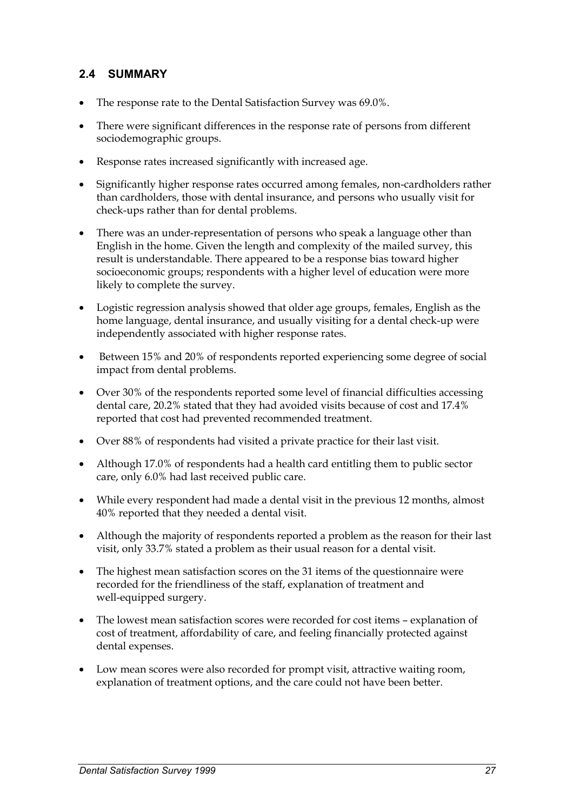## **2.4 SUMMARY**

- $\bullet$ The response rate to the Dental Satisfaction Survey was 69.0%.
- $\bullet$  There were significant differences in the response rate of persons from different sociodemographic groups.
- $\bullet$ Response rates increased significantly with increased age.
- $\bullet$  Significantly higher response rates occurred among females, non-cardholders rather than cardholders, those with dental insurance, and persons who usually visit for check-ups rather than for dental problems.
- $\bullet$  There was an under-representation of persons who speak a language other than English in the home. Given the length and complexity of the mailed survey, this result is understandable. There appeared to be a response bias toward higher socioeconomic groups; respondents with a higher level of education were more likely to complete the survey.
- Logistic regression analysis showed that older age groups, females, English as the home language, dental insurance, and usually visiting for a dental check-up were independently associated with higher response rates.
- $\bullet$  Between 15% and 20% of respondents reported experiencing some degree of social impact from dental problems.
- Over 30% of the respondents reported some level of financial difficulties accessing dental care, 20.2% stated that they had avoided visits because of cost and 17.4% reported that cost had prevented recommended treatment.
- $\bullet$ Over 88% of respondents had visited a private practice for their last visit.
- Although 17.0% of respondents had a health card entitling them to public sector care, only 6.0% had last received public care.
- While every respondent had made a dental visit in the previous 12 months, almost 40% reported that they needed a dental visit.
- - Although the majority of respondents reported a problem as the reason for their last visit, only 33.7% stated a problem as their usual reason for a dental visit.
- $\bullet$  The highest mean satisfaction scores on the 31 items of the questionnaire were recorded for the friendliness of the staff, explanation of treatment and well-equipped surgery.
- $\bullet$  The lowest mean satisfaction scores were recorded for cost items – explanation of cost of treatment, affordability of care, and feeling financially protected against dental expenses.
- $\bullet$  Low mean scores were also recorded for prompt visit, attractive waiting room, explanation of treatment options, and the care could not have been better.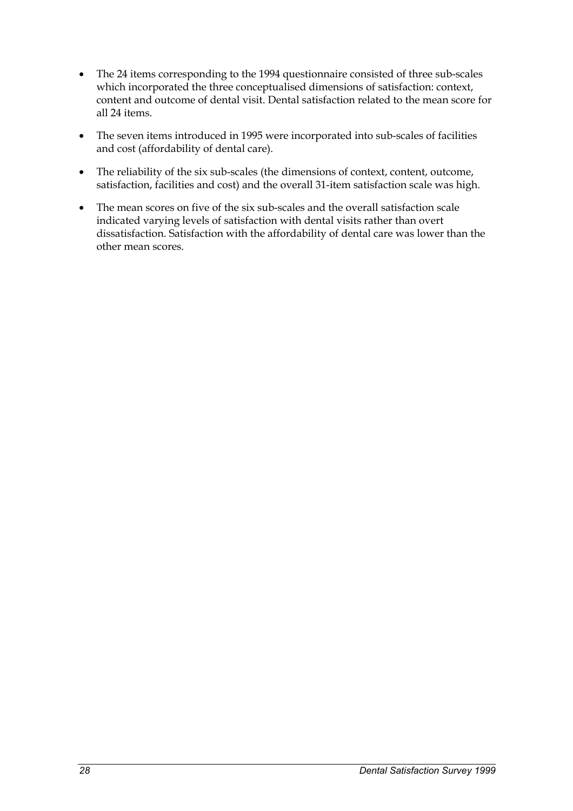- $\bullet$  The 24 items corresponding to the 1994 questionnaire consisted of three sub-scales which incorporated the three conceptualised dimensions of satisfaction: context, content and outcome of dental visit. Dental satisfaction related to the mean score for all 24 items.
- $\bullet$  The seven items introduced in 1995 were incorporated into sub-scales of facilities and cost (affordability of dental care).
- $\bullet$  The reliability of the six sub-scales (the dimensions of context, content, outcome, satisfaction, facilities and cost) and the overall 31-item satisfaction scale was high.
- $\bullet$  The mean scores on five of the six sub-scales and the overall satisfaction scale indicated varying levels of satisfaction with dental visits rather than overt dissatisfaction. Satisfaction with the affordability of dental care was lower than the other mean scores.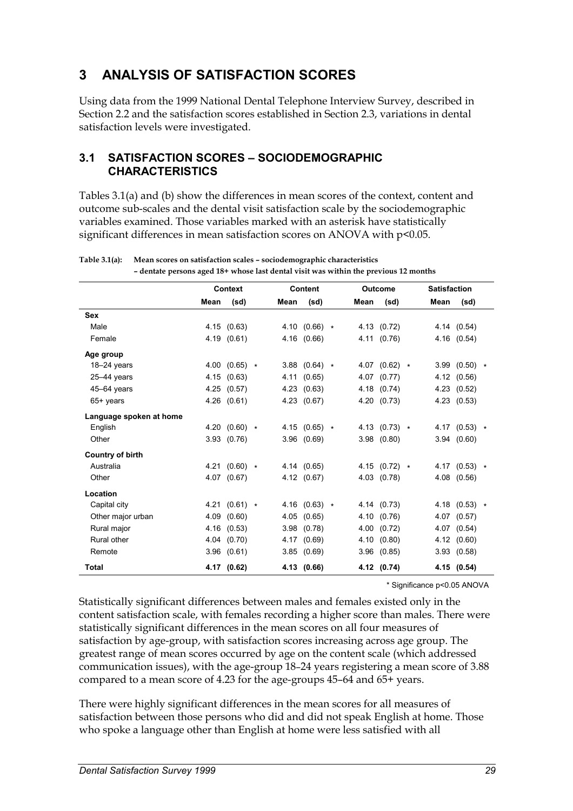# **3 ANALYSIS OF SATISFACTION SCORES**

Using data from the 1999 National Dental Telephone Interview Survey, described in Section 2.2 and the satisfaction scores established in Section 2.3, variations in dental satisfaction levels were investigated.

### **3.1 SATISFACTION SCORES – SOCIODEMOGRAPHIC CHARACTERISTICS**

Tables 3.1(a) and (b) show the differences in mean scores of the context, content and outcome sub-scales and the dental visit satisfaction scale by the sociodemographic variables examined. Those variables marked with an asterisk have statistically significant differences in mean satisfaction scores on ANOVA with p<0.05.

|                         |      | Context         |      | Content           |      | <b>Outcome</b>  | <b>Satisfaction</b> |                 |  |
|-------------------------|------|-----------------|------|-------------------|------|-----------------|---------------------|-----------------|--|
|                         | Mean | (sd)            | Mean | (sd)              | Mean | (sd)            | Mean                | (sd)            |  |
| Sex                     |      |                 |      |                   |      |                 |                     |                 |  |
| Male                    |      | 4.15 (0.63)     |      | 4.10 $(0.66)$ *   |      | 4.13 (0.72)     |                     | 4.14 (0.54)     |  |
| Female                  |      | 4.19 (0.61)     |      | 4.16 (0.66)       |      | 4.11 (0.76)     |                     | 4.16 (0.54)     |  |
| Age group               |      |                 |      |                   |      |                 |                     |                 |  |
| $18 - 24$ years         |      | 4.00 $(0.65)$ * |      | $3.88$ (0.64) $*$ |      | 4.07 (0.62) $*$ |                     | $3.99(0.50)$ *  |  |
| $25 - 44$ years         | 4.15 | (0.63)          | 4.11 | (0.65)            | 4.07 | (0.77)          |                     | 4.12 (0.56)     |  |
| 45-64 years             | 4.25 | (0.57)          |      | 4.23(0.63)        |      | 4.18 (0.74)     |                     | 4.23 (0.52)     |  |
| $65+$ years             | 4.26 | (0.61)          |      | 4.23 (0.67)       |      | 4.20 (0.73)     |                     | 4.23 (0.53)     |  |
| Language spoken at home |      |                 |      |                   |      |                 |                     |                 |  |
| English                 |      | 4.20 $(0.60)$ * |      | 4.15 $(0.65)$ *   |      | 4.13 $(0.73)$ * |                     | 4.17 $(0.53)$ * |  |
| Other                   | 3.93 | (0.76)          |      | 3.96(0.69)        | 3.98 | (0.80)          |                     | 3.94(0.60)      |  |
| <b>Country of birth</b> |      |                 |      |                   |      |                 |                     |                 |  |
| Australia               |      | 4.21 $(0.60)$ * |      | 4.14 (0.65)       |      | 4.15 $(0.72)$ * |                     | 4.17 $(0.53)$ * |  |
| Other                   |      | 4.07 (0.67)     |      | 4.12 (0.67)       |      | 4.03 (0.78)     |                     | 4.08 (0.56)     |  |
| Location                |      |                 |      |                   |      |                 |                     |                 |  |
| Capital city            |      | 4.21 $(0.61)$ * |      | 4.16 $(0.63)$ *   |      | 4.14 (0.73)     |                     | 4.18 $(0.53)$ * |  |
| Other major urban       | 4.09 | (0.60)          | 4.05 | (0.65)            |      | 4.10 (0.76)     |                     | 4.07 (0.57)     |  |
| Rural major             | 4.16 | (0.53)          |      | 3.98(0.78)        |      | 4.00 (0.72)     |                     | 4.07 (0.54)     |  |
| Rural other             |      | 4.04 (0.70)     |      | 4.17 (0.69)       |      | 4.10 (0.80)     |                     | 4.12 (0.60)     |  |
| Remote                  | 3.96 | (0.61)          |      | 3.85(0.69)        |      | $3.96$ $(0.85)$ |                     | 3.93(0.58)      |  |
| Total                   |      | 4.17 (0.62)     |      | 4.13 (0.66)       |      | 4.12 (0.74)     |                     | 4.15 (0.54)     |  |

#### **Table 3.1(a): Mean scores on satisfaction scales – sociodemographic characteristics – dentate persons aged 18+ whose last dental visit was within the previous 12 months**

\* Significance p<0.05 ANOVA

Statistically significant differences between males and females existed only in the content satisfaction scale, with females recording a higher score than males. There were statistically significant differences in the mean scores on all four measures of satisfaction by age-group, with satisfaction scores increasing across age group. The greatest range of mean scores occurred by age on the content scale (which addressed communication issues), with the age-group 18–24 years registering a mean score of 3.88 compared to a mean score of 4.23 for the age-groups 45–64 and 65+ years.

There were highly significant differences in the mean scores for all measures of satisfaction between those persons who did and did not speak English at home. Those who spoke a language other than English at home were less satisfied with all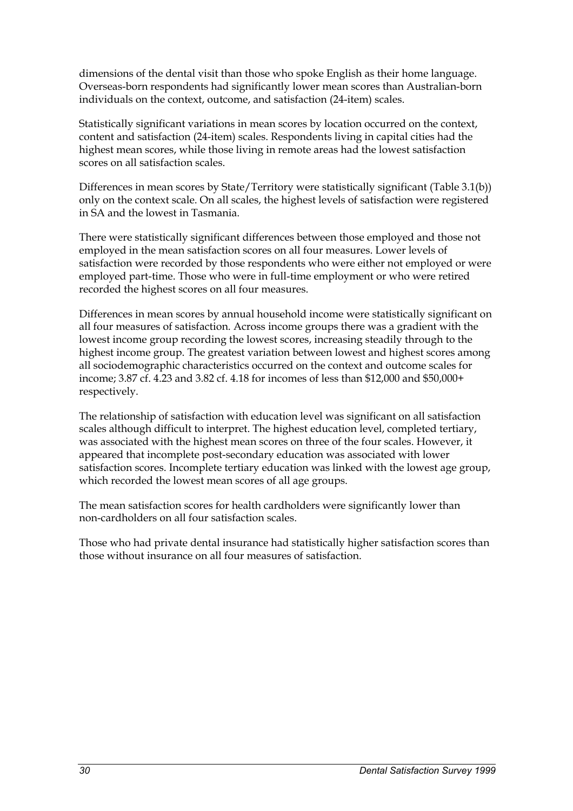dimensions of the dental visit than those who spoke English as their home language. Overseas-born respondents had significantly lower mean scores than Australian-born individuals on the context, outcome, and satisfaction (24-item) scales.

Statistically significant variations in mean scores by location occurred on the context, content and satisfaction (24-item) scales. Respondents living in capital cities had the highest mean scores, while those living in remote areas had the lowest satisfaction scores on all satisfaction scales.

Differences in mean scores by State/Territory were statistically significant (Table 3.1(b)) only on the context scale. On all scales, the highest levels of satisfaction were registered in SA and the lowest in Tasmania.

There were statistically significant differences between those employed and those not employed in the mean satisfaction scores on all four measures. Lower levels of satisfaction were recorded by those respondents who were either not employed or were employed part-time. Those who were in full-time employment or who were retired recorded the highest scores on all four measures.

Differences in mean scores by annual household income were statistically significant on all four measures of satisfaction. Across income groups there was a gradient with the lowest income group recording the lowest scores, increasing steadily through to the highest income group. The greatest variation between lowest and highest scores among all sociodemographic characteristics occurred on the context and outcome scales for income; 3.87 cf. 4.23 and 3.82 cf. 4.18 for incomes of less than \$12,000 and \$50,000+ respectively.

The relationship of satisfaction with education level was significant on all satisfaction scales although difficult to interpret. The highest education level, completed tertiary, was associated with the highest mean scores on three of the four scales. However, it appeared that incomplete post-secondary education was associated with lower satisfaction scores. Incomplete tertiary education was linked with the lowest age group, which recorded the lowest mean scores of all age groups.

The mean satisfaction scores for health cardholders were significantly lower than non-cardholders on all four satisfaction scales.

Those who had private dental insurance had statistically higher satisfaction scores than those without insurance on all four measures of satisfaction.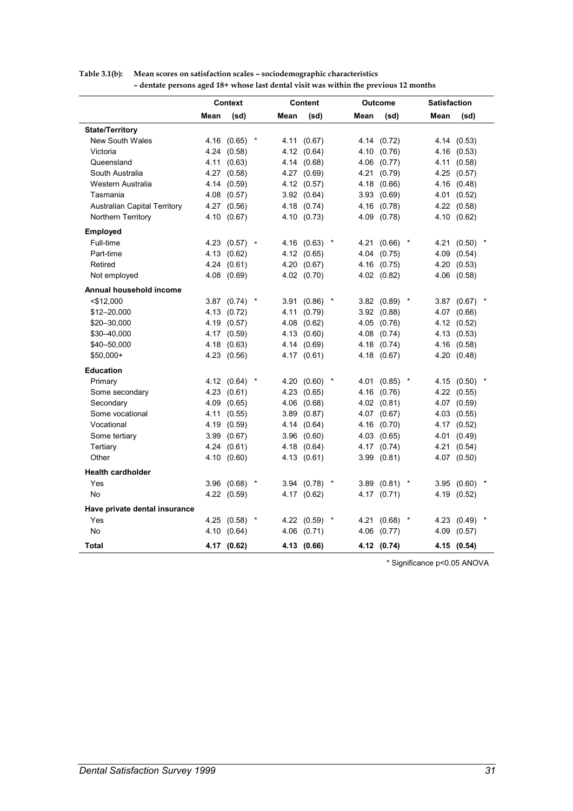| Mean<br>(sd)<br>Mean<br>(sd)<br>Mean<br>(sd)<br>Mean<br>(sd)<br><b>State/Territory</b><br><b>New South Wales</b><br>4.16 (0.65)<br>4.11 (0.67)<br>4.14 (0.72)<br>4.14 (0.53)<br>4.24 (0.58)<br>4.12 (0.64)<br>4.10<br>Victoria<br>(0.76)<br>4.16 (0.53)<br>Queensland<br>4.11<br>(0.63)<br>4.14 (0.68)<br>4.06<br>(0.77)<br>4.11 (0.58)<br>South Australia<br>4.27 (0.58)<br>4.27 (0.69)<br>4.21<br>(0.79)<br>4.25 (0.57)<br>Western Australia<br>4.14 (0.59)<br>4.12 (0.57)<br>4.18<br>(0.66)<br>4.16 (0.48)<br>Tasmania<br>4.08 (0.57)<br>3.92(0.64)<br>3.93<br>(0.69)<br>4.01 (0.52)<br><b>Australian Capital Territory</b><br>4.27 (0.56)<br>4.18 (0.74)<br>4.16 (0.78)<br>4.22 (0.58)<br>Northern Territory<br>4.10 (0.67)<br>4.10 (0.73)<br>4.09 (0.78)<br>4.10 (0.62)<br>Employed<br>Full-time<br>4.23 $(0.57)$ *<br>4.16 (0.63)<br>4.21<br>(0.66)<br>4.21 (0.50)<br>Part-time<br>4.13 (0.62)<br>4.12 (0.65)<br>4.04<br>(0.75)<br>4.09<br>(0.54)<br>Retired<br>4.24(0.61)<br>4.20 (0.67)<br>4.16<br>(0.75)<br>4.20 (0.53)<br>Not employed<br>4.08 (0.69)<br>4.02 (0.70)<br>4.02 (0.82)<br>4.06 (0.58)<br>Annual household income<br>$<$ \$12,000<br>$3.87$ (0.74) *<br>3.91 (0.86)<br>3.82(0.89)<br>3.87 (0.67)<br>\$12-20,000<br>4.13 (0.72)<br>4.11 (0.79)<br>3.92(0.88)<br>4.07 (0.66)<br>4.08 (0.62)<br>\$20-30,000<br>4.19 (0.57)<br>4.05 (0.76)<br>4.12 (0.52)<br>4.17 (0.59)<br>4.13 (0.60)<br>4.08 (0.74)<br>\$30-40,000<br>4.13 (0.53)<br>\$40-50,000<br>4.14 (0.69)<br>4.18<br>(0.74)<br>4.16 (0.58)<br>4.18 (0.63)<br>\$50,000+<br>4.23 (0.56)<br>4.17 (0.61)<br>4.18 (0.67)<br>4.20 (0.48)<br><b>Education</b><br>Primary<br>4.12 (0.64)<br>$\star$<br>4.20(0.60)<br>$\star$<br>4.01<br>(0.85)<br>$\ast$<br>4.15 (0.50)<br>Some secondary<br>4.23 (0.61)<br>4.23 (0.65)<br>4.16 (0.76)<br>4.22 (0.55)<br>Secondary<br>4.06 (0.68)<br>4.02 (0.81)<br>4.09<br>(0.65)<br>4.07 (0.59)<br>Some vocational<br>3.89 (0.87)<br>4.11<br>(0.55)<br>4.07<br>(0.67)<br>4.03 (0.55)<br>Vocational<br>4.19<br>(0.59)<br>4.14 (0.64)<br>4.16<br>(0.70)<br>4.17 (0.52)<br>Some tertiary<br>3.99<br>(0.67)<br>3.96 (0.60)<br>4.03 (0.65)<br>4.01 (0.49)<br>Tertiary<br>4.24<br>(0.61)<br>4.18 (0.64)<br>4.17<br>(0.74)<br>4.21<br>(0.54)<br>Other<br>4.10 (0.60)<br>4.13 (0.61)<br>3.99<br>(0.81)<br>4.07 (0.50)<br><b>Health cardholder</b><br>Yes<br>3.96(0.68)<br>3.94 (0.78)<br>3.89<br>(0.81)<br>3.95 (0.60)<br>No<br>4.22 (0.59)<br>4.17 (0.62)<br>4.17<br>(0.71)<br>4.19 (0.52)<br>Have private dental insurance<br>Yes<br>4.25 (0.58)<br>4.22 (0.59)<br>4.21<br>(0.68)<br>4.23 (0.49)<br>No<br>4.10<br>(0.64)<br>4.06 (0.71)<br>4.06<br>(0.77)<br>4.09 (0.57)<br><b>Total</b><br>4.17 (0.62)<br>4.13 (0.66)<br>4.12 (0.74)<br>4.15 (0.54) |  | Context |  | Content |  | Outcome | <b>Satisfaction</b> |  |
|-----------------------------------------------------------------------------------------------------------------------------------------------------------------------------------------------------------------------------------------------------------------------------------------------------------------------------------------------------------------------------------------------------------------------------------------------------------------------------------------------------------------------------------------------------------------------------------------------------------------------------------------------------------------------------------------------------------------------------------------------------------------------------------------------------------------------------------------------------------------------------------------------------------------------------------------------------------------------------------------------------------------------------------------------------------------------------------------------------------------------------------------------------------------------------------------------------------------------------------------------------------------------------------------------------------------------------------------------------------------------------------------------------------------------------------------------------------------------------------------------------------------------------------------------------------------------------------------------------------------------------------------------------------------------------------------------------------------------------------------------------------------------------------------------------------------------------------------------------------------------------------------------------------------------------------------------------------------------------------------------------------------------------------------------------------------------------------------------------------------------------------------------------------------------------------------------------------------------------------------------------------------------------------------------------------------------------------------------------------------------------------------------------------------------------------------------------------------------------------------------------------------------------------------------------------------------------------------------------------------------------------------------------------------------------------------------------------------------------------------------------|--|---------|--|---------|--|---------|---------------------|--|
|                                                                                                                                                                                                                                                                                                                                                                                                                                                                                                                                                                                                                                                                                                                                                                                                                                                                                                                                                                                                                                                                                                                                                                                                                                                                                                                                                                                                                                                                                                                                                                                                                                                                                                                                                                                                                                                                                                                                                                                                                                                                                                                                                                                                                                                                                                                                                                                                                                                                                                                                                                                                                                                                                                                                                     |  |         |  |         |  |         |                     |  |
|                                                                                                                                                                                                                                                                                                                                                                                                                                                                                                                                                                                                                                                                                                                                                                                                                                                                                                                                                                                                                                                                                                                                                                                                                                                                                                                                                                                                                                                                                                                                                                                                                                                                                                                                                                                                                                                                                                                                                                                                                                                                                                                                                                                                                                                                                                                                                                                                                                                                                                                                                                                                                                                                                                                                                     |  |         |  |         |  |         |                     |  |
|                                                                                                                                                                                                                                                                                                                                                                                                                                                                                                                                                                                                                                                                                                                                                                                                                                                                                                                                                                                                                                                                                                                                                                                                                                                                                                                                                                                                                                                                                                                                                                                                                                                                                                                                                                                                                                                                                                                                                                                                                                                                                                                                                                                                                                                                                                                                                                                                                                                                                                                                                                                                                                                                                                                                                     |  |         |  |         |  |         |                     |  |
|                                                                                                                                                                                                                                                                                                                                                                                                                                                                                                                                                                                                                                                                                                                                                                                                                                                                                                                                                                                                                                                                                                                                                                                                                                                                                                                                                                                                                                                                                                                                                                                                                                                                                                                                                                                                                                                                                                                                                                                                                                                                                                                                                                                                                                                                                                                                                                                                                                                                                                                                                                                                                                                                                                                                                     |  |         |  |         |  |         |                     |  |
|                                                                                                                                                                                                                                                                                                                                                                                                                                                                                                                                                                                                                                                                                                                                                                                                                                                                                                                                                                                                                                                                                                                                                                                                                                                                                                                                                                                                                                                                                                                                                                                                                                                                                                                                                                                                                                                                                                                                                                                                                                                                                                                                                                                                                                                                                                                                                                                                                                                                                                                                                                                                                                                                                                                                                     |  |         |  |         |  |         |                     |  |
|                                                                                                                                                                                                                                                                                                                                                                                                                                                                                                                                                                                                                                                                                                                                                                                                                                                                                                                                                                                                                                                                                                                                                                                                                                                                                                                                                                                                                                                                                                                                                                                                                                                                                                                                                                                                                                                                                                                                                                                                                                                                                                                                                                                                                                                                                                                                                                                                                                                                                                                                                                                                                                                                                                                                                     |  |         |  |         |  |         |                     |  |
|                                                                                                                                                                                                                                                                                                                                                                                                                                                                                                                                                                                                                                                                                                                                                                                                                                                                                                                                                                                                                                                                                                                                                                                                                                                                                                                                                                                                                                                                                                                                                                                                                                                                                                                                                                                                                                                                                                                                                                                                                                                                                                                                                                                                                                                                                                                                                                                                                                                                                                                                                                                                                                                                                                                                                     |  |         |  |         |  |         |                     |  |
|                                                                                                                                                                                                                                                                                                                                                                                                                                                                                                                                                                                                                                                                                                                                                                                                                                                                                                                                                                                                                                                                                                                                                                                                                                                                                                                                                                                                                                                                                                                                                                                                                                                                                                                                                                                                                                                                                                                                                                                                                                                                                                                                                                                                                                                                                                                                                                                                                                                                                                                                                                                                                                                                                                                                                     |  |         |  |         |  |         |                     |  |
|                                                                                                                                                                                                                                                                                                                                                                                                                                                                                                                                                                                                                                                                                                                                                                                                                                                                                                                                                                                                                                                                                                                                                                                                                                                                                                                                                                                                                                                                                                                                                                                                                                                                                                                                                                                                                                                                                                                                                                                                                                                                                                                                                                                                                                                                                                                                                                                                                                                                                                                                                                                                                                                                                                                                                     |  |         |  |         |  |         |                     |  |
|                                                                                                                                                                                                                                                                                                                                                                                                                                                                                                                                                                                                                                                                                                                                                                                                                                                                                                                                                                                                                                                                                                                                                                                                                                                                                                                                                                                                                                                                                                                                                                                                                                                                                                                                                                                                                                                                                                                                                                                                                                                                                                                                                                                                                                                                                                                                                                                                                                                                                                                                                                                                                                                                                                                                                     |  |         |  |         |  |         |                     |  |
|                                                                                                                                                                                                                                                                                                                                                                                                                                                                                                                                                                                                                                                                                                                                                                                                                                                                                                                                                                                                                                                                                                                                                                                                                                                                                                                                                                                                                                                                                                                                                                                                                                                                                                                                                                                                                                                                                                                                                                                                                                                                                                                                                                                                                                                                                                                                                                                                                                                                                                                                                                                                                                                                                                                                                     |  |         |  |         |  |         |                     |  |
|                                                                                                                                                                                                                                                                                                                                                                                                                                                                                                                                                                                                                                                                                                                                                                                                                                                                                                                                                                                                                                                                                                                                                                                                                                                                                                                                                                                                                                                                                                                                                                                                                                                                                                                                                                                                                                                                                                                                                                                                                                                                                                                                                                                                                                                                                                                                                                                                                                                                                                                                                                                                                                                                                                                                                     |  |         |  |         |  |         |                     |  |
|                                                                                                                                                                                                                                                                                                                                                                                                                                                                                                                                                                                                                                                                                                                                                                                                                                                                                                                                                                                                                                                                                                                                                                                                                                                                                                                                                                                                                                                                                                                                                                                                                                                                                                                                                                                                                                                                                                                                                                                                                                                                                                                                                                                                                                                                                                                                                                                                                                                                                                                                                                                                                                                                                                                                                     |  |         |  |         |  |         |                     |  |
|                                                                                                                                                                                                                                                                                                                                                                                                                                                                                                                                                                                                                                                                                                                                                                                                                                                                                                                                                                                                                                                                                                                                                                                                                                                                                                                                                                                                                                                                                                                                                                                                                                                                                                                                                                                                                                                                                                                                                                                                                                                                                                                                                                                                                                                                                                                                                                                                                                                                                                                                                                                                                                                                                                                                                     |  |         |  |         |  |         |                     |  |
|                                                                                                                                                                                                                                                                                                                                                                                                                                                                                                                                                                                                                                                                                                                                                                                                                                                                                                                                                                                                                                                                                                                                                                                                                                                                                                                                                                                                                                                                                                                                                                                                                                                                                                                                                                                                                                                                                                                                                                                                                                                                                                                                                                                                                                                                                                                                                                                                                                                                                                                                                                                                                                                                                                                                                     |  |         |  |         |  |         |                     |  |
|                                                                                                                                                                                                                                                                                                                                                                                                                                                                                                                                                                                                                                                                                                                                                                                                                                                                                                                                                                                                                                                                                                                                                                                                                                                                                                                                                                                                                                                                                                                                                                                                                                                                                                                                                                                                                                                                                                                                                                                                                                                                                                                                                                                                                                                                                                                                                                                                                                                                                                                                                                                                                                                                                                                                                     |  |         |  |         |  |         |                     |  |
|                                                                                                                                                                                                                                                                                                                                                                                                                                                                                                                                                                                                                                                                                                                                                                                                                                                                                                                                                                                                                                                                                                                                                                                                                                                                                                                                                                                                                                                                                                                                                                                                                                                                                                                                                                                                                                                                                                                                                                                                                                                                                                                                                                                                                                                                                                                                                                                                                                                                                                                                                                                                                                                                                                                                                     |  |         |  |         |  |         |                     |  |
|                                                                                                                                                                                                                                                                                                                                                                                                                                                                                                                                                                                                                                                                                                                                                                                                                                                                                                                                                                                                                                                                                                                                                                                                                                                                                                                                                                                                                                                                                                                                                                                                                                                                                                                                                                                                                                                                                                                                                                                                                                                                                                                                                                                                                                                                                                                                                                                                                                                                                                                                                                                                                                                                                                                                                     |  |         |  |         |  |         |                     |  |
|                                                                                                                                                                                                                                                                                                                                                                                                                                                                                                                                                                                                                                                                                                                                                                                                                                                                                                                                                                                                                                                                                                                                                                                                                                                                                                                                                                                                                                                                                                                                                                                                                                                                                                                                                                                                                                                                                                                                                                                                                                                                                                                                                                                                                                                                                                                                                                                                                                                                                                                                                                                                                                                                                                                                                     |  |         |  |         |  |         |                     |  |
|                                                                                                                                                                                                                                                                                                                                                                                                                                                                                                                                                                                                                                                                                                                                                                                                                                                                                                                                                                                                                                                                                                                                                                                                                                                                                                                                                                                                                                                                                                                                                                                                                                                                                                                                                                                                                                                                                                                                                                                                                                                                                                                                                                                                                                                                                                                                                                                                                                                                                                                                                                                                                                                                                                                                                     |  |         |  |         |  |         |                     |  |
|                                                                                                                                                                                                                                                                                                                                                                                                                                                                                                                                                                                                                                                                                                                                                                                                                                                                                                                                                                                                                                                                                                                                                                                                                                                                                                                                                                                                                                                                                                                                                                                                                                                                                                                                                                                                                                                                                                                                                                                                                                                                                                                                                                                                                                                                                                                                                                                                                                                                                                                                                                                                                                                                                                                                                     |  |         |  |         |  |         |                     |  |
|                                                                                                                                                                                                                                                                                                                                                                                                                                                                                                                                                                                                                                                                                                                                                                                                                                                                                                                                                                                                                                                                                                                                                                                                                                                                                                                                                                                                                                                                                                                                                                                                                                                                                                                                                                                                                                                                                                                                                                                                                                                                                                                                                                                                                                                                                                                                                                                                                                                                                                                                                                                                                                                                                                                                                     |  |         |  |         |  |         |                     |  |
|                                                                                                                                                                                                                                                                                                                                                                                                                                                                                                                                                                                                                                                                                                                                                                                                                                                                                                                                                                                                                                                                                                                                                                                                                                                                                                                                                                                                                                                                                                                                                                                                                                                                                                                                                                                                                                                                                                                                                                                                                                                                                                                                                                                                                                                                                                                                                                                                                                                                                                                                                                                                                                                                                                                                                     |  |         |  |         |  |         |                     |  |
|                                                                                                                                                                                                                                                                                                                                                                                                                                                                                                                                                                                                                                                                                                                                                                                                                                                                                                                                                                                                                                                                                                                                                                                                                                                                                                                                                                                                                                                                                                                                                                                                                                                                                                                                                                                                                                                                                                                                                                                                                                                                                                                                                                                                                                                                                                                                                                                                                                                                                                                                                                                                                                                                                                                                                     |  |         |  |         |  |         |                     |  |
|                                                                                                                                                                                                                                                                                                                                                                                                                                                                                                                                                                                                                                                                                                                                                                                                                                                                                                                                                                                                                                                                                                                                                                                                                                                                                                                                                                                                                                                                                                                                                                                                                                                                                                                                                                                                                                                                                                                                                                                                                                                                                                                                                                                                                                                                                                                                                                                                                                                                                                                                                                                                                                                                                                                                                     |  |         |  |         |  |         |                     |  |
|                                                                                                                                                                                                                                                                                                                                                                                                                                                                                                                                                                                                                                                                                                                                                                                                                                                                                                                                                                                                                                                                                                                                                                                                                                                                                                                                                                                                                                                                                                                                                                                                                                                                                                                                                                                                                                                                                                                                                                                                                                                                                                                                                                                                                                                                                                                                                                                                                                                                                                                                                                                                                                                                                                                                                     |  |         |  |         |  |         |                     |  |
|                                                                                                                                                                                                                                                                                                                                                                                                                                                                                                                                                                                                                                                                                                                                                                                                                                                                                                                                                                                                                                                                                                                                                                                                                                                                                                                                                                                                                                                                                                                                                                                                                                                                                                                                                                                                                                                                                                                                                                                                                                                                                                                                                                                                                                                                                                                                                                                                                                                                                                                                                                                                                                                                                                                                                     |  |         |  |         |  |         |                     |  |
|                                                                                                                                                                                                                                                                                                                                                                                                                                                                                                                                                                                                                                                                                                                                                                                                                                                                                                                                                                                                                                                                                                                                                                                                                                                                                                                                                                                                                                                                                                                                                                                                                                                                                                                                                                                                                                                                                                                                                                                                                                                                                                                                                                                                                                                                                                                                                                                                                                                                                                                                                                                                                                                                                                                                                     |  |         |  |         |  |         |                     |  |
|                                                                                                                                                                                                                                                                                                                                                                                                                                                                                                                                                                                                                                                                                                                                                                                                                                                                                                                                                                                                                                                                                                                                                                                                                                                                                                                                                                                                                                                                                                                                                                                                                                                                                                                                                                                                                                                                                                                                                                                                                                                                                                                                                                                                                                                                                                                                                                                                                                                                                                                                                                                                                                                                                                                                                     |  |         |  |         |  |         |                     |  |
|                                                                                                                                                                                                                                                                                                                                                                                                                                                                                                                                                                                                                                                                                                                                                                                                                                                                                                                                                                                                                                                                                                                                                                                                                                                                                                                                                                                                                                                                                                                                                                                                                                                                                                                                                                                                                                                                                                                                                                                                                                                                                                                                                                                                                                                                                                                                                                                                                                                                                                                                                                                                                                                                                                                                                     |  |         |  |         |  |         |                     |  |
|                                                                                                                                                                                                                                                                                                                                                                                                                                                                                                                                                                                                                                                                                                                                                                                                                                                                                                                                                                                                                                                                                                                                                                                                                                                                                                                                                                                                                                                                                                                                                                                                                                                                                                                                                                                                                                                                                                                                                                                                                                                                                                                                                                                                                                                                                                                                                                                                                                                                                                                                                                                                                                                                                                                                                     |  |         |  |         |  |         |                     |  |
|                                                                                                                                                                                                                                                                                                                                                                                                                                                                                                                                                                                                                                                                                                                                                                                                                                                                                                                                                                                                                                                                                                                                                                                                                                                                                                                                                                                                                                                                                                                                                                                                                                                                                                                                                                                                                                                                                                                                                                                                                                                                                                                                                                                                                                                                                                                                                                                                                                                                                                                                                                                                                                                                                                                                                     |  |         |  |         |  |         |                     |  |
|                                                                                                                                                                                                                                                                                                                                                                                                                                                                                                                                                                                                                                                                                                                                                                                                                                                                                                                                                                                                                                                                                                                                                                                                                                                                                                                                                                                                                                                                                                                                                                                                                                                                                                                                                                                                                                                                                                                                                                                                                                                                                                                                                                                                                                                                                                                                                                                                                                                                                                                                                                                                                                                                                                                                                     |  |         |  |         |  |         |                     |  |
|                                                                                                                                                                                                                                                                                                                                                                                                                                                                                                                                                                                                                                                                                                                                                                                                                                                                                                                                                                                                                                                                                                                                                                                                                                                                                                                                                                                                                                                                                                                                                                                                                                                                                                                                                                                                                                                                                                                                                                                                                                                                                                                                                                                                                                                                                                                                                                                                                                                                                                                                                                                                                                                                                                                                                     |  |         |  |         |  |         |                     |  |
|                                                                                                                                                                                                                                                                                                                                                                                                                                                                                                                                                                                                                                                                                                                                                                                                                                                                                                                                                                                                                                                                                                                                                                                                                                                                                                                                                                                                                                                                                                                                                                                                                                                                                                                                                                                                                                                                                                                                                                                                                                                                                                                                                                                                                                                                                                                                                                                                                                                                                                                                                                                                                                                                                                                                                     |  |         |  |         |  |         |                     |  |
|                                                                                                                                                                                                                                                                                                                                                                                                                                                                                                                                                                                                                                                                                                                                                                                                                                                                                                                                                                                                                                                                                                                                                                                                                                                                                                                                                                                                                                                                                                                                                                                                                                                                                                                                                                                                                                                                                                                                                                                                                                                                                                                                                                                                                                                                                                                                                                                                                                                                                                                                                                                                                                                                                                                                                     |  |         |  |         |  |         |                     |  |
|                                                                                                                                                                                                                                                                                                                                                                                                                                                                                                                                                                                                                                                                                                                                                                                                                                                                                                                                                                                                                                                                                                                                                                                                                                                                                                                                                                                                                                                                                                                                                                                                                                                                                                                                                                                                                                                                                                                                                                                                                                                                                                                                                                                                                                                                                                                                                                                                                                                                                                                                                                                                                                                                                                                                                     |  |         |  |         |  |         |                     |  |
|                                                                                                                                                                                                                                                                                                                                                                                                                                                                                                                                                                                                                                                                                                                                                                                                                                                                                                                                                                                                                                                                                                                                                                                                                                                                                                                                                                                                                                                                                                                                                                                                                                                                                                                                                                                                                                                                                                                                                                                                                                                                                                                                                                                                                                                                                                                                                                                                                                                                                                                                                                                                                                                                                                                                                     |  |         |  |         |  |         |                     |  |

#### **Table 3.1(b): Mean scores on satisfaction scales – sociodemographic characteristics**

**– dentate persons aged 18+ whose last dental visit was within the previous 12 months** 

\* Significance p<0.05 ANOVA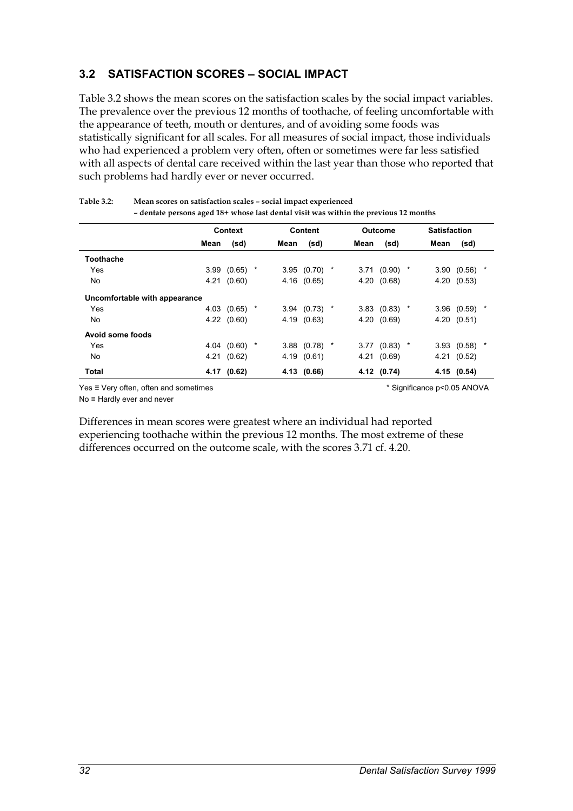## **3.2 SATISFACTION SCORES – SOCIAL IMPACT**

Table 3.2 shows the mean scores on the satisfaction scales by the social impact variables. The prevalence over the previous 12 months of toothache, of feeling uncomfortable with the appearance of teeth, mouth or dentures, and of avoiding some foods was statistically significant for all scales. For all measures of social impact, those individuals who had experienced a problem very often, often or sometimes were far less satisfied with all aspects of dental care received within the last year than those who reported that such problems had hardly ever or never occurred.

|                               |      | <b>Context</b>  |      | <b>Content</b>  |      | <b>Outcome</b>  | <b>Satisfaction</b> |             |   |
|-------------------------------|------|-----------------|------|-----------------|------|-----------------|---------------------|-------------|---|
|                               | Mean | (sd)            | Mean | (sd)            | Mean | (sd)            | Mean                | (sd)        |   |
| <b>Toothache</b>              |      |                 |      |                 |      |                 |                     |             |   |
| <b>Yes</b>                    |      | $3.99$ (0.65) * |      | $3.95$ (0.70) * |      | $3.71$ (0.90) * |                     | 3.90(0.56)  | * |
| No.                           |      | 4.21 (0.60)     |      | 4.16 (0.65)     |      | 4.20 (0.68)     |                     | 4.20 (0.53) |   |
| Uncomfortable with appearance |      |                 |      |                 |      |                 |                     |             |   |
| Yes                           |      | 4.03 $(0.65)$ * |      | $3.94$ (0.73) * |      | $3.83$ (0.83) * |                     | 3.96(0.59)  |   |
| No.                           |      | 4.22(0.60)      |      | 4.19 (0.63)     |      | 4.20(0.69)      |                     | 4.20(0.51)  |   |
| Avoid some foods              |      |                 |      |                 |      |                 |                     |             |   |
| Yes                           |      | 4.04 $(0.60)$ * |      | $3.88$ (0.78) * |      | $3.77$ (0.83) * |                     | 3.93(0.58)  |   |
| No.                           |      | 4.21 (0.62)     |      | 4.19 (0.61)     |      | 4.21 (0.69)     |                     | 4.21 (0.52) |   |
| Total                         |      | 4.17 (0.62)     |      | 4.13 (0.66)     |      | 4.12 (0.74)     |                     | 4.15 (0.54) |   |

**Table 3.2: Mean scores on satisfaction scales – social impact experienced – dentate persons aged 18+ whose last dental visit was within the previous 12 months**

Yes ≡ Very often, often and sometimes \* Significance p<0.05 ANOVA

No ≡ Hardly ever and never

Differences in mean scores were greatest where an individual had reported experiencing toothache within the previous 12 months. The most extreme of these differences occurred on the outcome scale, with the scores 3.71 cf. 4.20.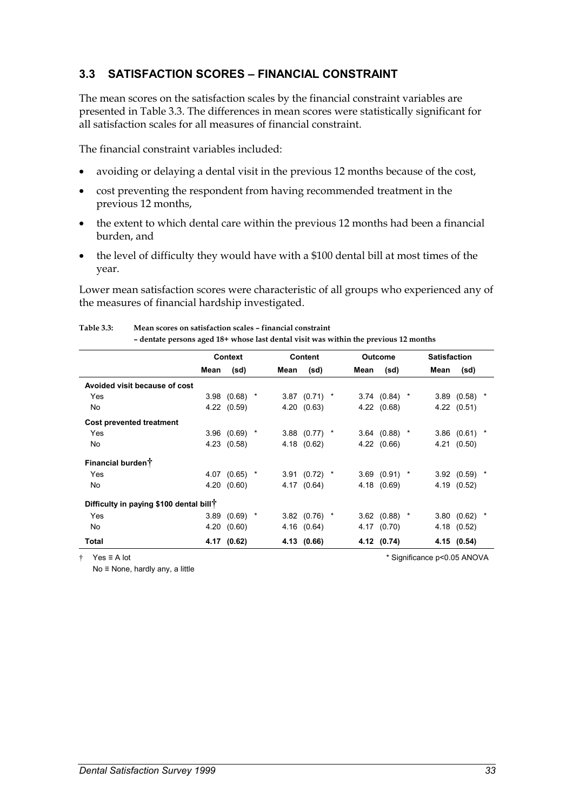### **3.3 SATISFACTION SCORES – FINANCIAL CONSTRAINT**

The mean scores on the satisfaction scales by the financial constraint variables are presented in Table 3.3. The differences in mean scores were statistically significant for all satisfaction scales for all measures of financial constraint.

The financial constraint variables included:

- $\bullet$ avoiding or delaying a dental visit in the previous 12 months because of the cost,
- $\bullet$  cost preventing the respondent from having recommended treatment in the previous 12 months,
- $\bullet$  the extent to which dental care within the previous 12 months had been a financial burden, and
- $\bullet$  the level of difficulty they would have with a \$100 dental bill at most times of the year.

Lower mean satisfaction scores were characteristic of all groups who experienced any of the measures of financial hardship investigated.

|                                                     |      | <b>Context</b>    |   |      | Content         |      | Outcome         |         | <b>Satisfaction</b> |                   |         |
|-----------------------------------------------------|------|-------------------|---|------|-----------------|------|-----------------|---------|---------------------|-------------------|---------|
|                                                     | Mean | (sd)              |   | Mean | (sd)            | Mean | (sd)            |         | Mean                | (sd)              |         |
| Avoided visit because of cost                       |      |                   |   |      |                 |      |                 |         |                     |                   |         |
| Yes                                                 |      | 3.98(0.68)        | × |      | $3.87$ (0.71) * |      | 3.74(0.84)      | $\star$ |                     | 3.89(0.58)        | $\star$ |
| No                                                  | 4.22 | (0.59)            |   |      | 4.20 (0.63)     |      | 4.22 (0.68)     |         |                     | 4.22(0.51)        |         |
| Cost prevented treatment                            |      |                   |   |      |                 |      |                 |         |                     |                   |         |
| Yes                                                 |      | $3.96$ $(0.69)$ * |   | 3.88 | $(0.77)$ *      |      | $3.64$ (0.88) * |         | 3.86                | (0.61)            |         |
| No.                                                 | 4.23 | (0.58)            |   | 4.18 | (0.62)          | 4.22 | (0.66)          |         | 4.21                | (0.50)            |         |
| Financial burden <sup>†</sup>                       |      |                   |   |      |                 |      |                 |         |                     |                   |         |
| Yes                                                 |      | 4.07 $(0.65)$ *   |   |      | $3.91(0.72)$ *  |      | $3.69$ (0.91) * |         |                     | $3.92$ (0.59) $*$ |         |
| No.                                                 |      | 4.20(0.60)        |   |      | 4.17 (0.64)     | 4.18 | (0.69)          |         |                     | 4.19 (0.52)       |         |
| Difficulty in paying \$100 dental bill <sup>†</sup> |      |                   |   |      |                 |      |                 |         |                     |                   |         |
| Yes                                                 | 3.89 | $(0.69)$ *        |   |      | $3.82$ (0.76) * |      | $3.62$ (0.88) * |         | 3.80                | (0.62)            | $\ast$  |
| No.                                                 | 4.20 | (0.60)            |   |      | 4.16 (0.64)     |      | 4.17 (0.70)     |         | 4.18                | (0.52)            |         |
| Total                                               |      | 4.17 (0.62)       |   |      | 4.13 (0.66)     |      | 4.12 (0.74)     |         |                     | 4.15 (0.54)       |         |

**Table 3.3: Mean scores on satisfaction scales – financial constraint – dentate persons aged 18+ whose last dental visit was within the previous 12 months**

No ≡ None, hardly any, a little

† Yes ≡ A lot \* Significance p<0.05 ANOVA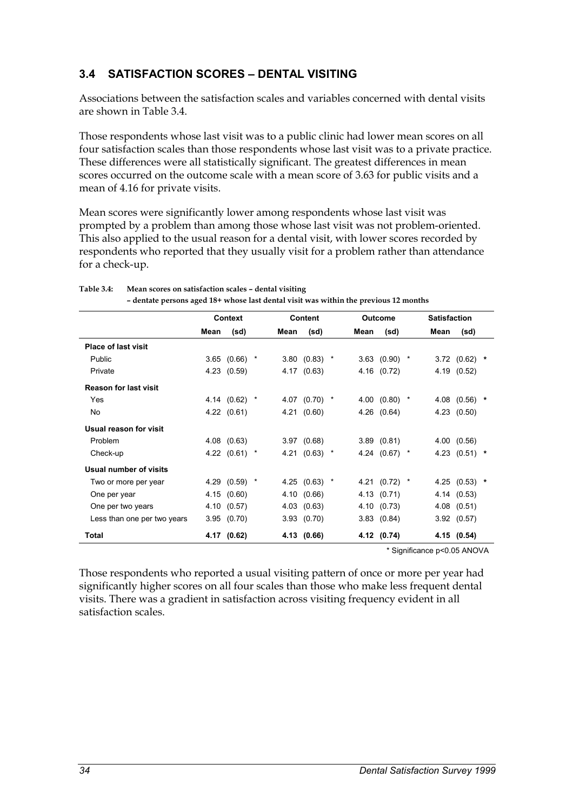## **3.4 SATISFACTION SCORES – DENTAL VISITING**

Associations between the satisfaction scales and variables concerned with dental visits are shown in Table 3.4.

Those respondents whose last visit was to a public clinic had lower mean scores on all four satisfaction scales than those respondents whose last visit was to a private practice. These differences were all statistically significant. The greatest differences in mean scores occurred on the outcome scale with a mean score of 3.63 for public visits and a mean of 4.16 for private visits.

Mean scores were significantly lower among respondents whose last visit was prompted by a problem than among those whose last visit was not problem-oriented. This also applied to the usual reason for a dental visit, with lower scores recorded by respondents who reported that they usually visit for a problem rather than attendance for a check-up.

|                              |      | <b>Context</b>  |      | Content         |      | Outcome           | <b>Satisfaction</b> |                 |  |
|------------------------------|------|-----------------|------|-----------------|------|-------------------|---------------------|-----------------|--|
|                              | Mean | (sd)            | Mean | (sd)            | Mean | (sd)              | Mean                | (sd)            |  |
| <b>Place of last visit</b>   |      |                 |      |                 |      |                   |                     |                 |  |
| Public                       |      | $3.65$ (0.66) * |      | $3.80(0.83)$ *  |      | $3.63$ (0.90) $*$ |                     | $3.72$ (0.62) * |  |
| Private                      |      | 4.23 (0.59)     |      | 4.17 (0.63)     |      | 4.16 (0.72)       |                     | 4.19 (0.52)     |  |
| <b>Reason for last visit</b> |      |                 |      |                 |      |                   |                     |                 |  |
| Yes                          |      | 4.14 (0.62) *   |      | 4.07 $(0.70)$ * |      | 4.00 $(0.80)$ *   |                     | 4.08 $(0.56)$ * |  |
| No                           |      | 4.22(0.61)      |      | 4.21 (0.60)     |      | 4.26 (0.64)       |                     | 4.23 (0.50)     |  |
| Usual reason for visit       |      |                 |      |                 |      |                   |                     |                 |  |
| <b>Problem</b>               |      | 4.08 (0.63)     |      | 3.97(0.68)      |      | 3.89(0.81)        |                     | 4.00(0.56)      |  |
| Check-up                     |      | 4.22 $(0.61)$ * |      | 4.21 $(0.63)$ * |      | 4.24 $(0.67)$ *   |                     | 4.23 $(0.51)$ * |  |
| Usual number of visits       |      |                 |      |                 |      |                   |                     |                 |  |
| Two or more per year         |      | 4.29 (0.59) *   |      | 4.25 $(0.63)$ * |      | 4.21 $(0.72)$ *   |                     | 4.25 $(0.53)$ * |  |
| One per year                 |      | 4.15 (0.60)     |      | 4.10 (0.66)     |      | 4.13 (0.71)       |                     | 4.14 (0.53)     |  |
| One per two years            |      | 4.10 (0.57)     |      | 4.03 (0.63)     |      | 4.10 (0.73)       |                     | $4.08$ $(0.51)$ |  |
| Less than one per two years  |      | 3.95(0.70)      |      | 3.93(0.70)      |      | 3.83(0.84)        |                     | 3.92(0.57)      |  |
| Total                        |      | 4.17 (0.62)     |      | 4.13 (0.66)     |      | 4.12 (0.74)       |                     | 4.15 (0.54)     |  |

**Table 3.4: Mean scores on satisfaction scales – dental visiting** 

**– dentate persons aged 18+ whose last dental visit was within the previous 12 months**

\* Significance p<0.05 ANOVA

Those respondents who reported a usual visiting pattern of once or more per year had significantly higher scores on all four scales than those who make less frequent dental visits. There was a gradient in satisfaction across visiting frequency evident in all satisfaction scales.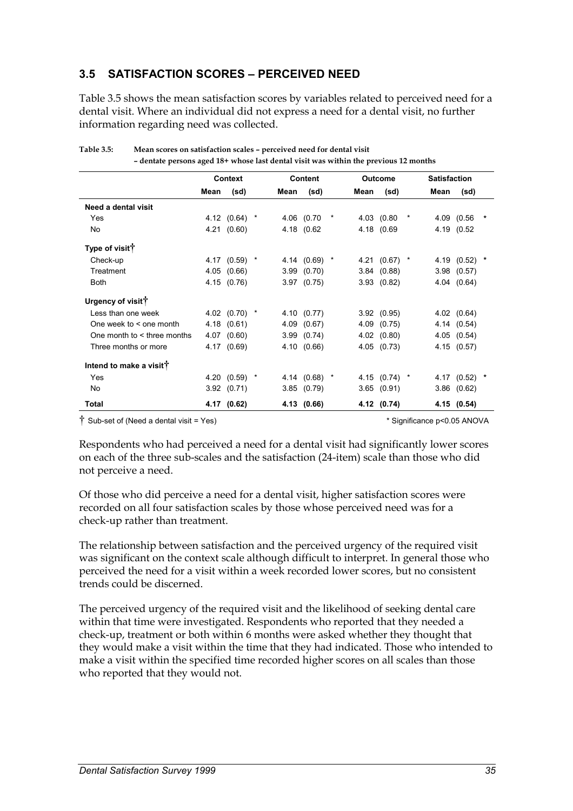## **3.5 SATISFACTION SCORES – PERCEIVED NEED**

Table 3.5 shows the mean satisfaction scores by variables related to perceived need for a dental visit. Where an individual did not express a need for a dental visit, no further information regarding need was collected.

|                                     |      | Context         |      | <b>Content</b>  |         |      | <b>Outcome</b>  |            | <b>Satisfaction</b> |                 |        |
|-------------------------------------|------|-----------------|------|-----------------|---------|------|-----------------|------------|---------------------|-----------------|--------|
|                                     | Mean |                 | Mean |                 |         | Mean |                 |            | Mean                |                 |        |
|                                     |      | (sd)            |      | (sd)            |         |      | (sd)            |            |                     | (sd)            |        |
| Need a dental visit                 |      |                 |      |                 |         |      |                 |            |                     |                 |        |
| Yes                                 |      | 4.12 $(0.64)$ * |      | 4.06 (0.70      | $\star$ |      | 4.03 (0.80      | $^{\star}$ |                     | 4.09 (0.56      | $\ast$ |
| <b>No</b>                           |      | 4.21(0.60)      |      | 4.18 (0.62      |         |      | 4.18 (0.69      |            |                     | 4.19 (0.52      |        |
| Type of visit <sup>†</sup>          |      |                 |      |                 |         |      |                 |            |                     |                 |        |
| Check-up                            |      | 4.17 $(0.59)$ * |      | 4.14 $(0.69)$ * |         |      | 4.21 $(0.67)$ * |            |                     | 4.19 (0.52) *   |        |
| Treatment                           |      | 4.05(0.66)      |      | 3.99(0.70)      |         |      | 3.84(0.88)      |            |                     | $3.98$ $(0.57)$ |        |
| <b>Both</b>                         |      | 4.15 (0.76)     |      | $3.97$ $(0.75)$ |         |      | 3.93(0.82)      |            |                     | 4.04 (0.64)     |        |
| Urgency of visit <sup>†</sup>       |      |                 |      |                 |         |      |                 |            |                     |                 |        |
| Less than one week                  |      | 4.02 $(0.70)$ * |      | 4.10 (0.77)     |         |      | 3.92(0.95)      |            |                     | 4.02(0.64)      |        |
| One week to $\leq$ one month        |      | 4.18 (0.61)     |      | 4.09 (0.67)     |         |      | 4.09 (0.75)     |            |                     | 4.14 (0.54)     |        |
| One month to $\lt$ three months     |      | 4.07 (0.60)     |      | 3.99(0.74)      |         |      | $4.02$ $(0.80)$ |            |                     | 4.05(0.54)      |        |
| Three months or more                |      | 4.17 (0.69)     |      | 4.10 (0.66)     |         |      | 4.05 (0.73)     |            |                     | 4.15 (0.57)     |        |
| Intend to make a visit <sup>†</sup> |      |                 |      |                 |         |      |                 |            |                     |                 |        |
| Yes                                 |      | 4.20 (0.59) *   |      | 4.14 $(0.68)$ * |         |      | 4.15 (0.74) *   |            |                     | 4.17 (0.52)     | *      |
| No.                                 |      | 3.92(0.71)      |      | 3.85(0.79)      |         |      | 3.65(0.91)      |            |                     | $3.86$ $(0.62)$ |        |
| <b>Total</b>                        |      | 4.17 (0.62)     |      | 4.13 (0.66)     |         |      | 4.12 (0.74)     |            |                     | 4.15(0.54)      |        |

**Table 3.5: Mean scores on satisfaction scales – perceived need for dental visit – dentate persons aged 18+ whose last dental visit was within the previous 12 months**

† Sub-set of (Need a dental visit = Yes) \* Significance p<0.05 ANOVA

Respondents who had perceived a need for a dental visit had significantly lower scores on each of the three sub-scales and the satisfaction (24-item) scale than those who did not perceive a need.

Of those who did perceive a need for a dental visit, higher satisfaction scores were recorded on all four satisfaction scales by those whose perceived need was for a check-up rather than treatment.

The relationship between satisfaction and the perceived urgency of the required visit was significant on the context scale although difficult to interpret. In general those who perceived the need for a visit within a week recorded lower scores, but no consistent trends could be discerned.

The perceived urgency of the required visit and the likelihood of seeking dental care within that time were investigated. Respondents who reported that they needed a check-up, treatment or both within 6 months were asked whether they thought that they would make a visit within the time that they had indicated. Those who intended to make a visit within the specified time recorded higher scores on all scales than those who reported that they would not.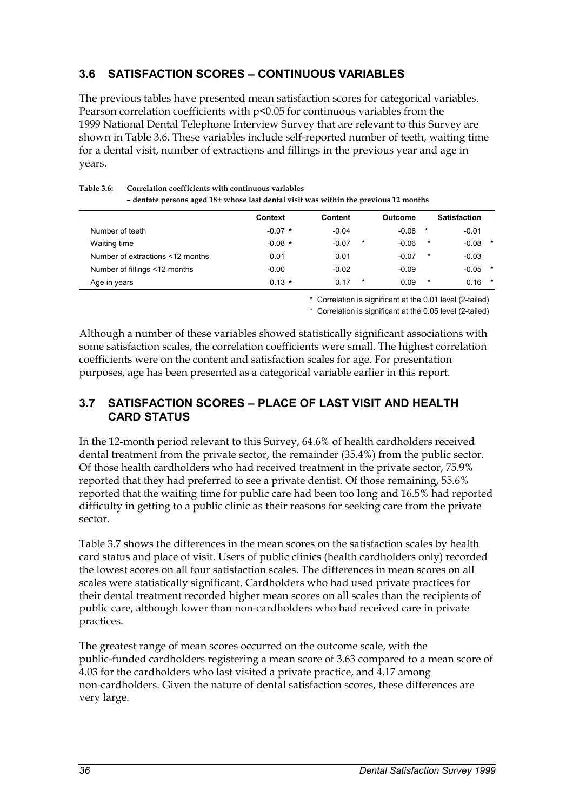## **3.6 SATISFACTION SCORES – CONTINUOUS VARIABLES**

The previous tables have presented mean satisfaction scores for categorical variables. Pearson correlation coefficients with p<0.05 for continuous variables from the 1999 National Dental Telephone Interview Survey that are relevant to this Survey are shown in Table 3.6. These variables include self-reported number of teeth, waiting time for a dental visit, number of extractions and fillings in the previous year and age in years.

|                                  | <b>Context</b> | Content |         | <b>Outcome</b> |         | <b>Satisfaction</b> |         |
|----------------------------------|----------------|---------|---------|----------------|---------|---------------------|---------|
| Number of teeth                  | $-0.07$ *      | $-0.04$ |         | $-0.08$        | $\ast$  | $-0.01$             |         |
| Waiting time                     | $-0.08$ *      | $-0.07$ | $\star$ | $-0.06$        | $\star$ | $-0.08$             | $\star$ |
| Number of extractions <12 months | 0.01           | 0.01    |         | $-0.07$        | $\star$ | $-0.03$             |         |
| Number of fillings <12 months    | $-0.00$        | $-0.02$ |         | $-0.09$        |         | $-0.05$             | $\star$ |
| Age in years                     | $0.13 *$       | 0.17    | $\star$ | 0.09           | $\star$ | $0.16$ *            |         |

**Table 3.6: Correlation coefficients with continuous variables – dentate persons aged 18+ whose last dental visit was within the previous 12 months** 

\* Correlation is significant at the 0.01 level (2-tailed)

\* Correlation is significant at the 0.05 level (2-tailed)

Although a number of these variables showed statistically significant associations with some satisfaction scales, the correlation coefficients were small. The highest correlation coefficients were on the content and satisfaction scales for age. For presentation purposes, age has been presented as a categorical variable earlier in this report.

### **3.7 SATISFACTION SCORES – PLACE OF LAST VISIT AND HEALTH CARD STATUS**

In the 12-month period relevant to this Survey, 64.6% of health cardholders received dental treatment from the private sector, the remainder (35.4%) from the public sector. Of those health cardholders who had received treatment in the private sector, 75.9% reported that they had preferred to see a private dentist. Of those remaining, 55.6% reported that the waiting time for public care had been too long and 16.5% had reported difficulty in getting to a public clinic as their reasons for seeking care from the private sector.

Table 3.7 shows the differences in the mean scores on the satisfaction scales by health card status and place of visit. Users of public clinics (health cardholders only) recorded the lowest scores on all four satisfaction scales. The differences in mean scores on all scales were statistically significant. Cardholders who had used private practices for their dental treatment recorded higher mean scores on all scales than the recipients of public care, although lower than non-cardholders who had received care in private practices.

The greatest range of mean scores occurred on the outcome scale, with the public-funded cardholders registering a mean score of 3.63 compared to a mean score of 4.03 for the cardholders who last visited a private practice, and 4.17 among non-cardholders. Given the nature of dental satisfaction scores, these differences are very large.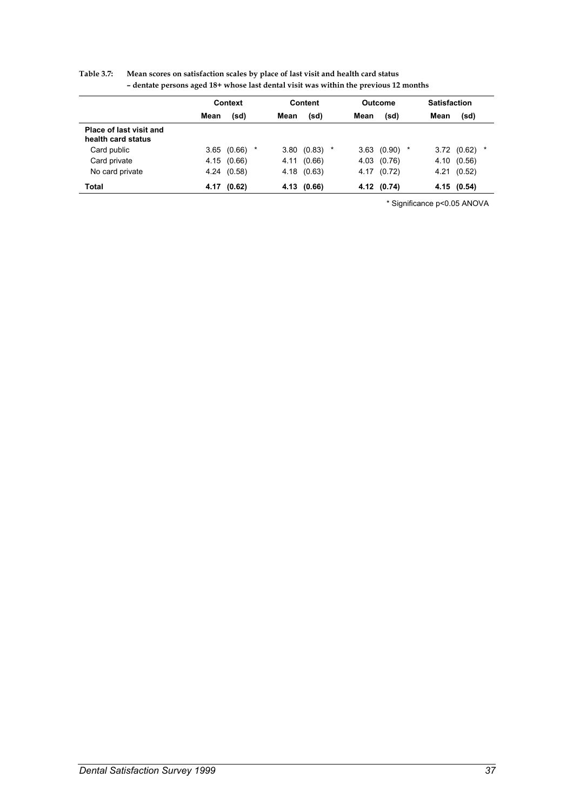|                                               |      | Context |   |      | Content     |      | Outcome     |        | <b>Satisfaction</b> |             |         |
|-----------------------------------------------|------|---------|---|------|-------------|------|-------------|--------|---------------------|-------------|---------|
|                                               | Mean | (sd)    |   | Mean | (sd)        | Mean | (sd)        |        | Mean                | (sd)        |         |
| Place of last visit and<br>health card status |      |         |   |      |             |      |             |        |                     |             |         |
| Card public                                   | 3.65 | (0.66)  | * | 3.80 | (0.83)      |      | 3.63(0.90)  | $\ast$ |                     | 3.72(0.62)  | $\star$ |
| Card private                                  | 4.15 | (0.66)  |   | 4.11 | (0.66)      |      | 4.03 (0.76) |        | 4.10                | (0.56)      |         |
| No card private                               | 4.24 | (0.58)  |   |      | 4.18 (0.63) |      | 4.17 (0.72) |        | 4.21                | (0.52)      |         |
| Total                                         | 4.17 | (0.62)  |   |      | 4.13 (0.66) |      | 4.12 (0.74) |        |                     | 4.15 (0.54) |         |

| <b>Table 3.7:</b> | Mean scores on satisfaction scales by place of last visit and health card status     |
|-------------------|--------------------------------------------------------------------------------------|
|                   | - dentate persons aged 18+ whose last dental visit was within the previous 12 months |

\* Significance p<0.05 ANOVA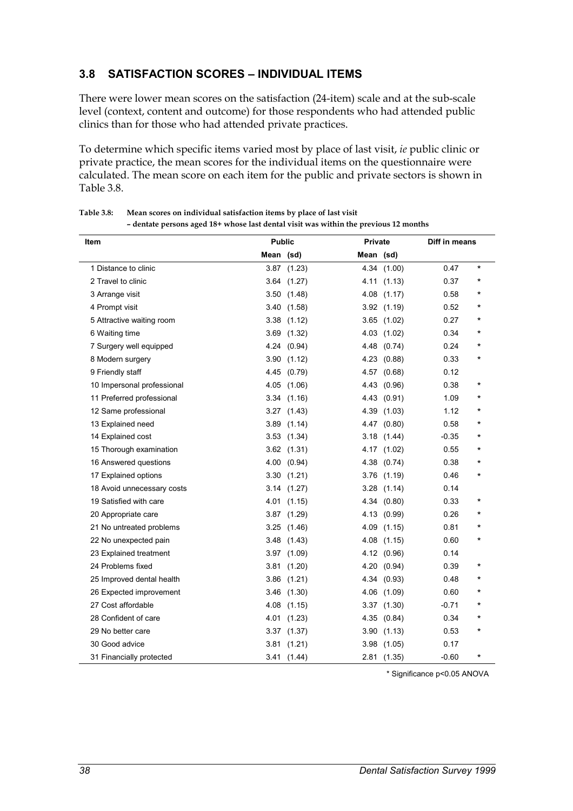## **3.8 SATISFACTION SCORES – INDIVIDUAL ITEMS**

There were lower mean scores on the satisfaction (24-item) scale and at the sub-scale level (context, content and outcome) for those respondents who had attended public clinics than for those who had attended private practices.

To determine which specific items varied most by place of last visit, *ie* public clinic or private practice, the mean scores for the individual items on the questionnaire were calculated. The mean score on each item for the public and private sectors is shown in Table 3.8.

| Item                       | <b>Public</b> |                 | Private   |                 | Diff in means |          |
|----------------------------|---------------|-----------------|-----------|-----------------|---------------|----------|
|                            | Mean (sd)     |                 | Mean (sd) |                 |               |          |
| 1 Distance to clinic       | 3.87          | (1.23)          |           | 4.34 (1.00)     | 0.47          | $\star$  |
| 2 Travel to clinic         | 3.64          | (1.27)          | 4.11      | (1.13)          | 0.37          | *        |
| 3 Arrange visit            | 3.50          | (1.48)          | 4.08      | (1.17)          | 0.58          | *        |
| 4 Prompt visit             |               | 3.40(1.58)      |           | 3.92(1.19)      | 0.52          | $\star$  |
| 5 Attractive waiting room  |               | $3.38$ $(1.12)$ |           | $3.65$ $(1.02)$ | 0.27          | $\star$  |
| 6 Waiting time             | 3.69          | (1.32)          | 4.03      | (1.02)          | 0.34          | $\star$  |
| 7 Surgery well equipped    |               | 4.24 (0.94)     |           | 4.48 (0.74)     | 0.24          | $^\star$ |
| 8 Modern surgery           |               | 3.90(1.12)      | 4.23      | (0.88)          | 0.33          | $^\star$ |
| 9 Friendly staff           |               | 4.45 (0.79)     | 4.57      | (0.68)          | 0.12          |          |
| 10 Impersonal professional | 4.05          | (1.06)          | 4.43      | (0.96)          | 0.38          | $^\star$ |
| 11 Preferred professional  | 3.34          | (1.16)          | 4.43      | (0.91)          | 1.09          | $^\star$ |
| 12 Same professional       | 3.27          | (1.43)          | 4.39      | (1.03)          | 1.12          | $^\star$ |
| 13 Explained need          |               | $3.89$ $(1.14)$ | 4.47      | (0.80)          | 0.58          | $^\star$ |
| 14 Explained cost          |               | 3.53(1.34)      |           | 3.18(1.44)      | $-0.35$       | *        |
| 15 Thorough examination    |               | $3.62$ $(1.31)$ |           | 4.17 (1.02)     | 0.55          | *        |
| 16 Answered questions      |               | 4.00 (0.94)     | 4.38      | (0.74)          | 0.38          | $\star$  |
| 17 Explained options       |               | 3.30(1.21)      | 3.76      | (1.19)          | 0.46          | $^\star$ |
| 18 Avoid unnecessary costs | 3.14          | (1.27)          | 3.28      | (1.14)          | 0.14          |          |
| 19 Satisfied with care     | 4.01          | (1.15)          | 4.34      | (0.80)          | 0.33          | *        |
| 20 Appropriate care        | 3.87          | (1.29)          | 4.13      | (0.99)          | 0.26          | $^\star$ |
| 21 No untreated problems   | 3.25          | (1.46)          |           | 4.09 (1.15)     | 0.81          | $\star$  |
| 22 No unexpected pain      | 3.48          | (1.43)          |           | 4.08 (1.15)     | 0.60          | $^\star$ |
| 23 Explained treatment     |               | 3.97 (1.09)     |           | 4.12 (0.96)     | 0.14          |          |
| 24 Problems fixed          | 3.81          | (1.20)          | 4.20      | (0.94)          | 0.39          | $^\star$ |
| 25 Improved dental health  | 3.86          | (1.21)          | 4.34      | (0.93)          | 0.48          | *        |
| 26 Expected improvement    | 3.46          | (1.30)          | 4.06      | (1.09)          | 0.60          | $\star$  |
| 27 Cost affordable         | 4.08          | (1.15)          |           | $3.37$ $(1.30)$ | $-0.71$       | $^\star$ |
| 28 Confident of care       | 4.01          | (1.23)          | 4.35      | (0.84)          | 0.34          | $\star$  |
| 29 No better care          | 3.37          | (1.37)          |           | 3.90(1.13)      | 0.53          | $\star$  |
| 30 Good advice             | 3.81          | (1.21)          | 3.98      | (1.05)          | 0.17          |          |
| 31 Financially protected   | 3.41          | (1.44)          |           | 2.81 (1.35)     | $-0.60$       | *        |

| <b>Table 3.8:</b> | Mean scores on individual satisfaction items by place of last visit |  |
|-------------------|---------------------------------------------------------------------|--|
|-------------------|---------------------------------------------------------------------|--|

**– dentate persons aged 18+ whose last dental visit was within the previous 12 months** 

\* Significance p<0.05 ANOVA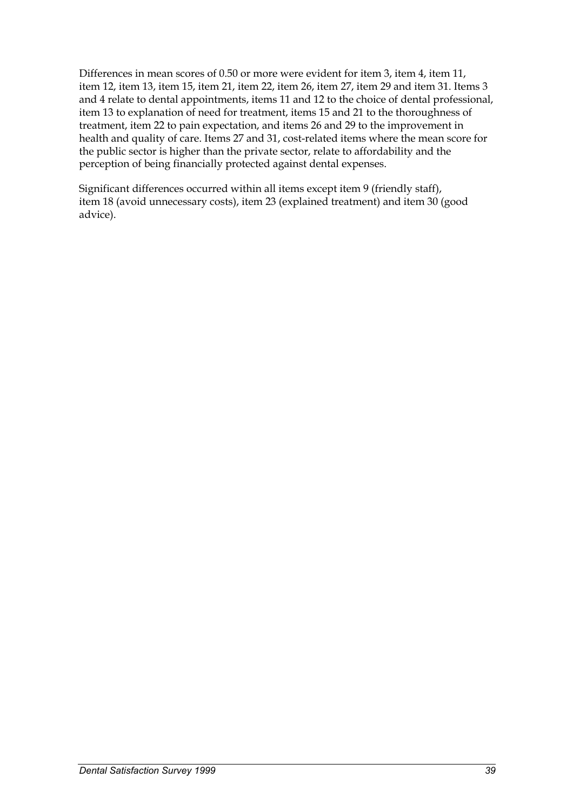Differences in mean scores of 0.50 or more were evident for item 3, item 4, item 11, item 12, item 13, item 15, item 21, item 22, item 26, item 27, item 29 and item 31. Items 3 and 4 relate to dental appointments, items 11 and 12 to the choice of dental professional, item 13 to explanation of need for treatment, items 15 and 21 to the thoroughness of treatment, item 22 to pain expectation, and items 26 and 29 to the improvement in health and quality of care. Items 27 and 31, cost-related items where the mean score for the public sector is higher than the private sector, relate to affordability and the perception of being financially protected against dental expenses.

Significant differences occurred within all items except item 9 (friendly staff), item 18 (avoid unnecessary costs), item 23 (explained treatment) and item 30 (good advice).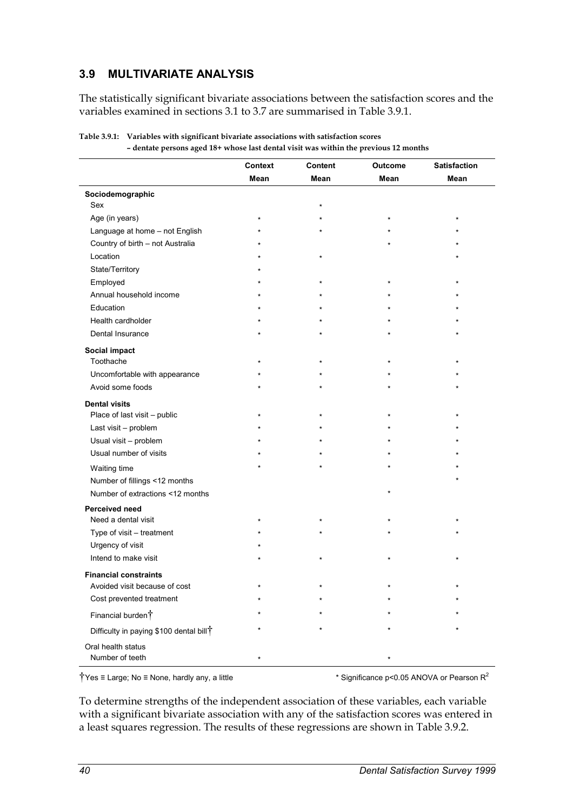## **3.9 MULTIVARIATE ANALYSIS**

The statistically significant bivariate associations between the satisfaction scores and the variables examined in sections 3.1 to 3.7 are summarised in Table 3.9.1.

|                                                     | <b>Context</b> | <b>Content</b> | Outcome  | <b>Satisfaction</b> |
|-----------------------------------------------------|----------------|----------------|----------|---------------------|
|                                                     | Mean           | Mean           | Mean     | Mean                |
| Sociodemographic                                    |                |                |          |                     |
| Sex                                                 |                | $\star$        |          |                     |
| Age (in years)                                      | $\star$        |                | $^\star$ | ÷                   |
| Language at home - not English                      |                |                |          |                     |
| Country of birth - not Australia                    |                |                |          |                     |
| Location                                            |                | $\star$        |          |                     |
| State/Territory                                     |                |                |          |                     |
| Employed                                            |                | $\star$        | $\star$  |                     |
| Annual household income                             |                |                |          |                     |
| Education                                           |                |                |          |                     |
| Health cardholder                                   |                |                |          |                     |
| Dental Insurance                                    |                |                |          |                     |
| Social impact                                       |                |                |          |                     |
| Toothache                                           |                |                |          |                     |
| Uncomfortable with appearance                       |                |                |          |                     |
| Avoid some foods                                    |                |                |          |                     |
| <b>Dental visits</b>                                |                |                |          |                     |
| Place of last visit - public                        |                |                |          |                     |
| Last visit - problem                                |                |                |          |                     |
| Usual visit - problem                               |                |                |          |                     |
| Usual number of visits                              |                |                |          |                     |
| Waiting time                                        |                |                |          |                     |
| Number of fillings <12 months                       |                |                |          |                     |
| Number of extractions <12 months                    |                |                | $\star$  |                     |
| Perceived need                                      |                |                |          |                     |
| Need a dental visit                                 |                |                |          |                     |
| Type of visit - treatment                           |                |                |          |                     |
| Urgency of visit                                    |                |                |          |                     |
| Intend to make visit                                |                | $\star$        | $\star$  |                     |
| <b>Financial constraints</b>                        |                |                |          |                     |
| Avoided visit because of cost                       |                |                |          |                     |
| Cost prevented treatment                            |                |                |          |                     |
| Financial burden <sup>†</sup>                       |                |                |          |                     |
|                                                     |                |                |          |                     |
| Difficulty in paying \$100 dental bill <sup>†</sup> |                |                |          |                     |
| Oral health status                                  |                |                |          |                     |
| Number of teeth                                     |                |                |          |                     |

| Table 3.9.1: Variables with significant bivariate associations with satisfaction scores |  |  |  |  |  |  |
|-----------------------------------------------------------------------------------------|--|--|--|--|--|--|
| - dentate persons aged 18+ whose last dental visit was within the previous 12 months    |  |  |  |  |  |  |

 $\dagger$ Yes ≡ Large; No ≡ None, hardly any, a little  $\ddagger$   $\ddagger$  Significance p<0.05 ANOVA or Pearson R<sup>2</sup>

To determine strengths of the independent association of these variables, each variable with a significant bivariate association with any of the satisfaction scores was entered in a least squares regression. The results of these regressions are shown in Table 3.9.2.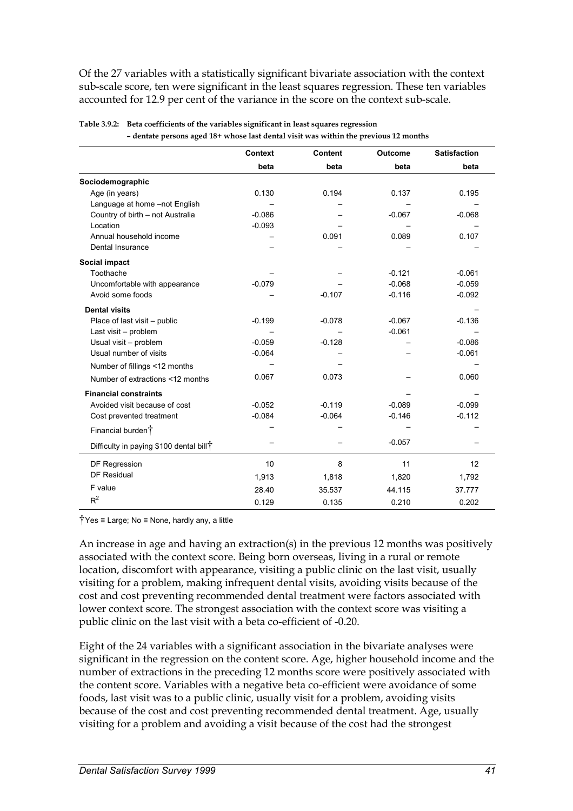Of the 27 variables with a statistically significant bivariate association with the context sub-scale score, ten were significant in the least squares regression. These ten variables accounted for 12.9 per cent of the variance in the score on the context sub-scale.

|                                                     | <b>Context</b> | <b>Content</b> | <b>Outcome</b> | <b>Satisfaction</b> |
|-----------------------------------------------------|----------------|----------------|----------------|---------------------|
|                                                     | beta           | beta           | beta           | beta                |
| Sociodemographic                                    |                |                |                |                     |
| Age (in years)                                      | 0.130          | 0.194          | 0.137          | 0.195               |
| Language at home -not English                       |                |                |                |                     |
| Country of birth - not Australia                    | $-0.086$       |                | $-0.067$       | $-0.068$            |
| Location                                            | $-0.093$       |                |                |                     |
| Annual household income                             |                | 0.091          | 0.089          | 0.107               |
| Dental Insurance                                    |                |                |                |                     |
| Social impact                                       |                |                |                |                     |
| Toothache                                           |                |                | $-0.121$       | $-0.061$            |
| Uncomfortable with appearance                       | $-0.079$       |                | $-0.068$       | $-0.059$            |
| Avoid some foods                                    |                | $-0.107$       | $-0.116$       | $-0.092$            |
| <b>Dental visits</b>                                |                |                |                |                     |
| Place of last visit - public                        | $-0.199$       | $-0.078$       | $-0.067$       | $-0.136$            |
| Last visit - problem                                |                |                | $-0.061$       |                     |
| Usual visit - problem                               | $-0.059$       | $-0.128$       |                | $-0.086$            |
| Usual number of visits                              | $-0.064$       |                |                | $-0.061$            |
| Number of fillings <12 months                       |                |                |                |                     |
| Number of extractions <12 months                    | 0.067          | 0.073          |                | 0.060               |
| <b>Financial constraints</b>                        |                |                |                |                     |
| Avoided visit because of cost                       | $-0.052$       | $-0.119$       | $-0.089$       | $-0.099$            |
| Cost prevented treatment                            | $-0.084$       | $-0.064$       | $-0.146$       | $-0.112$            |
| Financial burden <sup>†</sup>                       |                |                |                |                     |
| Difficulty in paying \$100 dental bill <sup>†</sup> |                |                | $-0.057$       |                     |
| DF Regression                                       | 10             | 8              | 11             | 12                  |
| DF Residual                                         | 1,913          | 1,818          | 1,820          | 1,792               |
| F value                                             | 28.40          | 35.537         | 44.115         | 37.777              |
| $R^2$                                               | 0.129          | 0.135          | 0.210          | 0.202               |

| Table 3.9.2: Beta coefficients of the variables significant in least squares regression |  |  |  |  |  |  |  |
|-----------------------------------------------------------------------------------------|--|--|--|--|--|--|--|
| - dentate persons aged 18+ whose last dental visit was within the previous 12 months    |  |  |  |  |  |  |  |

†Yes ≡ Large; No ≡ None, hardly any, a little

An increase in age and having an extraction(s) in the previous 12 months was positively associated with the context score. Being born overseas, living in a rural or remote location, discomfort with appearance, visiting a public clinic on the last visit, usually visiting for a problem, making infrequent dental visits, avoiding visits because of the cost and cost preventing recommended dental treatment were factors associated with lower context score. The strongest association with the context score was visiting a public clinic on the last visit with a beta co-efficient of -0.20.

Eight of the 24 variables with a significant association in the bivariate analyses were significant in the regression on the content score. Age, higher household income and the number of extractions in the preceding 12 months score were positively associated with the content score. Variables with a negative beta co-efficient were avoidance of some foods, last visit was to a public clinic, usually visit for a problem, avoiding visits because of the cost and cost preventing recommended dental treatment. Age, usually visiting for a problem and avoiding a visit because of the cost had the strongest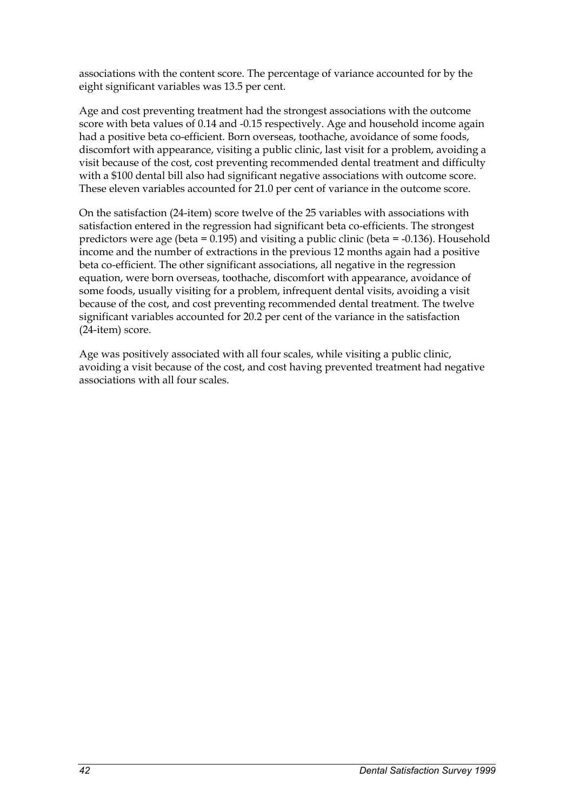associations with the content score. The percentage of variance accounted for by the eight significant variables was 13.5 per cent.

Age and cost preventing treatment had the strongest associations with the outcome score with beta values of 0.14 and -0.15 respectively. Age and household income again had a positive beta co-efficient. Born overseas, toothache, avoidance of some foods, discomfort with appearance, visiting a public clinic, last visit for a problem, avoiding a visit because of the cost, cost preventing recommended dental treatment and difficulty with a \$100 dental bill also had significant negative associations with outcome score. These eleven variables accounted for 21.0 per cent of variance in the outcome score.

On the satisfaction (24-item) score twelve of the 25 variables with associations with satisfaction entered in the regression had significant beta co-efficients. The strongest predictors were age (beta =  $0.195$ ) and visiting a public clinic (beta = -0.136). Household income and the number of extractions in the previous 12 months again had a positive beta co-efficient. The other significant associations, all negative in the regression equation, were born overseas, toothache, discomfort with appearance, avoidance of some foods, usually visiting for a problem, infrequent dental visits, avoiding a visit because of the cost, and cost preventing recommended dental treatment. The twelve significant variables accounted for 20.2 per cent of the variance in the satisfaction (24-item) score.

Age was positively associated with all four scales, while visiting a public clinic, avoiding a visit because of the cost, and cost having prevented treatment had negative associations with all four scales.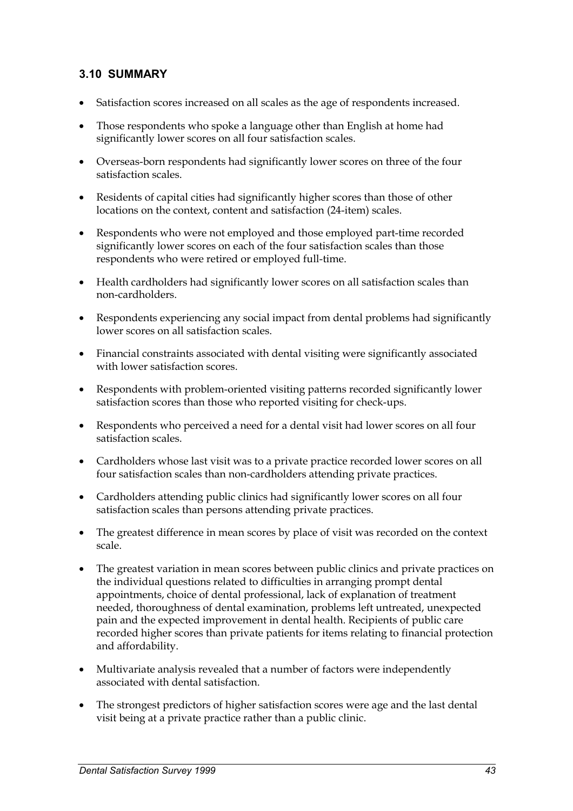## **3.10 SUMMARY**

- $\bullet$ Satisfaction scores increased on all scales as the age of respondents increased.
- $\bullet$  Those respondents who spoke a language other than English at home had significantly lower scores on all four satisfaction scales.
- Overseas-born respondents had significantly lower scores on three of the four satisfaction scales.
- Residents of capital cities had significantly higher scores than those of other locations on the context, content and satisfaction (24-item) scales.
- Respondents who were not employed and those employed part-time recorded significantly lower scores on each of the four satisfaction scales than those respondents who were retired or employed full-time.
- Health cardholders had significantly lower scores on all satisfaction scales than non-cardholders.
- Respondents experiencing any social impact from dental problems had significantly lower scores on all satisfaction scales.
- Financial constraints associated with dental visiting were significantly associated with lower satisfaction scores.
- $\bullet$  Respondents with problem-oriented visiting patterns recorded significantly lower satisfaction scores than those who reported visiting for check-ups.
- Respondents who perceived a need for a dental visit had lower scores on all four satisfaction scales.
- Cardholders whose last visit was to a private practice recorded lower scores on all four satisfaction scales than non-cardholders attending private practices.
- Cardholders attending public clinics had significantly lower scores on all four satisfaction scales than persons attending private practices.
- $\bullet$  The greatest difference in mean scores by place of visit was recorded on the context scale.
- The greatest variation in mean scores between public clinics and private practices on the individual questions related to difficulties in arranging prompt dental appointments, choice of dental professional, lack of explanation of treatment needed, thoroughness of dental examination, problems left untreated, unexpected pain and the expected improvement in dental health. Recipients of public care recorded higher scores than private patients for items relating to financial protection and affordability.
- $\bullet$  Multivariate analysis revealed that a number of factors were independently associated with dental satisfaction.
- $\bullet$  The strongest predictors of higher satisfaction scores were age and the last dental visit being at a private practice rather than a public clinic.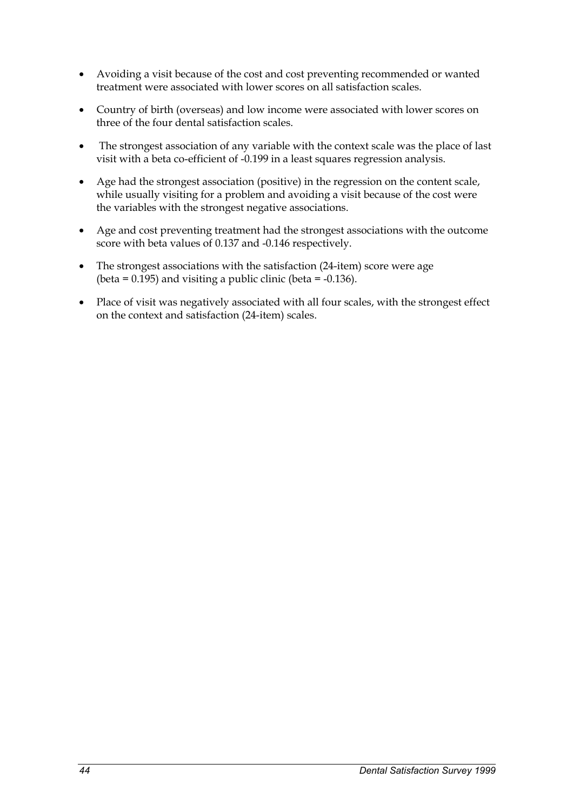- $\bullet$  Avoiding a visit because of the cost and cost preventing recommended or wanted treatment were associated with lower scores on all satisfaction scales.
- $\bullet$  Country of birth (overseas) and low income were associated with lower scores on three of the four dental satisfaction scales.
- - The strongest association of any variable with the context scale was the place of last visit with a beta co-efficient of -0.199 in a least squares regression analysis.
- Age had the strongest association (positive) in the regression on the content scale, while usually visiting for a problem and avoiding a visit because of the cost were the variables with the strongest negative associations.
- $\bullet$  Age and cost preventing treatment had the strongest associations with the outcome score with beta values of 0.137 and -0.146 respectively.
- The strongest associations with the satisfaction (24-item) score were age (beta =  $0.195$ ) and visiting a public clinic (beta =  $-0.136$ ).
- $\bullet$  Place of visit was negatively associated with all four scales, with the strongest effect on the context and satisfaction (24-item) scales.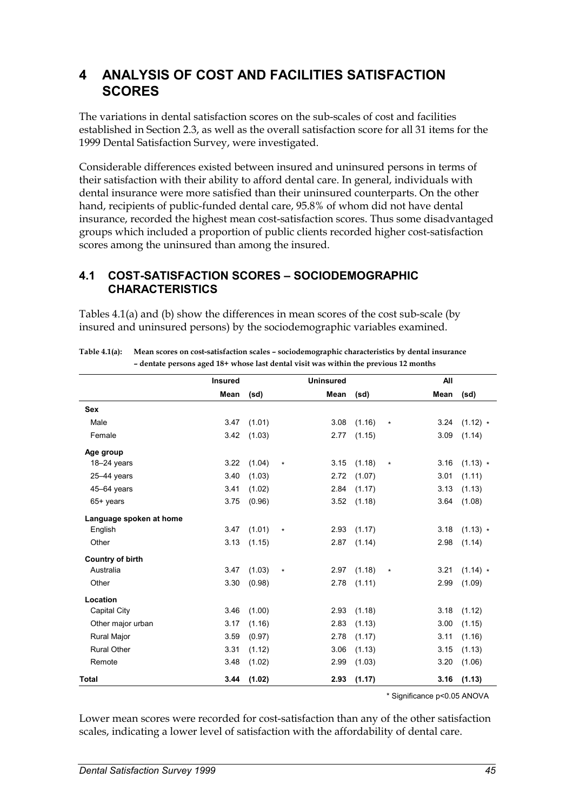## **4 ANALYSIS OF COST AND FACILITIES SATISFACTION SCORES**

The variations in dental satisfaction scores on the sub-scales of cost and facilities established in Section 2.3, as well as the overall satisfaction score for all 31 items for the 1999 Dental Satisfaction Survey, were investigated.

Considerable differences existed between insured and uninsured persons in terms of their satisfaction with their ability to afford dental care. In general, individuals with dental insurance were more satisfied than their uninsured counterparts. On the other hand, recipients of public-funded dental care, 95.8% of whom did not have dental insurance, recorded the highest mean cost-satisfaction scores. Thus some disadvantaged groups which included a proportion of public clients recorded higher cost-satisfaction scores among the uninsured than among the insured.

### **4.1 COST-SATISFACTION SCORES – SOCIODEMOGRAPHIC CHARACTERISTICS**

Tables 4.1(a) and (b) show the differences in mean scores of the cost sub-scale (by insured and uninsured persons) by the sociodemographic variables examined.

|                         | <b>Insured</b> |        |         | <b>Uninsured</b> |                 |         | All  |            |
|-------------------------|----------------|--------|---------|------------------|-----------------|---------|------|------------|
|                         | Mean           | (sd)   |         | Mean             | (sd)            |         | Mean | (sd)       |
| <b>Sex</b>              |                |        |         |                  |                 |         |      |            |
| Male                    | 3.47           | (1.01) |         | 3.08             | (1.16)          | $\star$ | 3.24 | $(1.12)$ * |
| Female                  | 3.42           | (1.03) |         | 2.77             | (1.15)          |         | 3.09 | (1.14)     |
| Age group               |                |        |         |                  |                 |         |      |            |
| $18 - 24$ years         | 3.22           | (1.04) | $\star$ |                  | $3.15$ $(1.18)$ | $\star$ | 3.16 | $(1.13) *$ |
| $25 - 44$ years         | 3.40           | (1.03) |         | 2.72             | (1.07)          |         | 3.01 | (1.11)     |
| $45 - 64$ years         | 3.41           | (1.02) |         | 2.84             | (1.17)          |         | 3.13 | (1.13)     |
| 65+ years               | 3.75           | (0.96) |         |                  | $3.52$ $(1.18)$ |         | 3.64 | (1.08)     |
| Language spoken at home |                |        |         |                  |                 |         |      |            |
| English                 | 3.47           | (1.01) | $\star$ |                  | $2.93$ $(1.17)$ |         | 3.18 | $(1.13) *$ |
| Other                   | 3.13           | (1.15) |         | 2.87             | (1.14)          |         | 2.98 | (1.14)     |
| <b>Country of birth</b> |                |        |         |                  |                 |         |      |            |
| Australia               | 3.47           | (1.03) | $\star$ | 2.97             | (1.18)          | $\star$ | 3.21 | $(1.14)$ * |
| Other                   | 3.30           | (0.98) |         | 2.78             | (1.11)          |         | 2.99 | (1.09)     |
| Location                |                |        |         |                  |                 |         |      |            |
| Capital City            | 3.46           | (1.00) |         | 2.93             | (1.18)          |         | 3.18 | (1.12)     |
| Other major urban       | 3.17           | (1.16) |         | 2.83             | (1.13)          |         | 3.00 | (1.15)     |
| Rural Major             | 3.59           | (0.97) |         | 2.78             | (1.17)          |         | 3.11 | (1.16)     |
| <b>Rural Other</b>      | 3.31           | (1.12) |         | 3.06             | (1.13)          |         | 3.15 | (1.13)     |
| Remote                  | 3.48           | (1.02) |         | 2.99             | (1.03)          |         | 3.20 | (1.06)     |
| <b>Total</b>            | 3.44           | (1.02) |         | 2.93             | (1.17)          |         | 3.16 | (1.13)     |

**Table 4.1(a): Mean scores on cost-satisfaction scales – sociodemographic characteristics by dental insurance – dentate persons aged 18+ whose last dental visit was within the previous 12 months** 

\* Significance p<0.05 ANOVA

Lower mean scores were recorded for cost-satisfaction than any of the other satisfaction scales, indicating a lower level of satisfaction with the affordability of dental care.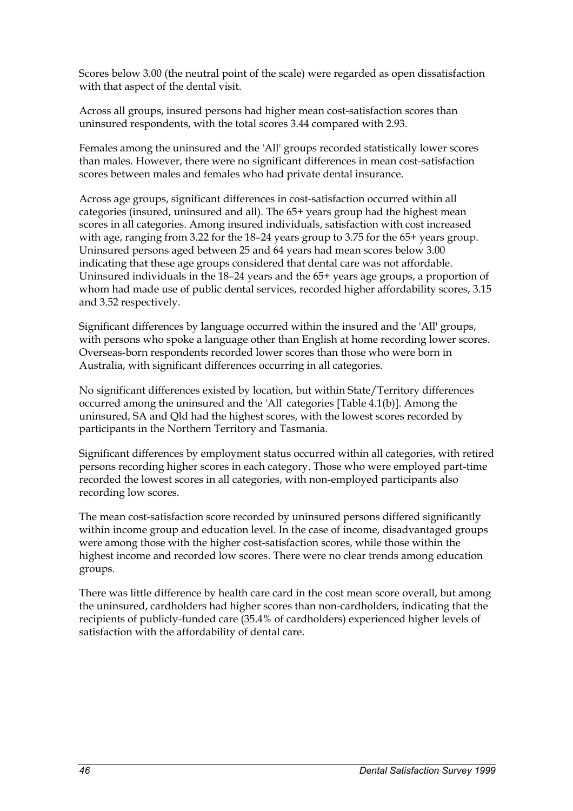Scores below 3.00 (the neutral point of the scale) were regarded as open dissatisfaction with that aspect of the dental visit.

Across all groups, insured persons had higher mean cost-satisfaction scores than uninsured respondents, with the total scores 3.44 compared with 2.93.

Females among the uninsured and the 'All' groups recorded statistically lower scores than males. However, there were no significant differences in mean cost-satisfaction scores between males and females who had private dental insurance.

Across age groups, significant differences in cost-satisfaction occurred within all categories (insured, uninsured and all). The 65+ years group had the highest mean scores in all categories. Among insured individuals, satisfaction with cost increased with age, ranging from 3.22 for the 18–24 years group to 3.75 for the 65+ years group. Uninsured persons aged between 25 and 64 years had mean scores below 3.00 indicating that these age groups considered that dental care was not affordable. Uninsured individuals in the 18–24 years and the 65+ years age groups, a proportion of whom had made use of public dental services, recorded higher affordability scores, 3.15 and 3.52 respectively.

Significant differences by language occurred within the insured and the 'All' groups, with persons who spoke a language other than English at home recording lower scores. Overseas-born respondents recorded lower scores than those who were born in Australia, with significant differences occurring in all categories.

No significant differences existed by location, but within State/Territory differences occurred among the uninsured and the 'All' categories [Table 4.1(b)]. Among the uninsured, SA and Qld had the highest scores, with the lowest scores recorded by participants in the Northern Territory and Tasmania.

Significant differences by employment status occurred within all categories, with retired persons recording higher scores in each category. Those who were employed part-time recorded the lowest scores in all categories, with non-employed participants also recording low scores.

The mean cost-satisfaction score recorded by uninsured persons differed significantly within income group and education level. In the case of income, disadvantaged groups were among those with the higher cost-satisfaction scores, while those within the highest income and recorded low scores. There were no clear trends among education groups.

There was little difference by health care card in the cost mean score overall, but among the uninsured, cardholders had higher scores than non-cardholders, indicating that the recipients of publicly-funded care (35.4% of cardholders) experienced higher levels of satisfaction with the affordability of dental care.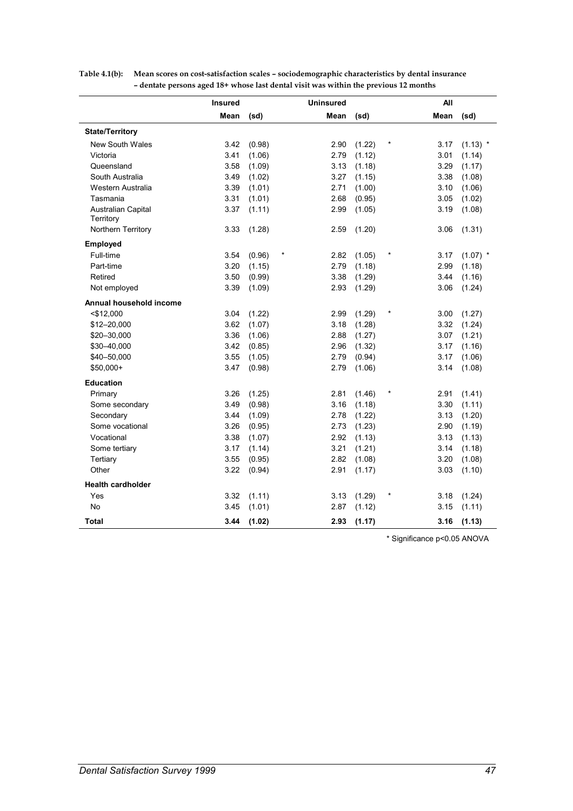|                                 | <b>Insured</b> |                  | <b>Uninsured</b> |        |            | All  |            |
|---------------------------------|----------------|------------------|------------------|--------|------------|------|------------|
|                                 | Mean           | (sd)             | Mean             | (sd)   |            | Mean | (sd)       |
| <b>State/Territory</b>          |                |                  |                  |        |            |      |            |
| <b>New South Wales</b>          | 3.42           | (0.98)           | 2.90             | (1.22) | $^\star$   | 3.17 | $(1.13)$ * |
| Victoria                        | 3.41           | (1.06)           | 2.79             | (1.12) |            | 3.01 | (1.14)     |
| Queensland                      | 3.58           | (1.09)           | 3.13             | (1.18) |            | 3.29 | (1.17)     |
| South Australia                 | 3.49           | (1.02)           | 3.27             | (1.15) |            | 3.38 | (1.08)     |
| Western Australia               | 3.39           | (1.01)           | 2.71             | (1.00) |            | 3.10 | (1.06)     |
| Tasmania                        | 3.31           | (1.01)           | 2.68             | (0.95) |            | 3.05 | (1.02)     |
| Australian Capital<br>Territory | 3.37           | (1.11)           | 2.99             | (1.05) |            | 3.19 | (1.08)     |
| Northern Territory              | 3.33           | (1.28)           | 2.59             | (1.20) |            | 3.06 | (1.31)     |
| Employed                        |                |                  |                  |        |            |      |            |
| Full-time                       | 3.54           | $\ast$<br>(0.96) | 2.82             | (1.05) | $\ast$     | 3.17 | $(1.07)$ * |
| Part-time                       | 3.20           | (1.15)           | 2.79             | (1.18) |            | 2.99 | (1.18)     |
| Retired                         | 3.50           | (0.99)           | 3.38             | (1.29) |            | 3.44 | (1.16)     |
| Not employed                    | 3.39           | (1.09)           | 2.93             | (1.29) |            | 3.06 | (1.24)     |
| Annual household income         |                |                  |                  |        |            |      |            |
| $<$ \$12,000                    | 3.04           | (1.22)           | 2.99             | (1.29) | $\star$    | 3.00 | (1.27)     |
| \$12-20,000                     | 3.62           | (1.07)           | 3.18             | (1.28) |            | 3.32 | (1.24)     |
| \$20-30,000                     | 3.36           | (1.06)           | 2.88             | (1.27) |            | 3.07 | (1.21)     |
| \$30-40,000                     | 3.42           | (0.85)           | 2.96             | (1.32) |            | 3.17 | (1.16)     |
| \$40-50,000                     | 3.55           | (1.05)           | 2.79             | (0.94) |            | 3.17 | (1.06)     |
| \$50,000+                       | 3.47           | (0.98)           | 2.79             | (1.06) |            | 3.14 | (1.08)     |
| <b>Education</b>                |                |                  |                  |        |            |      |            |
| Primary                         | 3.26           | (1.25)           | 2.81             | (1.46) | $\star$    | 2.91 | (1.41)     |
| Some secondary                  | 3.49           | (0.98)           | 3.16             | (1.18) |            | 3.30 | (1.11)     |
| Secondary                       | 3.44           | (1.09)           | 2.78             | (1.22) |            | 3.13 | (1.20)     |
| Some vocational                 | 3.26           | (0.95)           | 2.73             | (1.23) |            | 2.90 | (1.19)     |
| Vocational                      | 3.38           | (1.07)           | 2.92             | (1.13) |            | 3.13 | (1.13)     |
| Some tertiary                   | 3.17           | (1.14)           | 3.21             | (1.21) |            | 3.14 | (1.18)     |
| Tertiary                        | 3.55           | (0.95)           | 2.82             | (1.08) |            | 3.20 | (1.08)     |
| Other                           | 3.22           | (0.94)           | 2.91             | (1.17) |            | 3.03 | (1.10)     |
| <b>Health cardholder</b>        |                |                  |                  |        |            |      |            |
| Yes                             | 3.32           | (1.11)           | 3.13             | (1.29) | $^{\star}$ | 3.18 | (1.24)     |
| No                              | 3.45           | (1.01)           | 2.87             | (1.12) |            | 3.15 | (1.11)     |
| Total                           | 3.44           | (1.02)           | 2.93             | (1.17) |            | 3.16 | (1.13)     |

**Table 4.1(b): Mean scores on cost-satisfaction scales – sociodemographic characteristics by dental insurance – dentate persons aged 18+ whose last dental visit was within the previous 12 months** 

\* Significance p<0.05 ANOVA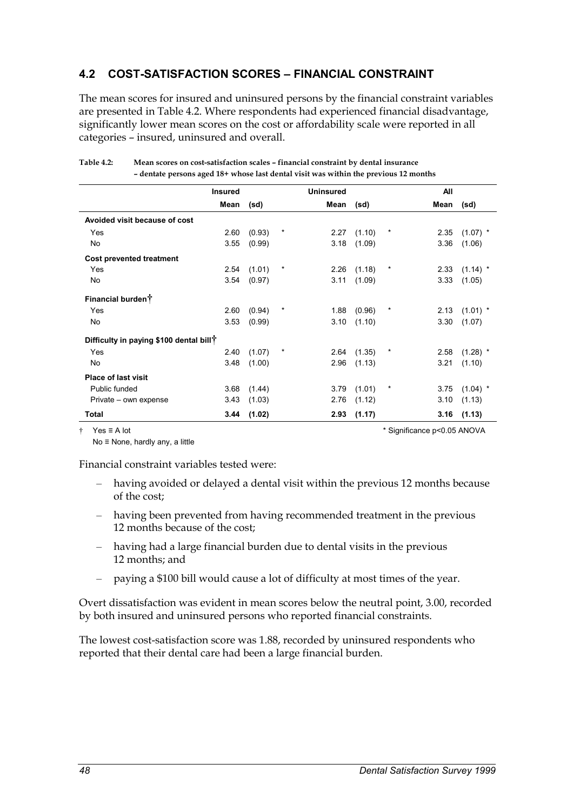## **4.2 COST-SATISFACTION SCORES – FINANCIAL CONSTRAINT**

The mean scores for insured and uninsured persons by the financial constraint variables are presented in Table 4.2. Where respondents had experienced financial disadvantage, significantly lower mean scores on the cost or affordability scale were reported in all categories – insured, uninsured and overall.

|                                                     | <b>Insured</b> |        |         | <b>Uninsured</b> |                 |            | All  |            |
|-----------------------------------------------------|----------------|--------|---------|------------------|-----------------|------------|------|------------|
|                                                     | Mean           | (sd)   |         | Mean             | (sd)            |            | Mean | (sd)       |
| Avoided visit because of cost                       |                |        |         |                  |                 |            |      |            |
| Yes                                                 | 2.60           | (0.93) | $^\ast$ | 2.27             | (1.10)          | $\ast$     | 2.35 | $(1.07)$ * |
| No.                                                 | 3.55           | (0.99) |         | 3.18             | (1.09)          |            | 3.36 | (1.06)     |
| <b>Cost prevented treatment</b>                     |                |        |         |                  |                 |            |      |            |
| Yes                                                 | 2.54           | (1.01) | $\ast$  | 2.26             | (1.18)          | $^{\star}$ | 2.33 | $(1.14)$ * |
| No.                                                 | 3.54           | (0.97) |         | 3.11             | (1.09)          |            | 3.33 | (1.05)     |
| Financial burdent                                   |                |        |         |                  |                 |            |      |            |
| Yes                                                 | 2.60           | (0.94) | $\star$ | 1.88             | (0.96)          | $\star$    | 2.13 | $(1.01)$ * |
| No                                                  | 3.53           | (0.99) |         | 3.10             | (1.10)          |            | 3.30 | (1.07)     |
| Difficulty in paying \$100 dental bill <sup>†</sup> |                |        |         |                  |                 |            |      |            |
| Yes                                                 | 2.40           | (1.07) | $\ast$  |                  | $2.64$ $(1.35)$ | $^\ast$    | 2.58 | $(1.28)$ * |
| No.                                                 | 3.48           | (1.00) |         | 2.96             | (1.13)          |            | 3.21 | (1.10)     |
| <b>Place of last visit</b>                          |                |        |         |                  |                 |            |      |            |
| Public funded                                       | 3.68           | (1.44) |         | 3.79             | (1.01)          | $\ast$     | 3.75 | $(1.04)$ * |
| Private – own expense                               | 3.43           | (1.03) |         | 2.76             | (1.12)          |            | 3.10 | (1.13)     |
| Total                                               | 3.44           | (1.02) |         | 2.93             | (1.17)          |            | 3.16 | (1.13)     |

**Table 4.2: Mean scores on cost-satisfaction scales – financial constraint by dental insurance – dentate persons aged 18+ whose last dental visit was within the previous 12 months** 

† Yes ≡ A lot \* Significance p<0.05 ANOVA

No ≡ None, hardly any, a little

Financial constraint variables tested were:

- having avoided or delayed a dental visit within the previous 12 months because of the cost;
- having been prevented from having recommended treatment in the previous 12 months because of the cost;
- having had a large financial burden due to dental visits in the previous 12 months; and
- paying a \$100 bill would cause a lot of difficulty at most times of the year.

Overt dissatisfaction was evident in mean scores below the neutral point, 3.00, recorded by both insured and uninsured persons who reported financial constraints.

The lowest cost-satisfaction score was 1.88, recorded by uninsured respondents who reported that their dental care had been a large financial burden.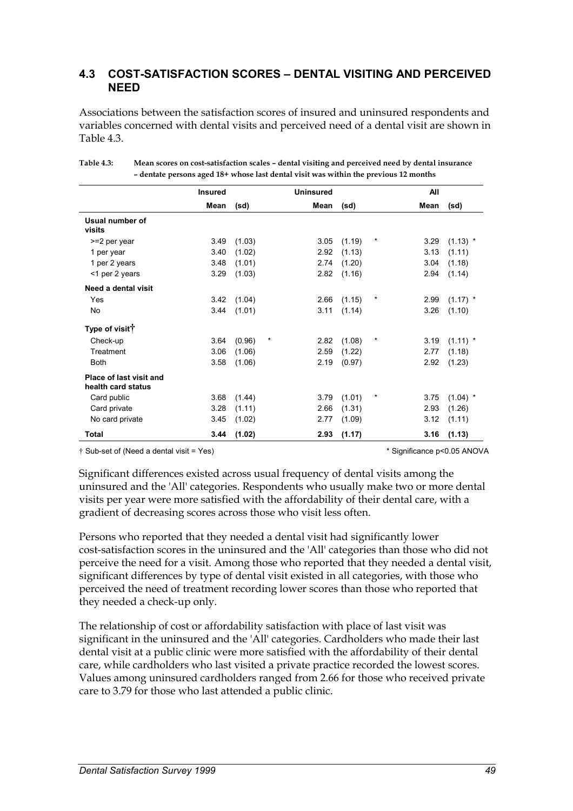#### **4.3 COST-SATISFACTION SCORES – DENTAL VISITING AND PERCEIVED NEED**

Associations between the satisfaction scores of insured and uninsured respondents and variables concerned with dental visits and perceived need of a dental visit are shown in Table 4.3.

|                                               | <b>Insured</b> |        | <b>Uninsured</b> |        |            | All  |            |
|-----------------------------------------------|----------------|--------|------------------|--------|------------|------|------------|
|                                               | Mean           | (sd)   | Mean             | (sd)   |            | Mean | (sd)       |
| Usual number of<br>visits                     |                |        |                  |        |            |      |            |
| >=2 per year                                  | 3.49           | (1.03) | 3.05             | (1.19) | *          | 3.29 | $(1.13)$ * |
| 1 per year                                    | 3.40           | (1.02) | 2.92             | (1.13) |            | 3.13 | (1.11)     |
| 1 per 2 years                                 | 3.48           | (1.01) | 2.74             | (1.20) |            | 3.04 | (1.18)     |
| <1 per 2 years                                | 3.29           | (1.03) | 2.82             | (1.16) |            | 2.94 | (1.14)     |
| Need a dental visit                           |                |        |                  |        |            |      |            |
| Yes                                           | 3.42           | (1.04) | 2.66             | (1.15) | $^\star$   | 2.99 | $(1.17)$ * |
| No                                            | 3.44           | (1.01) | 3.11             | (1.14) |            | 3.26 | (1.10)     |
| Type of visit <sup>†</sup>                    |                |        |                  |        |            |      |            |
| Check-up                                      | 3.64           | (0.96) | $\star$<br>2.82  | (1.08) | $^{\star}$ | 3.19 | $(1.11)$ * |
| Treatment                                     | 3.06           | (1.06) | 2.59             | (1.22) |            | 2.77 | (1.18)     |
| <b>Both</b>                                   | 3.58           | (1.06) | 2.19             | (0.97) |            | 2.92 | (1.23)     |
| Place of last visit and<br>health card status |                |        |                  |        |            |      |            |
| Card public                                   | 3.68           | (1.44) | 3.79             | (1.01) | *          | 3.75 | $(1.04)$ * |
| Card private                                  | 3.28           | (1.11) | 2.66             | (1.31) |            | 2.93 | (1.26)     |
| No card private                               | 3.45           | (1.02) | 2.77             | (1.09) |            | 3.12 | (1.11)     |
| Total                                         | 3.44           | (1.02) | 2.93             | (1.17) |            | 3.16 | (1.13)     |

**Table 4.3: Mean scores on cost-satisfaction scales – dental visiting and perceived need by dental insurance – dentate persons aged 18+ whose last dental visit was within the previous 12 months** 

† Sub-set of (Need a dental visit = Yes) \* Significance p<0.05 ANOVA

Significant differences existed across usual frequency of dental visits among the uninsured and the 'All' categories. Respondents who usually make two or more dental visits per year were more satisfied with the affordability of their dental care, with a gradient of decreasing scores across those who visit less often.

Persons who reported that they needed a dental visit had significantly lower cost-satisfaction scores in the uninsured and the 'All' categories than those who did not perceive the need for a visit. Among those who reported that they needed a dental visit, significant differences by type of dental visit existed in all categories, with those who perceived the need of treatment recording lower scores than those who reported that they needed a check-up only.

The relationship of cost or affordability satisfaction with place of last visit was significant in the uninsured and the 'All' categories. Cardholders who made their last dental visit at a public clinic were more satisfied with the affordability of their dental care, while cardholders who last visited a private practice recorded the lowest scores. Values among uninsured cardholders ranged from 2.66 for those who received private care to 3.79 for those who last attended a public clinic.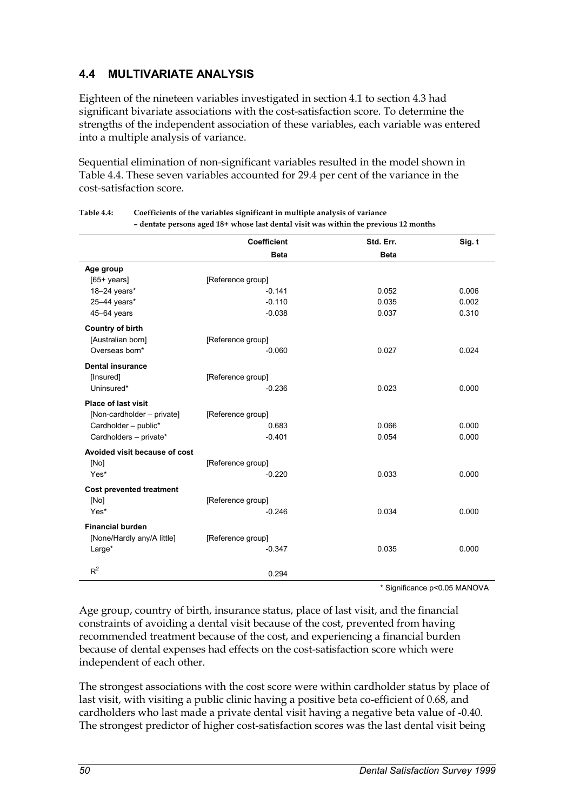## **4.4 MULTIVARIATE ANALYSIS**

Eighteen of the nineteen variables investigated in section 4.1 to section 4.3 had significant bivariate associations with the cost-satisfaction score. To determine the strengths of the independent association of these variables, each variable was entered into a multiple analysis of variance.

Sequential elimination of non-significant variables resulted in the model shown in Table 4.4. These seven variables accounted for 29.4 per cent of the variance in the cost-satisfaction score.

|                                 | <b>Coefficient</b> | Std. Err.   | Sig. t |
|---------------------------------|--------------------|-------------|--------|
|                                 | <b>Beta</b>        | <b>Beta</b> |        |
| Age group                       |                    |             |        |
| $[65+ \text{years}]$            | [Reference group]  |             |        |
| 18-24 years*                    | $-0.141$           | 0.052       | 0.006  |
| 25-44 years*                    | $-0.110$           | 0.035       | 0.002  |
| 45-64 years                     | $-0.038$           | 0.037       | 0.310  |
| <b>Country of birth</b>         |                    |             |        |
| [Australian born]               | [Reference group]  |             |        |
| Overseas born*                  | $-0.060$           | 0.027       | 0.024  |
| <b>Dental insurance</b>         |                    |             |        |
| [Insured]                       | [Reference group]  |             |        |
| Uninsured*                      | $-0.236$           | 0.023       | 0.000  |
| <b>Place of last visit</b>      |                    |             |        |
| [Non-cardholder - private]      | [Reference group]  |             |        |
| Cardholder - public*            | 0.683              | 0.066       | 0.000  |
| Cardholders - private*          | $-0.401$           | 0.054       | 0.000  |
| Avoided visit because of cost   |                    |             |        |
| [No]                            | [Reference group]  |             |        |
| Yes*                            | $-0.220$           | 0.033       | 0.000  |
| <b>Cost prevented treatment</b> |                    |             |        |
| [No]                            | [Reference group]  |             |        |
| Yes*                            | $-0.246$           | 0.034       | 0.000  |
| <b>Financial burden</b>         |                    |             |        |
| [None/Hardly any/A little]      | [Reference group]  |             |        |
| Large*                          | $-0.347$           | 0.035       | 0.000  |
| $R^2$                           |                    |             |        |
|                                 | 0.294              |             |        |

| Table 4.4: | Coefficients of the variables significant in multiple analysis of variance           |
|------------|--------------------------------------------------------------------------------------|
|            | - dentate persons aged 18+ whose last dental visit was within the previous 12 months |

\* Significance p<0.05 MANOVA

Age group, country of birth, insurance status, place of last visit, and the financial constraints of avoiding a dental visit because of the cost, prevented from having recommended treatment because of the cost, and experiencing a financial burden because of dental expenses had effects on the cost-satisfaction score which were independent of each other.

The strongest associations with the cost score were within cardholder status by place of last visit, with visiting a public clinic having a positive beta co-efficient of 0.68, and cardholders who last made a private dental visit having a negative beta value of -0.40. The strongest predictor of higher cost-satisfaction scores was the last dental visit being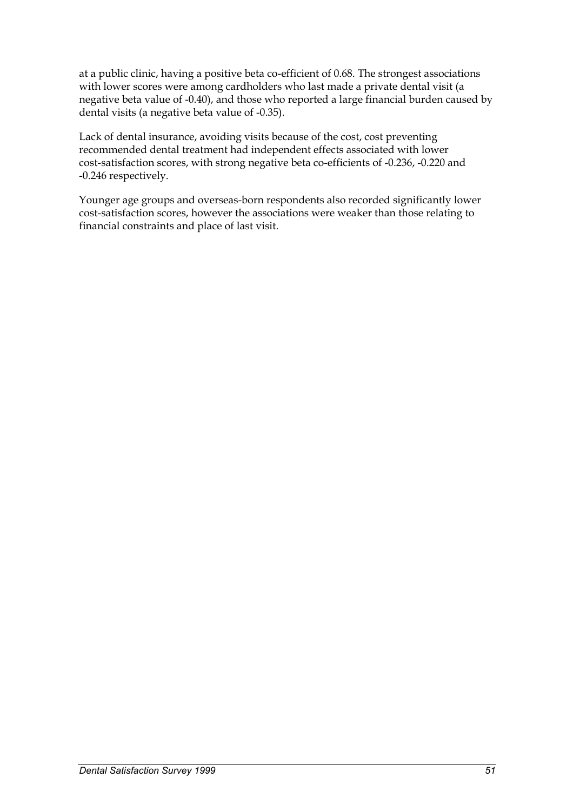at a public clinic, having a positive beta co-efficient of 0.68. The strongest associations with lower scores were among cardholders who last made a private dental visit (a negative beta value of -0.40), and those who reported a large financial burden caused by dental visits (a negative beta value of -0.35).

Lack of dental insurance, avoiding visits because of the cost, cost preventing recommended dental treatment had independent effects associated with lower cost-satisfaction scores, with strong negative beta co-efficients of -0.236, -0.220 and -0.246 respectively.

Younger age groups and overseas-born respondents also recorded significantly lower cost-satisfaction scores, however the associations were weaker than those relating to financial constraints and place of last visit.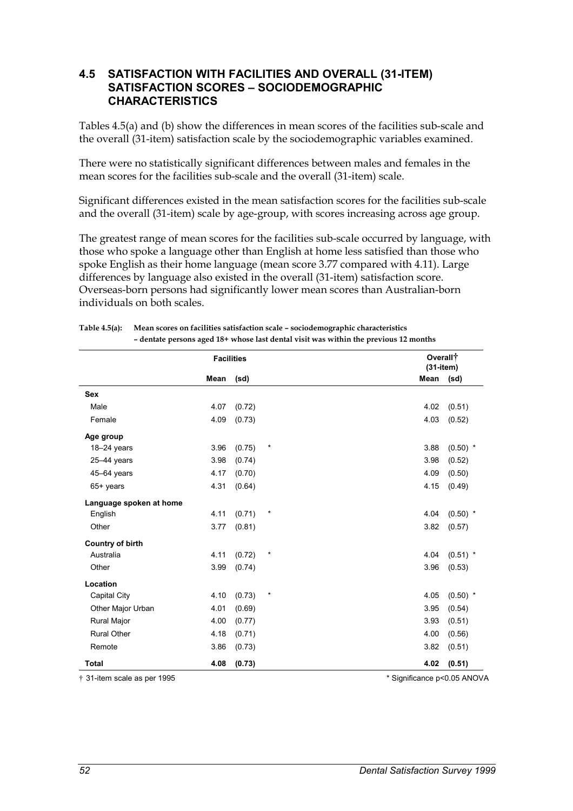#### **4.5 SATISFACTION WITH FACILITIES AND OVERALL (31-ITEM) SATISFACTION SCORES – SOCIODEMOGRAPHIC CHARACTERISTICS**

Tables 4.5(a) and (b) show the differences in mean scores of the facilities sub-scale and the overall (31-item) satisfaction scale by the sociodemographic variables examined.

There were no statistically significant differences between males and females in the mean scores for the facilities sub-scale and the overall (31-item) scale.

Significant differences existed in the mean satisfaction scores for the facilities sub-scale and the overall (31-item) scale by age-group, with scores increasing across age group.

The greatest range of mean scores for the facilities sub-scale occurred by language, with those who spoke a language other than English at home less satisfied than those who spoke English as their home language (mean score 3.77 compared with 4.11). Large differences by language also existed in the overall (31-item) satisfaction score. Overseas-born persons had significantly lower mean scores than Australian-born individuals on both scales.

|                         | <b>Facilities</b> |        |          | Overall <sup>+</sup><br>$(31 - item)$ |            |
|-------------------------|-------------------|--------|----------|---------------------------------------|------------|
|                         | Mean              | (sd)   |          | Mean                                  | (sd)       |
| <b>Sex</b>              |                   |        |          |                                       |            |
| Male                    | 4.07              | (0.72) |          | 4.02                                  | (0.51)     |
| Female                  | 4.09              | (0.73) |          | 4.03                                  | (0.52)     |
| Age group               |                   |        |          |                                       |            |
| $18 - 24$ years         | 3.96              | (0.75) | $\star$  | 3.88                                  | $(0.50)$ * |
| $25 - 44$ years         | 3.98              | (0.74) |          | 3.98                                  | (0.52)     |
| 45-64 years             | 4.17              | (0.70) |          | 4.09                                  | (0.50)     |
| 65+ years               | 4.31              | (0.64) |          | 4.15                                  | (0.49)     |
| Language spoken at home |                   |        |          |                                       |            |
| English                 | 4.11              | (0.71) | $^\star$ | 4.04                                  | $(0.50)$ * |
| Other                   | 3.77              | (0.81) |          | 3.82                                  | (0.57)     |
| <b>Country of birth</b> |                   |        |          |                                       |            |
| Australia               | 4.11              | (0.72) | $\star$  | 4.04                                  | $(0.51)$ * |
| Other                   | 3.99              | (0.74) |          | 3.96                                  | (0.53)     |
| Location                |                   |        |          |                                       |            |
| Capital City            | 4.10              | (0.73) | $^\star$ | 4.05                                  | $(0.50)$ * |
| Other Major Urban       | 4.01              | (0.69) |          | 3.95                                  | (0.54)     |
| <b>Rural Major</b>      | 4.00              | (0.77) |          | 3.93                                  | (0.51)     |
| <b>Rural Other</b>      | 4.18              | (0.71) |          | 4.00                                  | (0.56)     |
| Remote                  | 3.86              | (0.73) |          | 3.82                                  | (0.51)     |
| <b>Total</b>            | 4.08              | (0.73) |          | 4.02                                  | (0.51)     |

| Table $4.5(a)$ : | Mean scores on facilities satisfaction scale – sociodemographic characteristics      |
|------------------|--------------------------------------------------------------------------------------|
|                  | - dentate persons aged 18+ whose last dental visit was within the previous 12 months |

† 31-item scale as per 1995 \* Significance p<0.05 ANOVA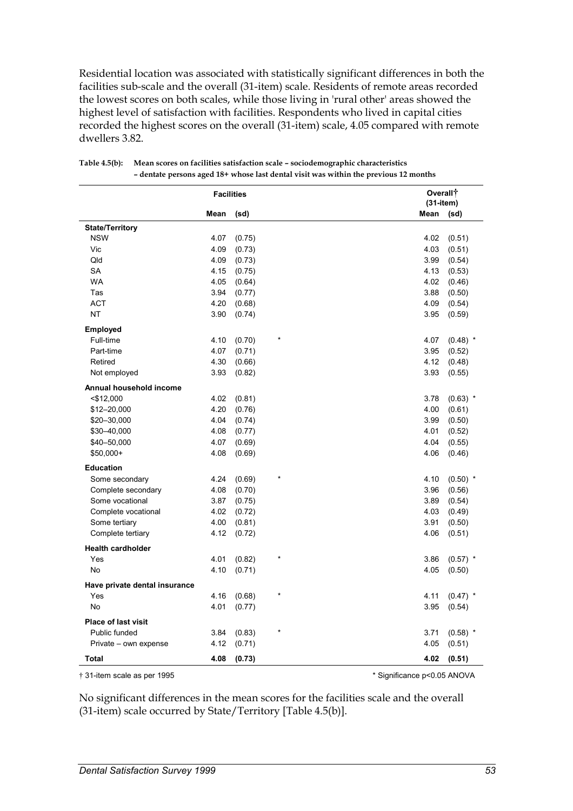Residential location was associated with statistically significant differences in both the facilities sub-scale and the overall (31-item) scale. Residents of remote areas recorded the lowest scores on both scales, while those living in 'rural other' areas showed the highest level of satisfaction with facilities. Respondents who lived in capital cities recorded the highest scores on the overall (31-item) scale, 4.05 compared with remote dwellers 3.82.

|                               |      | <b>Facilities</b> |         | Overall <sup>+</sup><br>$(31 - item)$ |            |
|-------------------------------|------|-------------------|---------|---------------------------------------|------------|
|                               | Mean | (sd)              |         | Mean                                  | (sd)       |
| <b>State/Territory</b>        |      |                   |         |                                       |            |
| <b>NSW</b>                    | 4.07 | (0.75)            |         | 4.02                                  | (0.51)     |
| Vic                           | 4.09 | (0.73)            |         | 4.03                                  | (0.51)     |
| Qld                           | 4.09 | (0.73)            |         | 3.99                                  | (0.54)     |
| SA                            | 4.15 | (0.75)            |         | 4.13                                  | (0.53)     |
| <b>WA</b>                     | 4.05 | (0.64)            |         | 4.02                                  | (0.46)     |
| Tas                           | 3.94 | (0.77)            |         | 3.88                                  | (0.50)     |
| <b>ACT</b>                    | 4.20 | (0.68)            |         | 4.09                                  | (0.54)     |
| <b>NT</b>                     | 3.90 | (0.74)            |         | 3.95                                  | (0.59)     |
| <b>Employed</b>               |      |                   |         |                                       |            |
| Full-time                     | 4.10 | (0.70)            |         | 4.07                                  | $(0.48)$ * |
| Part-time                     | 4.07 | (0.71)            |         | 3.95                                  | (0.52)     |
| Retired                       | 4.30 | (0.66)            |         | 4.12                                  | (0.48)     |
| Not employed                  | 3.93 | (0.82)            |         | 3.93                                  | (0.55)     |
| Annual household income       |      |                   |         |                                       |            |
| $<$ \$12,000                  | 4.02 | (0.81)            |         | 3.78                                  | $(0.63)$ * |
| \$12-20,000                   | 4.20 | (0.76)            |         | 4.00                                  | (0.61)     |
| \$20-30,000                   | 4.04 | (0.74)            |         | 3.99                                  | (0.50)     |
| \$30-40,000                   | 4.08 | (0.77)            |         | 4.01                                  | (0.52)     |
| \$40-50,000                   | 4.07 | (0.69)            |         | 4.04                                  | (0.55)     |
| \$50,000+                     | 4.08 | (0.69)            |         | 4.06                                  | (0.46)     |
| <b>Education</b>              |      |                   |         |                                       |            |
| Some secondary                | 4.24 | (0.69)            | ×       | 4.10                                  | $(0.50)$ * |
| Complete secondary            | 4.08 | (0.70)            |         | 3.96                                  | (0.56)     |
| Some vocational               | 3.87 | (0.75)            |         | 3.89                                  | (0.54)     |
| Complete vocational           | 4.02 | (0.72)            |         | 4.03                                  | (0.49)     |
| Some tertiary                 | 4.00 | (0.81)            |         | 3.91                                  | (0.50)     |
| Complete tertiary             | 4.12 | (0.72)            |         | 4.06                                  | (0.51)     |
| <b>Health cardholder</b>      |      |                   |         |                                       |            |
| Yes                           | 4.01 | (0.82)            | ×       | 3.86                                  | $(0.57)$ * |
| <b>No</b>                     | 4.10 | (0.71)            |         | 4.05                                  | (0.50)     |
| Have private dental insurance |      |                   |         |                                       |            |
| Yes                           | 4.16 | (0.68)            |         | 4.11                                  | $(0.47)$ * |
| No                            | 4.01 | (0.77)            |         | 3.95                                  | (0.54)     |
| <b>Place of last visit</b>    |      |                   |         |                                       |            |
| Public funded                 | 3.84 | (0.83)            | $\star$ | 3.71                                  | $(0.58)$ * |
| Private - own expense         | 4.12 | (0.71)            |         | 4.05                                  | (0.51)     |
| Total                         | 4.08 | (0.73)            |         | 4.02                                  | (0.51)     |

| Table 4.5(b): Mean scores on facilities satisfaction scale – sociodemographic characteristics |
|-----------------------------------------------------------------------------------------------|
| - dentate persons aged 18+ whose last dental visit was within the previous 12 months          |

† 31-item scale as per 1995 \* Significance p<0.05 ANOVA

No significant differences in the mean scores for the facilities scale and the overall (31-item) scale occurred by State/Territory [Table 4.5(b)].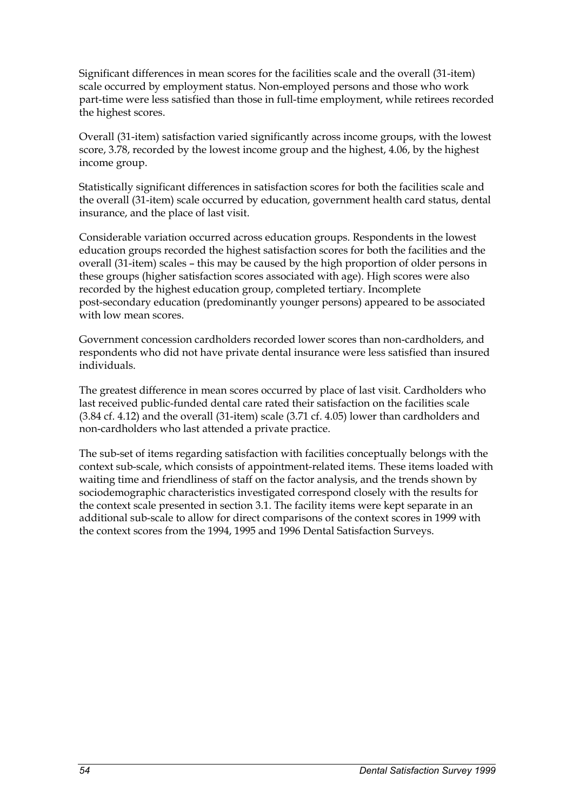Significant differences in mean scores for the facilities scale and the overall (31-item) scale occurred by employment status. Non-employed persons and those who work part-time were less satisfied than those in full-time employment, while retirees recorded the highest scores.

Overall (31-item) satisfaction varied significantly across income groups, with the lowest score, 3.78, recorded by the lowest income group and the highest, 4.06, by the highest income group.

Statistically significant differences in satisfaction scores for both the facilities scale and the overall (31-item) scale occurred by education, government health card status, dental insurance, and the place of last visit.

Considerable variation occurred across education groups. Respondents in the lowest education groups recorded the highest satisfaction scores for both the facilities and the overall (31-item) scales – this may be caused by the high proportion of older persons in these groups (higher satisfaction scores associated with age). High scores were also recorded by the highest education group, completed tertiary. Incomplete post-secondary education (predominantly younger persons) appeared to be associated with low mean scores.

Government concession cardholders recorded lower scores than non-cardholders, and respondents who did not have private dental insurance were less satisfied than insured individuals.

The greatest difference in mean scores occurred by place of last visit. Cardholders who last received public-funded dental care rated their satisfaction on the facilities scale (3.84 cf. 4.12) and the overall (31-item) scale (3.71 cf. 4.05) lower than cardholders and non-cardholders who last attended a private practice.

The sub-set of items regarding satisfaction with facilities conceptually belongs with the context sub-scale, which consists of appointment-related items. These items loaded with waiting time and friendliness of staff on the factor analysis, and the trends shown by sociodemographic characteristics investigated correspond closely with the results for the context scale presented in section 3.1. The facility items were kept separate in an additional sub-scale to allow for direct comparisons of the context scores in 1999 with the context scores from the 1994, 1995 and 1996 Dental Satisfaction Surveys.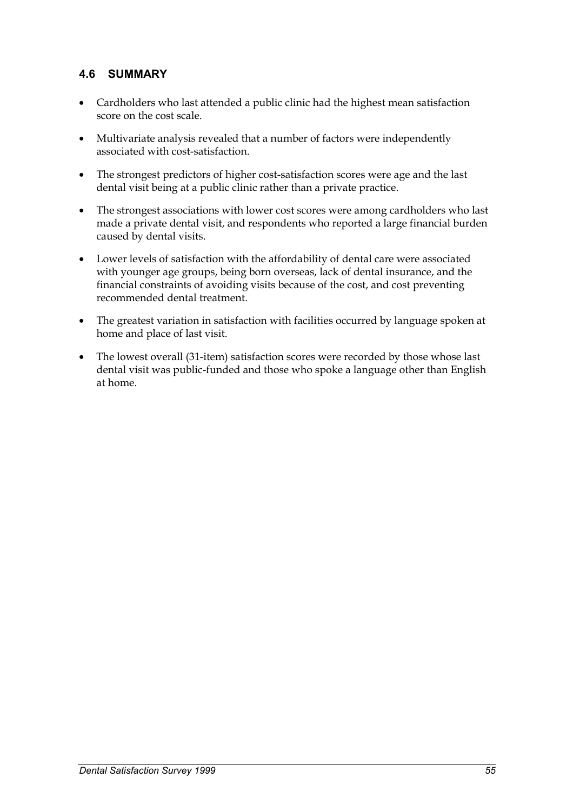## **4.6 SUMMARY**

- Cardholders who last attended a public clinic had the highest mean satisfaction score on the cost scale.
- $\bullet$  Multivariate analysis revealed that a number of factors were independently associated with cost-satisfaction.
- $\bullet$  The strongest predictors of higher cost-satisfaction scores were age and the last dental visit being at a public clinic rather than a private practice.
- $\bullet$  The strongest associations with lower cost scores were among cardholders who last made a private dental visit, and respondents who reported a large financial burden caused by dental visits.
- $\bullet$  Lower levels of satisfaction with the affordability of dental care were associated with younger age groups, being born overseas, lack of dental insurance, and the financial constraints of avoiding visits because of the cost, and cost preventing recommended dental treatment.
- $\bullet$  The greatest variation in satisfaction with facilities occurred by language spoken at home and place of last visit.
- $\bullet$  The lowest overall (31-item) satisfaction scores were recorded by those whose last dental visit was public-funded and those who spoke a language other than English at home.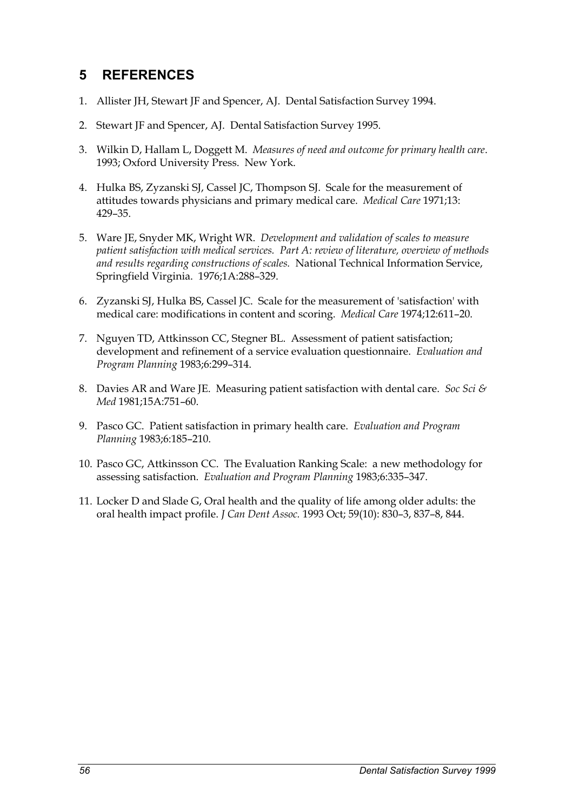# **5 REFERENCES**

- 1. Allister JH, Stewart JF and Spencer, AJ. Dental Satisfaction Survey 1994.
- 2. Stewart JF and Spencer, AJ. Dental Satisfaction Survey 1995.
- 3. Wilkin D, Hallam L, Doggett M. *Measures of need and outcome for primary health care*. 1993; Oxford University Press. New York.
- 4. Hulka BS, Zyzanski SJ, Cassel JC, Thompson SJ. Scale for the measurement of attitudes towards physicians and primary medical care. *Medical Care* 1971;13: 429–35.
- 5. Ware JE, Snyder MK, Wright WR. *Development and validation of scales to measure patient satisfaction with medical services. Part A: review of literature, overview of methods and results regarding constructions of scales.* National Technical Information Service, Springfield Virginia. 1976;1A:288–329.
- 6. Zyzanski SJ, Hulka BS, Cassel JC. Scale for the measurement of 'satisfaction' with medical care: modifications in content and scoring. *Medical Care* 1974;12:611–20.
- 7. Nguyen TD, Attkinsson CC, Stegner BL. Assessment of patient satisfaction; development and refinement of a service evaluation questionnaire. *Evaluation and Program Planning* 1983;6:299–314.
- 8. Davies AR and Ware JE. Measuring patient satisfaction with dental care. *Soc Sci & Med* 1981;15A:751–60.
- 9. Pasco GC. Patient satisfaction in primary health care. *Evaluation and Program Planning* 1983;6:185–210.
- 10. Pasco GC, Attkinsson CC. The Evaluation Ranking Scale: a new methodology for assessing satisfaction. *Evaluation and Program Planning* 1983;6:335–347.
- 11. Locker D and Slade G, Oral health and the quality of life among older adults: the oral health impact profile. *J Can Dent Assoc.* 1993 Oct; 59(10): 830–3, 837–8, 844.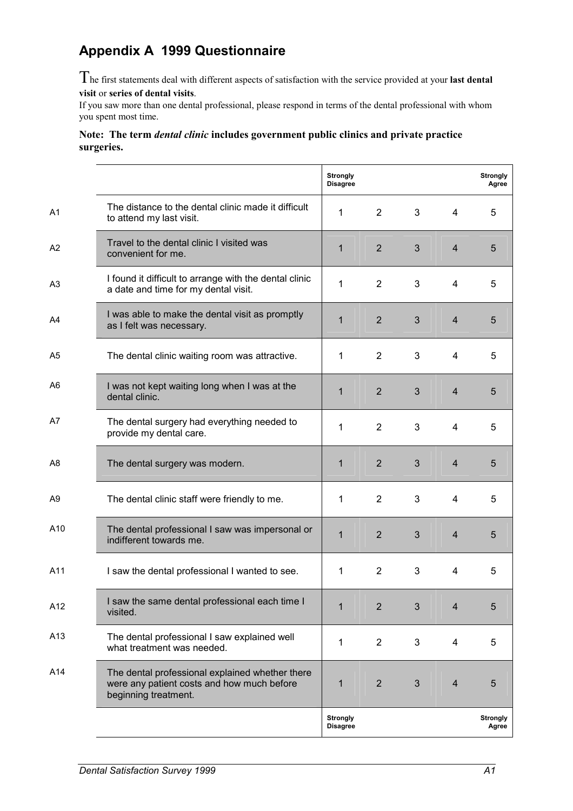# **Appendix A 1999 Questionnaire**

The first statements deal with different aspects of satisfaction with the service provided at your **last dental visit** or **series of dental visits**.

If you saw more than one dental professional, please respond in terms of the dental professional with whom you spent most time.

#### **Note: The term** *dental clinic* **includes government public clinics and private practice surgeries.**

|                 |                                                                                                                       | <b>Strongly</b><br><b>Disagree</b> |                |   |                | <b>Strongly</b><br>Agree |
|-----------------|-----------------------------------------------------------------------------------------------------------------------|------------------------------------|----------------|---|----------------|--------------------------|
| A <sub>1</sub>  | The distance to the dental clinic made it difficult<br>to attend my last visit.                                       | 1                                  | $\overline{2}$ | 3 | 4              | 5                        |
| A <sub>2</sub>  | Travel to the dental clinic I visited was<br>convenient for me.                                                       | $\mathbf{1}$                       | $\overline{2}$ | 3 | $\overline{4}$ | 5                        |
| A <sub>3</sub>  | I found it difficult to arrange with the dental clinic<br>a date and time for my dental visit.                        | 1                                  | $\overline{2}$ | 3 | $\overline{4}$ | 5                        |
| A4              | I was able to make the dental visit as promptly<br>as I felt was necessary.                                           | $\mathbf{1}$                       | $\overline{2}$ | 3 | $\overline{4}$ | 5                        |
| A5              | The dental clinic waiting room was attractive.                                                                        | $\mathbf{1}$                       | $\overline{2}$ | 3 | $\overline{4}$ | 5                        |
| A6              | I was not kept waiting long when I was at the<br>dental clinic.                                                       | $\mathbf{1}$                       | 2              | 3 | $\overline{4}$ | 5                        |
| A7              | The dental surgery had everything needed to<br>provide my dental care.                                                | 1                                  | $\overline{2}$ | 3 | 4              | 5                        |
| A8              | The dental surgery was modern.                                                                                        | $\mathbf{1}$                       | $\overline{2}$ | 3 | $\overline{4}$ | 5                        |
| A9              | The dental clinic staff were friendly to me.                                                                          | 1                                  | $\overline{2}$ | 3 | 4              | 5                        |
| A10             | The dental professional I saw was impersonal or<br>indifferent towards me.                                            | $\mathbf{1}$                       | $\overline{2}$ | 3 | $\overline{4}$ | 5                        |
| A11             | I saw the dental professional I wanted to see.                                                                        | 1                                  | $\overline{2}$ | 3 | $\overline{4}$ | 5                        |
| A12             | I saw the same dental professional each time I<br>visited.                                                            | 1                                  | $\overline{2}$ | 3 | $\overline{4}$ | 5                        |
| A <sub>13</sub> | The dental professional I saw explained well<br>what treatment was needed.                                            | 1                                  | $\overline{2}$ | 3 | 4              | 5                        |
| A14             | The dental professional explained whether there<br>were any patient costs and how much before<br>beginning treatment. | 1                                  | $\overline{2}$ | 3 | $\overline{4}$ | 5                        |
|                 |                                                                                                                       | <b>Strongly</b><br><b>Disagree</b> |                |   |                | <b>Strongly</b><br>Agree |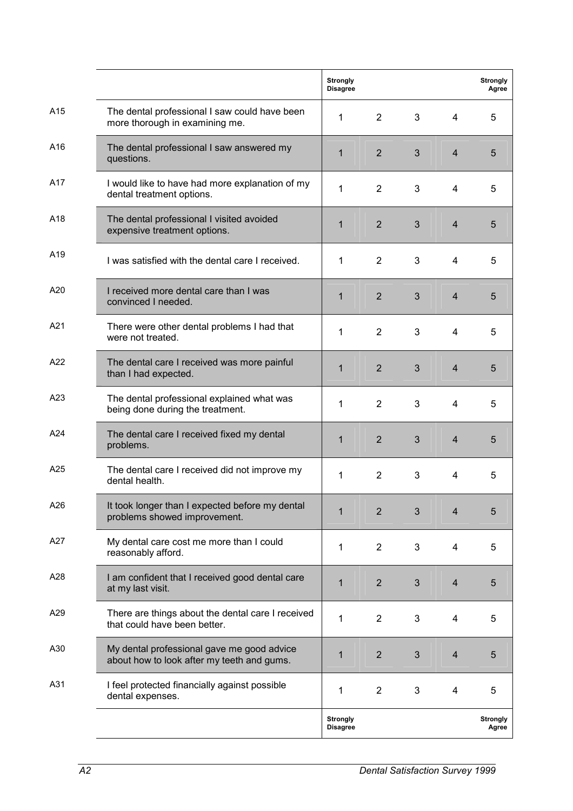|     |                                                                                          | <b>Strongly</b><br><b>Disagree</b> |                |                |                | <b>Strongly</b><br>Agree |
|-----|------------------------------------------------------------------------------------------|------------------------------------|----------------|----------------|----------------|--------------------------|
| A15 | The dental professional I saw could have been<br>more thorough in examining me.          | $\mathbf{1}$                       | $2^{\circ}$    | 3              | 4              | 5                        |
| A16 | The dental professional I saw answered my<br>questions.                                  | $\mathbf{1}$                       | $\overline{2}$ | 3              | $\overline{4}$ | 5                        |
| A17 | I would like to have had more explanation of my<br>dental treatment options.             | 1                                  | 2              | 3              | $\overline{4}$ | 5                        |
| A18 | The dental professional I visited avoided<br>expensive treatment options.                | $\mathbf{1}$                       | 2              | $\overline{3}$ | $\overline{4}$ | 5                        |
| A19 | I was satisfied with the dental care I received.                                         | $\mathbf{1}$                       | $\overline{2}$ | 3              | 4              | 5                        |
| A20 | I received more dental care than I was<br>convinced I needed.                            | 1                                  | 2              | 3              | $\overline{4}$ | 5                        |
| A21 | There were other dental problems I had that<br>were not treated.                         | 1                                  | $\overline{2}$ | 3              | 4              | 5                        |
| A22 | The dental care I received was more painful<br>than I had expected.                      | $\mathbf{1}$                       | $\overline{2}$ | 3              | $\overline{4}$ | 5                        |
| A23 | The dental professional explained what was<br>being done during the treatment.           | 1                                  | $\overline{2}$ | 3              | 4              | 5                        |
| A24 | The dental care I received fixed my dental<br>problems.                                  | $\mathbf{1}$                       | $\overline{2}$ | 3              | $\overline{4}$ | 5                        |
| A25 | The dental care I received did not improve my<br>dental health.                          | 1                                  | $\overline{2}$ | 3              | 4              | 5                        |
| A26 | It took longer than I expected before my dental<br>problems showed improvement.          | 1                                  | $\overline{2}$ | 3              | 4              | 5                        |
| A27 | My dental care cost me more than I could<br>reasonably afford.                           | 1                                  | $\overline{2}$ | 3              | 4              | 5                        |
| A28 | I am confident that I received good dental care<br>at my last visit.                     | 1                                  | $\overline{2}$ | $\mathfrak{B}$ | $\overline{4}$ | 5                        |
| A29 | There are things about the dental care I received<br>that could have been better.        | 1                                  | $\overline{2}$ | 3              | 4              | 5                        |
| A30 | My dental professional gave me good advice<br>about how to look after my teeth and gums. | 1                                  | $\overline{2}$ | $\mathfrak{B}$ | $\overline{4}$ | 5                        |
| A31 | I feel protected financially against possible<br>dental expenses.                        | 1                                  | $\overline{2}$ | 3              | 4              | 5                        |
|     |                                                                                          | <b>Strongly</b><br><b>Disagree</b> |                |                |                | <b>Strongly</b><br>Agree |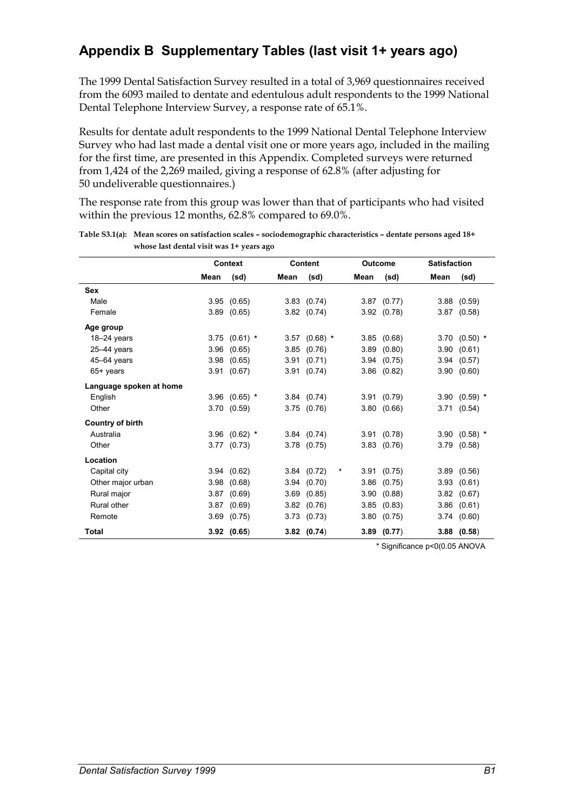# **Appendix B Supplementary Tables (last visit 1+ years ago)**

The 1999 Dental Satisfaction Survey resulted in a total of 3,969 questionnaires received from the 6093 mailed to dentate and edentulous adult respondents to the 1999 National Dental Telephone Interview Survey, a response rate of 65.1%.

Results for dentate adult respondents to the 1999 National Dental Telephone Interview Survey who had last made a dental visit one or more years ago, included in the mailing for the first time, are presented in this Appendix. Completed surveys were returned from 1,424 of the 2,269 mailed, giving a response of 62.8% (after adjusting for 50 undeliverable questionnaires.)

The response rate from this group was lower than that of participants who had visited within the previous 12 months, 62.8% compared to 69.0%.

|                         | <b>Context</b> |                 |      | <b>Content</b>  |              |      | <b>Outcome</b>  | <b>Satisfaction</b> |                   |
|-------------------------|----------------|-----------------|------|-----------------|--------------|------|-----------------|---------------------|-------------------|
|                         | Mean           | (sd)            | Mean | (sd)            |              | Mean | (sd)            | Mean                | (sd)              |
| Sex                     |                |                 |      |                 |              |      |                 |                     |                   |
| Male                    |                | 3.95(0.65)      |      | $3.83$ $(0.74)$ |              |      | $3.87$ $(0.77)$ |                     | $3.88$ $(0.59)$   |
| Female                  |                | $3.89$ $(0.65)$ |      | $3.82$ $(0.74)$ |              |      | 3.92(0.78)      |                     | $3.87$ $(0.58)$   |
| Age group               |                |                 |      |                 |              |      |                 |                     |                   |
| $18 - 24$ years         |                | $3.75$ (0.61) * |      | $3.57$ (0.68) * |              |      | 3.85(0.68)      |                     | $3.70$ $(0.50)$ * |
| $25-44$ years           |                | $3.96$ $(0.65)$ |      | $3.85$ $(0.76)$ |              | 3.89 | (0.80)          |                     | 3.90(0.61)        |
| 45-64 years             |                | 3.98(0.65)      |      | 3.91(0.71)      |              |      | 3.94(0.75)      |                     | 3.94(0.57)        |
| 65+ years               |                | 3.91(0.67)      |      | 3.91(0.74)      |              |      | $3.86$ $(0.82)$ |                     | 3.90(0.60)        |
| Language spoken at home |                |                 |      |                 |              |      |                 |                     |                   |
| English                 |                | 3.96 $(0.65)$ * |      | 3.84(0.74)      |              |      | 3.91(0.79)      |                     | 3.90 $(0.59)$ *   |
| Other                   |                | 3.70(0.59)      |      | 3.75(0.76)      |              |      | 3.80(0.66)      |                     | 3.71(0.54)        |
| <b>Country of birth</b> |                |                 |      |                 |              |      |                 |                     |                   |
| Australia               |                | $3.96$ (0.62) * |      | 3.84(0.74)      |              |      | 3.91(0.78)      |                     | $3.90$ (0.58) *   |
| Other                   |                | $3.77$ $(0.73)$ |      | $3.78$ $(0.75)$ |              |      | $3.83$ $(0.76)$ |                     | 3.79(0.58)        |
| Location                |                |                 |      |                 |              |      |                 |                     |                   |
| Capital city            |                | 3.94(0.62)      |      | 3.84 (0.72)     | $\pmb{\ast}$ |      | 3.91(0.75)      |                     | $3.89$ $(0.56)$   |
| Other major urban       |                | 3.98(0.68)      |      | 3.94(0.70)      |              | 3.86 | (0.75)          |                     | 3.93(0.61)        |
| Rural major             |                | 3.87(0.69)      | 3.69 | (0.85)          |              | 3.90 | (0.88)          |                     | 3.82(0.67)        |
| Rural other             |                | 3.87(0.69)      |      | 3.82(0.76)      |              | 3.85 | (0.83)          |                     | $3.86$ $(0.61)$   |
| Remote                  |                | $3.69$ $(0.75)$ |      | 3.73(0.73)      |              | 3.80 | (0.75)          |                     | 3.74(0.60)        |
| Total                   |                | $3.92$ $(0.65)$ |      | $3.82$ $(0.74)$ |              |      | $3.89$ $(0.77)$ |                     | $3.88$ $(0.58)$   |

| Table S3.1(a): Mean scores on satisfaction scales – sociodemographic characteristics – dentate persons aged 18+ |
|-----------------------------------------------------------------------------------------------------------------|
| whose last dental visit was 1+ years ago                                                                        |

\* Significance p<0(0.05 ANOVA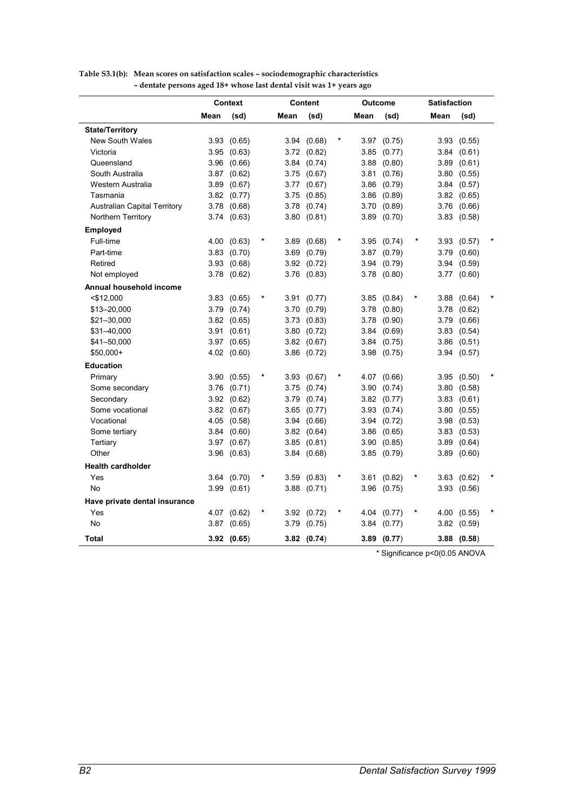|                                     | <b>Context</b> |                 |   | <b>Content</b> | Outcome         |      |                 | <b>Satisfaction</b> |      |                 |  |
|-------------------------------------|----------------|-----------------|---|----------------|-----------------|------|-----------------|---------------------|------|-----------------|--|
|                                     | Mean           | (sd)            |   | Mean           | (sd)            | Mean | (sd)            |                     | Mean | (sd)            |  |
| <b>State/Territory</b>              |                |                 |   |                |                 |      |                 |                     |      |                 |  |
| <b>New South Wales</b>              | 3.93           | (0.65)          |   |                | 3.94 (0.68)     |      | 3.97 (0.75)     |                     |      | 3.93(0.55)      |  |
| Victoria                            | 3.95           | (0.63)          |   |                | 3.72 (0.82)     | 3.85 | (0.77)          |                     | 3.84 | (0.61)          |  |
| Queensland                          |                | 3.96 (0.66)     |   |                | 3.84 (0.74)     | 3.88 | (0.80)          |                     | 3.89 | (0.61)          |  |
| South Australia                     |                | 3.87 (0.62)     |   |                | 3.75 (0.67)     | 3.81 | (0.76)          |                     | 3.80 | (0.55)          |  |
| Western Australia                   |                | 3.89 (0.67)     |   |                | 3.77 (0.67)     |      | 3.86 (0.79)     |                     |      | 3.84(0.57)      |  |
| Tasmania                            |                | 3.82 (0.77)     |   |                | 3.75 (0.85)     |      | $3.86$ $(0.89)$ |                     |      | 3.82(0.65)      |  |
| <b>Australian Capital Territory</b> |                | 3.78 (0.68)     |   |                | 3.78 (0.74)     |      | 3.70 (0.89)     |                     | 3.76 | (0.66)          |  |
| Northern Territory                  |                | 3.74 (0.63)     |   |                | 3.80(0.81)      |      | 3.89 (0.70)     |                     | 3.83 | (0.58)          |  |
| <b>Employed</b>                     |                |                 |   |                |                 |      |                 |                     |      |                 |  |
| Full-time                           |                | 4.00 (0.63)     |   | 3.89           | (0.68)          |      | 3.95 (0.74)     |                     | 3.93 | (0.57)          |  |
| Part-time                           |                | $3.83$ $(0.70)$ |   | 3.69           | (0.79)          |      | 3.87 (0.79)     |                     | 3.79 | (0.60)          |  |
| Retired                             | 3.93           | (0.68)          |   | 3.92           | (0.72)          |      | 3.94 (0.79)     |                     | 3.94 | (0.59)          |  |
| Not employed                        | 3.78           | (0.62)          |   | 3.76           | (0.83)          |      | 3.78 (0.80)     |                     | 3.77 | (0.60)          |  |
| Annual household income             |                |                 |   |                |                 |      |                 |                     |      |                 |  |
| $<$ \$12,000                        |                | 3.83(0.65)      | * |                | 3.91 (0.77)     |      | 3.85(0.84)      |                     | 3.88 | (0.64)          |  |
| \$13-20,000                         |                | 3.79 (0.74)     |   | 3.70           | (0.79)          |      | 3.78 (0.80)     |                     | 3.78 | (0.62)          |  |
| \$21-30,000                         |                | 3.82 (0.65)     |   | 3.73           | (0.83)          | 3.78 | (0.90)          |                     | 3.79 | (0.66)          |  |
| \$31-40,000                         |                | 3.91 (0.61)     |   | 3.80           | (0.72)          |      | 3.84(0.69)      |                     |      | $3.83$ $(0.54)$ |  |
| \$41-50,000                         |                | 3.97 (0.65)     |   |                | 3.82(0.67)      |      | 3.84 (0.75)     |                     | 3.86 | (0.51)          |  |
| $$50,000+$                          |                | 4.02 (0.60)     |   |                | 3.86 (0.72)     |      | 3.98 (0.75)     |                     | 3.94 | (0.57)          |  |
| <b>Education</b>                    |                |                 |   |                |                 |      |                 |                     |      |                 |  |
| Primary                             |                | 3.90(0.55)      |   |                | 3.93(0.67)      |      | 4.07 (0.66)     |                     |      | 3.95(0.50)      |  |
| Some secondary                      |                | 3.76 (0.71)     |   |                | 3.75(0.74)      |      | 3.90(0.74)      |                     | 3.80 | (0.58)          |  |
| Secondary                           |                | 3.92 (0.62)     |   | 3.79           | (0.74)          |      | 3.82 (0.77)     |                     | 3.83 | (0.61)          |  |
| Some vocational                     |                | 3.82 (0.67)     |   | 3.65           | (0.77)          |      | 3.93 (0.74)     |                     | 3.80 | (0.55)          |  |
| Vocational                          |                | 4.05 (0.58)     |   | 3.94           | (0.66)          |      | 3.94 (0.72)     |                     |      | 3.98(0.53)      |  |
| Some tertiary                       | 3.84           | (0.60)          |   |                | 3.82(0.64)      |      | 3.86 (0.65)     |                     | 3.83 | (0.53)          |  |
| Tertiary                            |                | 3.97 (0.67)     |   | 3.85           | (0.81)          |      | 3.90(0.85)      |                     | 3.89 | (0.64)          |  |
| Other                               |                | 3.96 (0.63)     |   |                | 3.84 (0.68)     |      | 3.85(0.79)      |                     | 3.89 | (0.60)          |  |
| <b>Health cardholder</b>            |                |                 |   |                |                 |      |                 |                     |      |                 |  |
| Yes                                 |                | 3.64 (0.70)     |   |                | 3.59(0.83)      |      | 3.61 (0.82)     | *                   |      | $3.63$ $(0.62)$ |  |
| No                                  |                | 3.99(0.61)      |   |                | $3.88$ $(0.71)$ |      | 3.96 (0.75)     |                     | 3.93 | (0.56)          |  |
| Have private dental insurance       |                |                 |   |                |                 |      |                 |                     |      |                 |  |
| Yes                                 |                | 4.07 (0.62)     |   |                | 3.92 (0.72)     |      | 4.04 (0.77)     | *                   | 4.00 | (0.55)          |  |
| No                                  |                | 3.87 (0.65)     |   | 3.79           | (0.75)          | 3.84 | (0.77)          |                     | 3.82 | (0.59)          |  |
| <b>Total</b>                        |                | 3.92(0.65)      |   |                | 3.82(0.74)      | 3.89 | (0.77)          |                     |      | $3.88$ $(0.58)$ |  |

#### **Table S3.1(b): Mean scores on satisfaction scales – sociodemographic characteristics – dentate persons aged 18+ whose last dental visit was 1+ years ago**

\* Significance p<0(0.05 ANOVA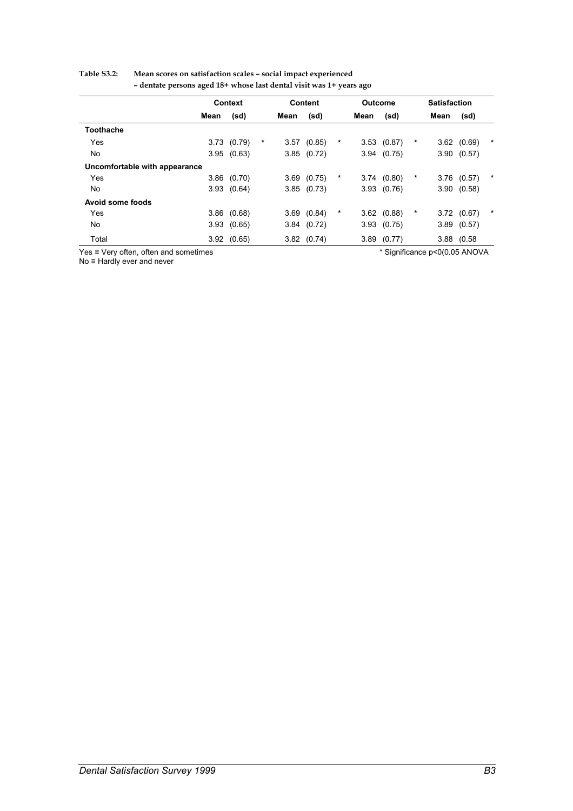| Table S3.2: | Mean scores on satisfaction scales - social impact experienced      |  |
|-------------|---------------------------------------------------------------------|--|
|             | - dentate persons aged 18+ whose last dental visit was 1+ years ago |  |

|                               | <b>Context</b> |                 |   | <b>Content</b> |                 |   |      | <b>Outcome</b>  |   | <b>Satisfaction</b> |                 |        |
|-------------------------------|----------------|-----------------|---|----------------|-----------------|---|------|-----------------|---|---------------------|-----------------|--------|
|                               | Mean           | (sd)            |   | Mean           | (sd)            |   | Mean | (sd)            |   | Mean                | (sd)            |        |
| <b>Toothache</b>              |                |                 |   |                |                 |   |      |                 |   |                     |                 |        |
| Yes                           |                | 3.73(0.79)      | * | 3.57           | (0.85)          | * | 3.53 | (0.87)          | * |                     | $3.62$ $(0.69)$ | *      |
| No                            |                | 3.95(0.63)      |   |                | $3.85$ $(0.72)$ |   |      | 3.94(0.75)      |   |                     | 3.90(0.57)      |        |
| Uncomfortable with appearance |                |                 |   |                |                 |   |      |                 |   |                     |                 |        |
| Yes                           |                | $3.86$ $(0.70)$ |   |                | $3.69$ $(0.75)$ | * |      | 3.74(0.80)      | * |                     | $3.76$ $(0.57)$ | $\ast$ |
| No                            |                | 3.93(0.64)      |   |                | 3.85(0.73)      |   |      | 3.93(0.76)      |   |                     | 3.90(0.58)      |        |
| Avoid some foods              |                |                 |   |                |                 |   |      |                 |   |                     |                 |        |
| Yes                           |                | $3.86$ $(0.68)$ |   |                | $3.69$ $(0.84)$ | * |      | $3.62$ $(0.88)$ | * |                     | 3.72(0.67)      | $\ast$ |
| No                            | 3.93           | (0.65)          |   |                | 3.84(0.72)      |   | 3.93 | (0.75)          |   | 3.89                | (0.57)          |        |
| Total                         |                | 3.92(0.65)      |   |                | $3.82$ $(0.74)$ |   |      | $3.89$ $(0.77)$ |   |                     | 3.88 (0.58      |        |

Yes ≡ Very often, often and sometimes \* Significance p<0(0.05 ANOVA

No ≡ Hardly ever and never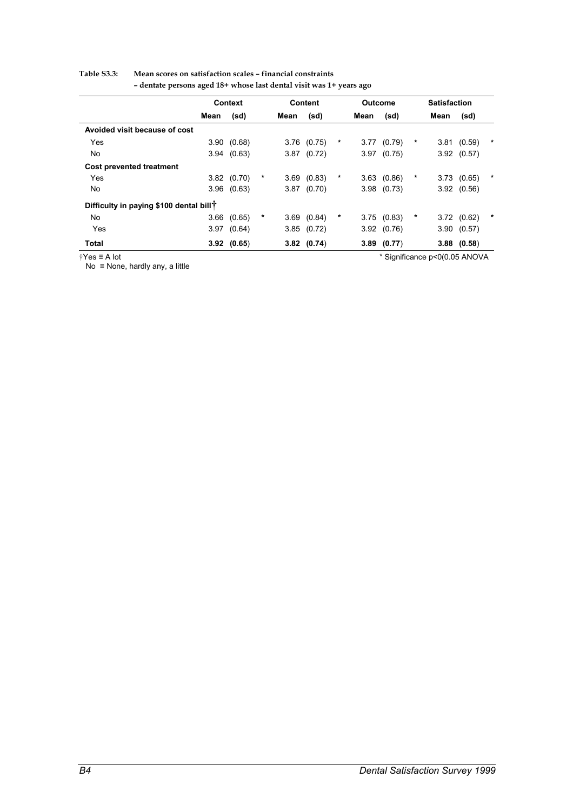#### **Table S3.3: Mean scores on satisfaction scales – financial constraints**

|                                                     | <b>Context</b> |            |   | <b>Content</b> |                 |         |      |            | <b>Outcome</b> |      |                 | <b>Satisfaction</b> |  |  |
|-----------------------------------------------------|----------------|------------|---|----------------|-----------------|---------|------|------------|----------------|------|-----------------|---------------------|--|--|
|                                                     | Mean           | (sd)       |   | Mean           | (sd)            |         | Mean | (sd)       |                | Mean | (sd)            |                     |  |  |
| Avoided visit because of cost                       |                |            |   |                |                 |         |      |            |                |      |                 |                     |  |  |
| Yes                                                 | 3.90           | (0.68)     |   |                | $3.76$ $(0.75)$ | *       | 3.77 | (0.79)     | *              |      | 3.81(0.59)      | $\ast$              |  |  |
| No                                                  |                | 3.94(0.63) |   |                | $3.87$ $(0.72)$ |         | 3.97 | (0.75)     |                |      | 3.92(0.57)      |                     |  |  |
| <b>Cost prevented treatment</b>                     |                |            |   |                |                 |         |      |            |                |      |                 |                     |  |  |
| Yes                                                 | 3.82           | (0.70)     | * | 3.69           | (0.83)          | $^\ast$ |      | 3.63(0.86) | *              | 3.73 | (0.65)          | $\ast$              |  |  |
| No                                                  | 3.96           | (0.63)     |   |                | $3.87$ $(0.70)$ |         | 3.98 | (0.73)     |                |      | 3.92(0.56)      |                     |  |  |
| Difficulty in paying \$100 dental bill <sup>†</sup> |                |            |   |                |                 |         |      |            |                |      |                 |                     |  |  |
| No                                                  | 3.66           | (0.65)     | * | 3.69           | (0.84)          | *       |      | 3.75(0.83) | *              |      | 3.72(0.62)      | $\ast$              |  |  |
| Yes                                                 | 3.97           | (0.64)     |   |                | 3.85(0.72)      |         |      | 3.92(0.76) |                |      | 3.90(0.57)      |                     |  |  |
| <b>Total</b>                                        |                | 3.92(0.65) |   |                | $3.82$ (0.74)   |         | 3.89 | (0.77)     |                |      | $3.88$ $(0.58)$ |                     |  |  |

**– dentate persons aged 18+ whose last dental visit was 1+ years ago** 

 $\overline{Y$ es ≡ A lot<br>No ≡ None, hardly any, a little

\* Significance p<0(0.05 ANOVA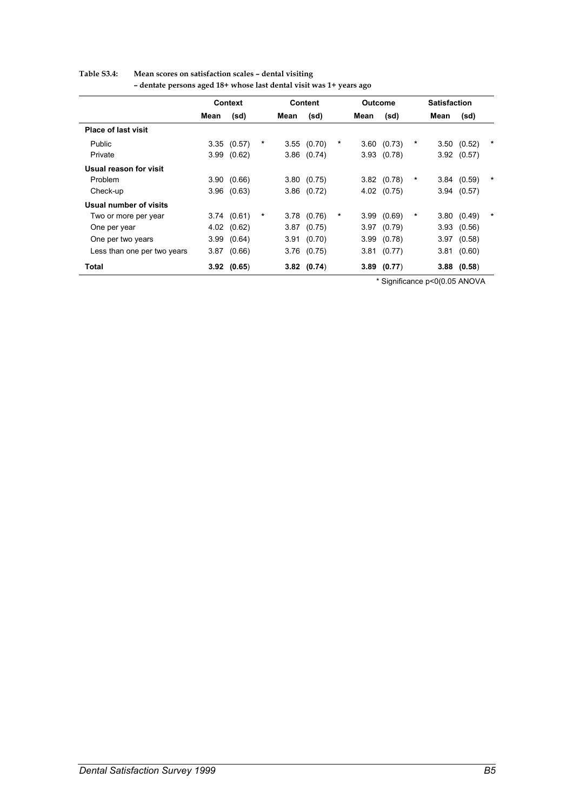|                             | Context |                 |   | Content |                 |   |      | Outcome         | <b>Satisfaction</b> |      |                 |         |
|-----------------------------|---------|-----------------|---|---------|-----------------|---|------|-----------------|---------------------|------|-----------------|---------|
|                             | Mean    | (sd)            |   | Mean    | (sd)            |   | Mean | (sd)            |                     | Mean | (sd)            |         |
| <b>Place of last visit</b>  |         |                 |   |         |                 |   |      |                 |                     |      |                 |         |
| Public                      |         | 3.35(0.57)      | * | 3.55    | (0.70)          | * | 3.60 | (0.73)          | *                   | 3.50 | (0.52)          | $\ast$  |
| Private                     | 3.99    | (0.62)          |   |         | $3.86$ $(0.74)$ |   |      | 3.93(0.78)      |                     |      | 3.92(0.57)      |         |
| Usual reason for visit      |         |                 |   |         |                 |   |      |                 |                     |      |                 |         |
| Problem                     |         | 3.90(0.66)      |   |         | 3.80(0.75)      |   |      | $3.82$ $(0.78)$ | *                   |      | 3.84(0.59)      | $\ast$  |
| Check-up                    | 3.96    | (0.63)          |   |         | $3.86$ $(0.72)$ |   |      | 4.02 (0.75)     |                     | 3.94 | (0.57)          |         |
| Usual number of visits      |         |                 |   |         |                 |   |      |                 |                     |      |                 |         |
| Two or more per year        |         | 3.74(0.61)      | * | 3.78    | (0.76)          | * | 3.99 | (0.69)          | *                   | 3.80 | (0.49)          | $^\ast$ |
| One per year                |         | 4.02 (0.62)     |   | 3.87    | (0.75)          |   |      | 3.97(0.79)      |                     |      | 3.93 (0.56)     |         |
| One per two years           |         | 3.99(0.64)      |   |         | 3.91(0.70)      |   |      | 3.99(0.78)      |                     |      | $3.97$ $(0.58)$ |         |
| Less than one per two years |         | $3.87$ $(0.66)$ |   |         | $3.76$ $(0.75)$ |   |      | 3.81 (0.77)     |                     | 3.81 | (0.60)          |         |
| Total                       |         | 3.92(0.65)      |   |         | $3.82$ (0.74)   |   |      | $3.89$ $(0.77)$ |                     |      | $3.88$ $(0.58)$ |         |

#### **Table S3.4: Mean scores on satisfaction scales – dental visiting – dentate persons aged 18+ whose last dental visit was 1+ years ago**

\* Significance p<0(0.05 ANOVA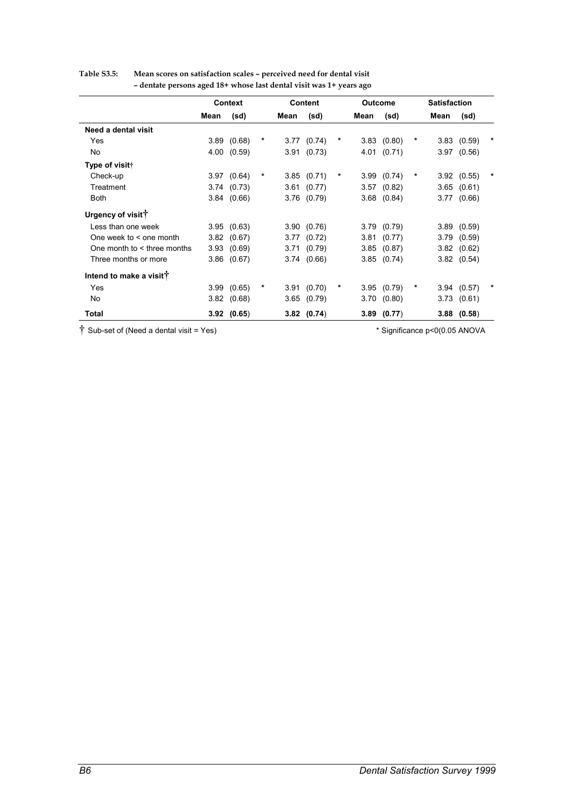|                                     |      | Context         |         |      | <b>Content</b>  |   | <b>Outcome</b> |                 |   | <b>Satisfaction</b> |                 |   |
|-------------------------------------|------|-----------------|---------|------|-----------------|---|----------------|-----------------|---|---------------------|-----------------|---|
|                                     | Mean | (sd)            |         | Mean | (sd)            |   | Mean           | (sd)            |   | Mean                | (sd)            |   |
| Need a dental visit                 |      |                 |         |      |                 |   |                |                 |   |                     |                 |   |
| Yes                                 |      | 3.89(0.68)      | $\star$ |      | $3.77$ $(0.74)$ | * |                | $3.83$ $(0.80)$ | * |                     | 3.83(0.59)      | * |
| No                                  | 4.00 | (0.59)          |         |      | 3.91(0.73)      |   |                | 4.01 (0.71)     |   |                     | $3.97$ $(0.56)$ |   |
| Type of visit†                      |      |                 |         |      |                 |   |                |                 |   |                     |                 |   |
| Check-up                            |      | 3.97(0.64)      | *       |      | 3.85(0.71)      | * |                | 3.99(0.74)      | * |                     | 3.92(0.55)      | * |
| Treatment                           |      | 3.74(0.73)      |         |      | 3.61 (0.77)     |   |                | $3.57$ $(0.82)$ |   |                     | $3.65$ $(0.61)$ |   |
| <b>Both</b>                         |      | 3.84(0.66)      |         |      | $3.76$ $(0.79)$ |   |                | $3.68$ $(0.84)$ |   |                     | 3.77(0.66)      |   |
| Urgency of visit <sup>†</sup>       |      |                 |         |      |                 |   |                |                 |   |                     |                 |   |
| Less than one week                  |      | 3.95(0.63)      |         |      | 3.90(0.76)      |   |                | 3.79(0.79)      |   |                     | $3.89$ $(0.59)$ |   |
| One week to $\leq$ one month        |      | 3.82(0.67)      |         |      | $3.77$ $(0.72)$ |   |                | 3.81 (0.77)     |   |                     | 3.79(0.59)      |   |
| One month to $\leq$ three months    | 3.93 | (0.69)          |         |      | 3.71(0.79)      |   |                | 3.85(0.87)      |   |                     | 3.82(0.62)      |   |
| Three months or more                |      | $3.86$ $(0.67)$ |         |      | 3.74(0.66)      |   |                | $3.85$ $(0.74)$ |   |                     | $3.82$ $(0.54)$ |   |
| Intend to make a visit <sup>†</sup> |      |                 |         |      |                 |   |                |                 |   |                     |                 |   |
| Yes                                 |      | 3.99(0.65)      | *       |      | 3.91(0.70)      | * |                | 3.95(0.79)      | * |                     | 3.94(0.57)      |   |
| <b>No</b>                           |      | 3.82(0.68)      |         |      | $3.65$ $(0.79)$ |   |                | 3.70(0.80)      |   |                     | 3.73(0.61)      |   |
| Total                               |      | 3.92(0.65)      |         |      | $3.82$ (0.74)   |   |                | $3.89$ (0.77)   |   |                     | $3.88$ $(0.58)$ |   |

# **Table S3.5: Mean scores on satisfaction scales – perceived need for dental visit – dentate persons aged 18+ whose last dental visit was 1+ years ago**

† Sub-set of (Need a dental visit = Yes) \* Significance p<0(0.05 ANOVA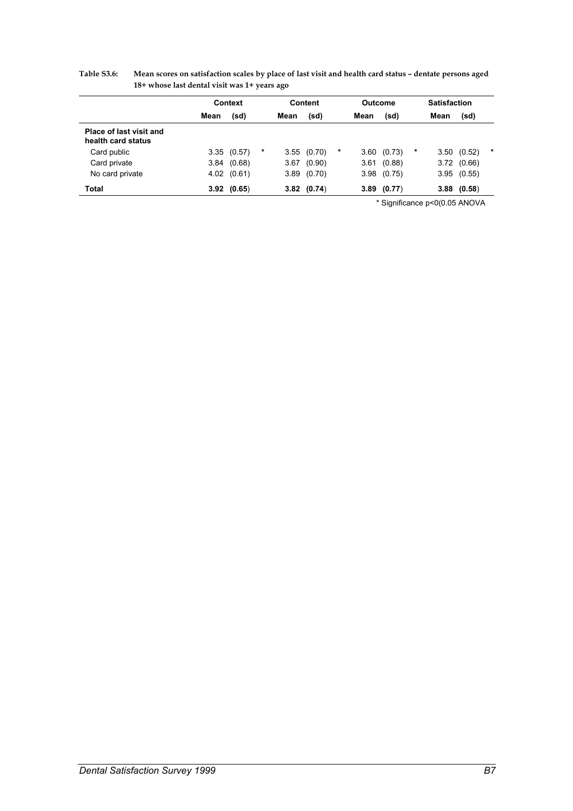|                                               | Context |                 |   | Content |                 | Outcome |      |        | <b>Satisfaction</b> |      |        |        |
|-----------------------------------------------|---------|-----------------|---|---------|-----------------|---------|------|--------|---------------------|------|--------|--------|
|                                               | Mean    | (sd)            |   | Mean    | (sd)            |         | Mean | (sd)   |                     | Mean | (sd)   |        |
| Place of last visit and<br>health card status |         |                 |   |         |                 |         |      |        |                     |      |        |        |
| Card public                                   |         | 3.35(0.57)      | * |         | 3.55(0.70)      | $\ast$  | 3.60 | (0.73) | *                   | 3.50 | (0.52) | $\ast$ |
| Card private                                  |         | 3.84(0.68)      |   | 3.67    | (0.90)          |         | 3.61 | (0.88) |                     | 3.72 | (0.66) |        |
| No card private                               |         | $4.02$ $(0.61)$ |   |         | $3.89$ $(0.70)$ |         | 3.98 | (0.75) |                     | 3.95 | (0.55) |        |
| Total                                         |         | 3.92(0.65)      |   |         | $3.82$ (0.74)   |         | 3.89 | (0.77) |                     | 3.88 | (0.58) |        |

| Table S3.6: | Mean scores on satisfaction scales by place of last visit and health card status - dentate persons aged |
|-------------|---------------------------------------------------------------------------------------------------------|
|             | 18+ whose last dental visit was 1+ years ago                                                            |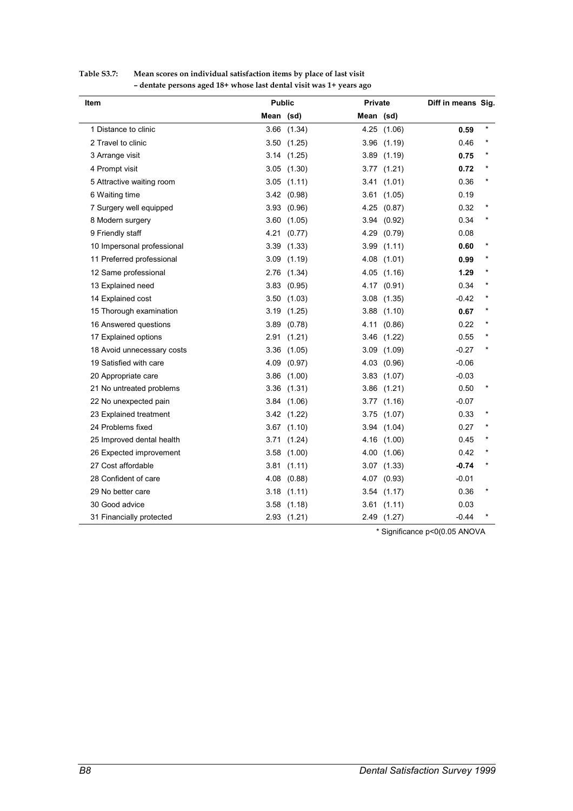| Item<br>1 Distance to clinic<br>2 Travel to clinic<br>3 Arrange visit<br>4 Prompt visit<br>5 Attractive waiting room<br>6 Waiting time<br>7 Surgery well equipped<br>8 Modern surgery<br>9 Friendly staff<br>10 Impersonal professional<br>11 Preferred professional<br>12 Same professional<br>13 Explained need<br>14 Explained cost<br>15 Thorough examination<br>16 Answered questions<br>17 Explained options<br>18 Avoid unnecessary costs | <b>Public</b> |                 | Private   |                 | Diff in means Sig. |         |
|--------------------------------------------------------------------------------------------------------------------------------------------------------------------------------------------------------------------------------------------------------------------------------------------------------------------------------------------------------------------------------------------------------------------------------------------------|---------------|-----------------|-----------|-----------------|--------------------|---------|
|                                                                                                                                                                                                                                                                                                                                                                                                                                                  | Mean (sd)     |                 | Mean (sd) |                 |                    |         |
|                                                                                                                                                                                                                                                                                                                                                                                                                                                  |               | $3.66$ $(1.34)$ |           | 4.25 (1.06)     | 0.59               | $\star$ |
|                                                                                                                                                                                                                                                                                                                                                                                                                                                  |               | 3.50(1.25)      |           | $3.96$ $(1.19)$ | 0.46               |         |
|                                                                                                                                                                                                                                                                                                                                                                                                                                                  |               | $3.14$ $(1.25)$ |           | 3.89 (1.19)     | 0.75               |         |
|                                                                                                                                                                                                                                                                                                                                                                                                                                                  |               | $3.05$ $(1.30)$ |           | 3.77(1.21)      | 0.72               |         |
|                                                                                                                                                                                                                                                                                                                                                                                                                                                  |               | $3.05$ $(1.11)$ |           | 3.41 (1.01)     | 0.36               |         |
|                                                                                                                                                                                                                                                                                                                                                                                                                                                  |               | 3.42 (0.98)     |           | 3.61(1.05)      | 0.19               |         |
|                                                                                                                                                                                                                                                                                                                                                                                                                                                  |               | 3.93(0.96)      | 4.25      | (0.87)          | 0.32               |         |
|                                                                                                                                                                                                                                                                                                                                                                                                                                                  |               | $3.60$ $(1.05)$ | 3.94      | (0.92)          | 0.34               |         |
|                                                                                                                                                                                                                                                                                                                                                                                                                                                  |               | 4.21 (0.77)     |           | 4.29 (0.79)     | 0.08               |         |
|                                                                                                                                                                                                                                                                                                                                                                                                                                                  |               | 3.39(1.33)      |           | 3.99(1.11)      | 0.60               |         |
|                                                                                                                                                                                                                                                                                                                                                                                                                                                  |               | $3.09$ $(1.19)$ |           | 4.08 (1.01)     | 0.99               |         |
|                                                                                                                                                                                                                                                                                                                                                                                                                                                  |               | 2.76 (1.34)     |           | 4.05 (1.16)     | 1.29               |         |
|                                                                                                                                                                                                                                                                                                                                                                                                                                                  |               | $3.83$ $(0.95)$ |           | 4.17 (0.91)     | 0.34               |         |
|                                                                                                                                                                                                                                                                                                                                                                                                                                                  |               | 3.50(1.03)      |           | $3.08$ $(1.35)$ | $-0.42$            |         |
|                                                                                                                                                                                                                                                                                                                                                                                                                                                  |               | 3.19(1.25)      |           | 3.88(1.10)      | 0.67               |         |
|                                                                                                                                                                                                                                                                                                                                                                                                                                                  |               | 3.89(0.78)      |           | 4.11 (0.86)     | 0.22               |         |
|                                                                                                                                                                                                                                                                                                                                                                                                                                                  | 2.91          | (1.21)          | 3.46      | (1.22)          | 0.55               |         |
|                                                                                                                                                                                                                                                                                                                                                                                                                                                  |               | $3.36$ $(1.05)$ |           | $3.09$ $(1.09)$ | $-0.27$            |         |
| 19 Satisfied with care                                                                                                                                                                                                                                                                                                                                                                                                                           |               | 4.09 (0.97)     |           | 4.03 (0.96)     | $-0.06$            |         |
| 20 Appropriate care                                                                                                                                                                                                                                                                                                                                                                                                                              |               | $3.86$ $(1.00)$ |           | 3.83(1.07)      | $-0.03$            |         |
| 21 No untreated problems                                                                                                                                                                                                                                                                                                                                                                                                                         |               | $3.36$ $(1.31)$ |           | $3.86$ $(1.21)$ | 0.50               |         |
| 22 No unexpected pain                                                                                                                                                                                                                                                                                                                                                                                                                            |               | 3.84(1.06)      |           | 3.77(1.16)      | $-0.07$            |         |
| 23 Explained treatment                                                                                                                                                                                                                                                                                                                                                                                                                           |               | 3.42(1.22)      |           | $3.75$ $(1.07)$ | 0.33               |         |
| 24 Problems fixed                                                                                                                                                                                                                                                                                                                                                                                                                                |               | $3.67$ $(1.10)$ |           | 3.94 (1.04)     | 0.27               |         |
| 25 Improved dental health                                                                                                                                                                                                                                                                                                                                                                                                                        |               | 3.71 (1.24)     |           | 4.16 (1.00)     | 0.45               |         |
| 26 Expected improvement                                                                                                                                                                                                                                                                                                                                                                                                                          |               | $3.58$ $(1.00)$ | 4.00      | (1.06)          | 0.42               |         |
| 27 Cost affordable                                                                                                                                                                                                                                                                                                                                                                                                                               | 3.81          | (1.11)          |           | $3.07$ $(1.33)$ | $-0.74$            |         |
| 28 Confident of care                                                                                                                                                                                                                                                                                                                                                                                                                             |               | 4.08 (0.88)     |           | 4.07 (0.93)     | $-0.01$            |         |
| 29 No better care                                                                                                                                                                                                                                                                                                                                                                                                                                |               | 3.18(1.11)      |           | $3.54$ $(1.17)$ | 0.36               |         |
| 30 Good advice                                                                                                                                                                                                                                                                                                                                                                                                                                   |               | $3.58$ $(1.18)$ |           | 3.61(1.11)      | 0.03               |         |
| 31 Financially protected                                                                                                                                                                                                                                                                                                                                                                                                                         |               | 2.93(1.21)      |           | 2.49 (1.27)     | $-0.44$            |         |

## **Table S3.7: Mean scores on individual satisfaction items by place of last visit – dentate persons aged 18+ whose last dental visit was 1+ years ago**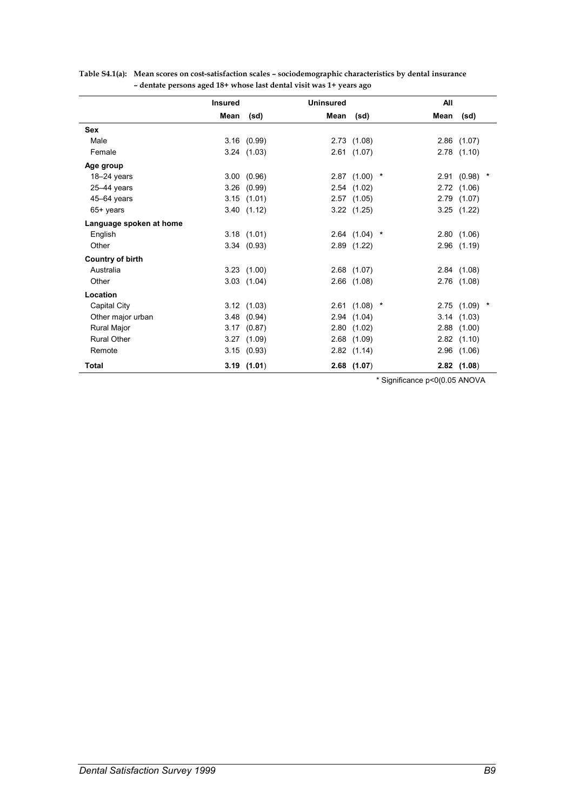|                         | <b>Insured</b> |                 | <b>Uninsured</b> |                 | All  |                 |  |
|-------------------------|----------------|-----------------|------------------|-----------------|------|-----------------|--|
|                         | Mean           | (sd)            | Mean             | (sd)            | Mean | (sd)            |  |
| <b>Sex</b>              |                |                 |                  |                 |      |                 |  |
| Male                    |                | 3.16(0.99)      |                  | 2.73(1.08)      |      | $2.86$ $(1.07)$ |  |
| Female                  |                | $3.24$ $(1.03)$ |                  | 2.61(1.07)      |      | $2.78$ $(1.10)$ |  |
| Age group               |                |                 |                  |                 |      |                 |  |
| $18 - 24$ years         |                | 3.00(0.96)      |                  | $2.87$ (1.00) * |      | $2.91(0.98)$ *  |  |
| $25 - 44$ years         |                | $3.26$ $(0.99)$ |                  | 2.54(1.02)      |      | 2.72(1.06)      |  |
| 45-64 years             |                | $3.15$ $(1.01)$ |                  | 2.57(1.05)      |      | 2.79 (1.07)     |  |
| 65+ years               |                | 3.40(1.12)      |                  | $3.22$ $(1.25)$ |      | $3.25$ $(1.22)$ |  |
| Language spoken at home |                |                 |                  |                 |      |                 |  |
| English                 |                | 3.18(1.01)      |                  | $2.64$ (1.04) * |      | 2.80(1.06)      |  |
| Other                   |                | 3.34(0.93)      |                  | $2.89$ $(1.22)$ |      | $2.96$ $(1.19)$ |  |
| <b>Country of birth</b> |                |                 |                  |                 |      |                 |  |
| Australia               |                | $3.23$ $(1.00)$ |                  | $2.68$ $(1.07)$ |      | 2.84(1.08)      |  |
| Other                   |                | $3.03$ $(1.04)$ |                  | $2.66$ $(1.08)$ |      | 2.76 (1.08)     |  |
| Location                |                |                 |                  |                 |      |                 |  |
| Capital City            |                | 3.12(1.03)      |                  | $2.61$ (1.08) * |      | 2.75 (1.09) *   |  |
| Other major urban       |                | $3.48$ $(0.94)$ |                  | 2.94(1.04)      |      | 3.14(1.03)      |  |
| Rural Major             |                | 3.17(0.87)      |                  | 2.80(1.02)      |      | 2.88(1.00)      |  |
| <b>Rural Other</b>      |                | 3.27(1.09)      |                  | $2.68$ $(1.09)$ |      | $2.82$ $(1.10)$ |  |
| Remote                  |                | 3.15(0.93)      |                  | 2.82(1.14)      |      | $2.96$ $(1.06)$ |  |
| Total                   |                | 3.19(1.01)      |                  | $2.68$ $(1.07)$ |      | $2.82$ (1.08)   |  |

| Table S4.1(a): Mean scores on cost-satisfaction scales – sociodemographic characteristics by dental insurance |
|---------------------------------------------------------------------------------------------------------------|
| - dentate persons aged 18+ whose last dental visit was 1+ years ago                                           |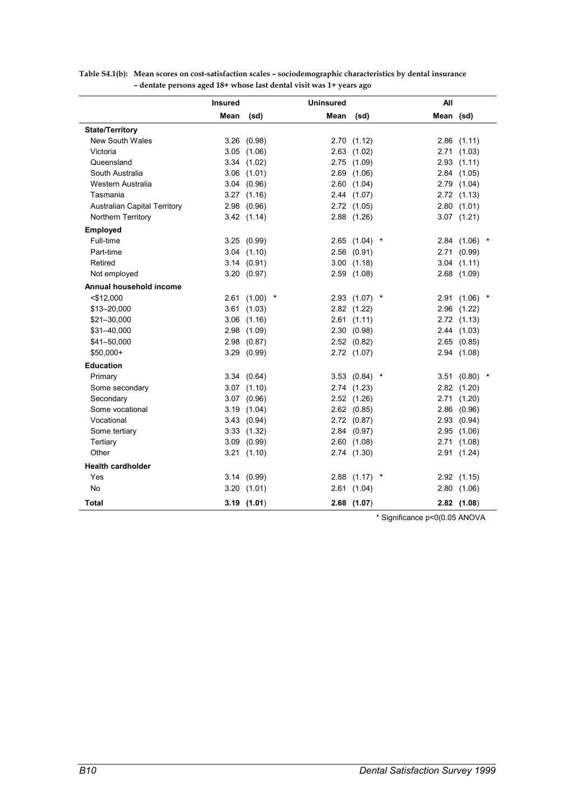|                                     | <b>Insured</b> |                 | <b>Uninsured</b> |                   | All       |                      |
|-------------------------------------|----------------|-----------------|------------------|-------------------|-----------|----------------------|
|                                     | Mean           | (sd)            | Mean             | (sd)              | Mean (sd) |                      |
| <b>State/Territory</b>              |                |                 |                  |                   |           |                      |
| <b>New South Wales</b>              | 3.26           | (0.98)          |                  | 2.70(1.12)        |           | $2.86$ $(1.11)$      |
| Victoria                            | 3.05           | (1.06)          |                  | $2.63$ $(1.02)$   | 2.71      | (1.03)               |
| Queensland                          |                | $3.34$ $(1.02)$ | 2.75             | (1.09)            | 2.93      | (1.11)               |
| South Australia                     | 3.06           | (1.01)          | 2.69             | (1.06)            | 2.84      | (1.05)               |
| Western Australia                   |                | 3.04(0.96)      |                  | 2.60(1.04)        | 2.79      | (1.04)               |
| Tasmania                            |                | 3.27(1.16)      |                  | 2.44 (1.07)       |           | 2.72(1.13)           |
| <b>Australian Capital Territory</b> |                | $2.98$ $(0.96)$ |                  | 2.72 (1.05)       |           | 2.80(1.01)           |
| <b>Northern Territory</b>           |                | 3.42(1.14)      |                  | 2.88 (1.26)       |           | $3.07$ $(1.21)$      |
| Employed                            |                |                 |                  |                   |           |                      |
| Full-time                           | 3.25           | (0.99)          |                  | 2.65(1.04)        | 2.84      | (1.06)<br>*          |
| Part-time                           |                | $3.04$ $(1.10)$ |                  | $2.56$ $(0.91)$   | 2.71      | (0.99)               |
| Retired                             |                | 3.14(0.91)      |                  | $3.00$ $(1.18)$   | 3.04      | (1.11)               |
| Not employed                        |                | 3.20(0.97)      |                  | 2.59 (1.08)       | 2.68      | (1.09)               |
| Annual household income             |                |                 |                  |                   |           |                      |
| $<$ \$12,000                        |                | 2.61(1.00)      | $\star$          | 2.93 (1.07)       | $\ast$    | 2.91(1.06)           |
| \$13-20,000                         | 3.61           | (1.03)          |                  | 2.82 (1.22)       |           | 2.96 (1.22)          |
| \$21-30,000                         | 3.06           | (1.16)          |                  | 2.61(1.11)        |           | 2.72(1.13)           |
| \$31-40,000                         | 2.98           | (1.09)          |                  | 2.30(0.98)        |           | 2.44 (1.03)          |
| \$41-50,000                         | 2.98           | (0.87)          |                  | 2.52(0.82)        | 2.65      | (0.85)               |
| \$50,000+                           | 3.29           | (0.99)          |                  | 2.72 (1.07)       |           | 2.94 (1.08)          |
| <b>Education</b>                    |                |                 |                  |                   |           |                      |
| Primary                             |                | 3.34(0.64)      |                  | $3.53$ $(0.84)$ * |           | 3.51(0.80)<br>$\ast$ |
| Some secondary                      |                | $3.07$ $(1.10)$ |                  | 2.74 (1.23)       |           | 2.82 (1.20)          |
| Secondary                           |                | $3.07$ $(0.96)$ |                  | 2.52 (1.26)       |           | 2.71 (1.20)          |
| Some vocational                     |                | 3.19(1.04)      |                  | $2.62$ $(0.85)$   | 2.86      | (0.96)               |
| Vocational                          | 3.43           | (0.94)          |                  | 2.72(0.87)        | 2.93      | (0.94)               |
| Some tertiary                       | 3.33           | (1.32)          |                  | 2.84 (0.97)       | 2.95      | (1.06)               |
| Tertiary                            | 3.09           | (0.99)          |                  | 2.60(1.08)        | 2.71      | (1.08)               |
| Other                               |                | 3.21(1.10)      |                  | 2.74 (1.30)       |           | 2.91 (1.24)          |
| <b>Health cardholder</b>            |                |                 |                  |                   |           |                      |
| Yes                                 |                | 3.14(0.99)      |                  | 2.88(1.17)        |           | 2.92 (1.15)          |
| No                                  |                | 3.20(1.01)      |                  | 2.61(1.04)        | 2.80      | (1.06)               |
| Total                               |                | $3.19$ $(1.01)$ |                  | $2.68$ (1.07)     |           | $2.82$ (1.08)        |

**Table S4.1(b): Mean scores on cost-satisfaction scales – sociodemographic characteristics by dental insurance – dentate persons aged 18+ whose last dental visit was 1+ years ago**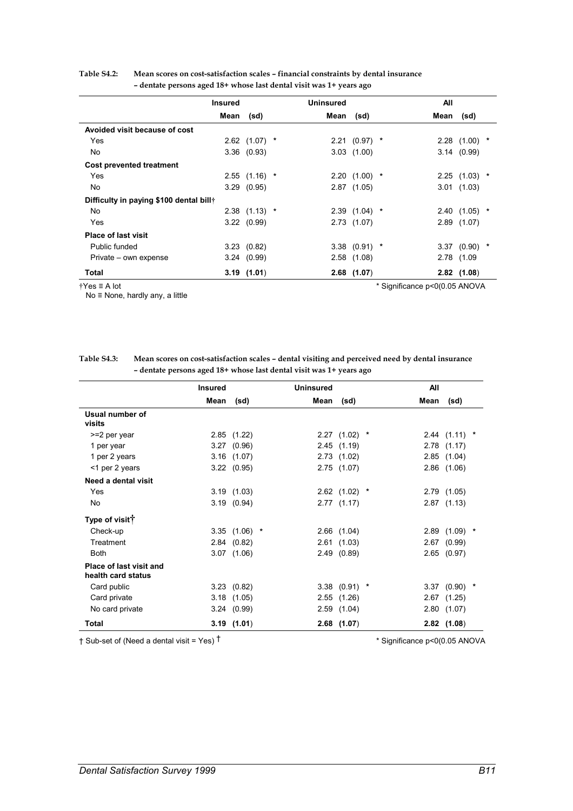|                                         | Insured |                 | <b>Uninsured</b> |                 | All                           |                 |        |
|-----------------------------------------|---------|-----------------|------------------|-----------------|-------------------------------|-----------------|--------|
|                                         | Mean    | (sd)            | Mean             | (sd)            | Mean                          | (sd)            |        |
| Avoided visit because of cost           |         |                 |                  |                 |                               |                 |        |
| Yes                                     |         | $2.62$ (1.07) * |                  | $2.21(0.97)$ *  |                               | 2.28(1.00)      | *      |
| No                                      |         | 3.36(0.93)      |                  | $3.03$ $(1.00)$ |                               | 3.14(0.99)      |        |
| <b>Cost prevented treatment</b>         |         |                 |                  |                 |                               |                 |        |
| Yes                                     |         | $2.55$ (1.16) * |                  | $2.20(1.00)$ *  |                               | $2.25$ (1.03) * |        |
| <b>No</b>                               |         | 3.29(0.95)      |                  | $2.87$ (1.05)   |                               | 3.01(1.03)      |        |
| Difficulty in paying \$100 dental bill† |         |                 |                  |                 |                               |                 |        |
| No                                      |         | $2.38$ (1.13) * |                  | $2.39(1.04)$ *  |                               | 2.40(1.05)      | *      |
| Yes                                     |         | 3.22(0.99)      |                  | $2.73$ $(1.07)$ |                               | $2.89$ $(1.07)$ |        |
| <b>Place of last visit</b>              |         |                 |                  |                 |                               |                 |        |
| Public funded                           |         | 3.23(0.82)      |                  | $3.38$ (0.91) * |                               | 3.37(0.90)      | $\ast$ |
| Private – own expense                   |         | 3.24(0.99)      |                  | 2.58(1.08)      |                               | 2.78 (1.09      |        |
| Total                                   |         | 3.19(1.01)      |                  | $2.68$ (1.07)   |                               | $2.82$ (1.08)   |        |
| $\uparrow$ Yes $\equiv$ A lot           |         |                 |                  |                 | * Significance p<0(0.05 ANOVA |                 |        |

## **Table S4.2: Mean scores on cost-satisfaction scales – financial constraints by dental insurance – dentate persons aged 18+ whose last dental visit was 1+ years ago**

No ≡ None, hardly any, a little

| Table S4.3: | Mean scores on cost-satisfaction scales – dental visiting and perceived need by dental insurance |
|-------------|--------------------------------------------------------------------------------------------------|
|             | - dentate persons aged 18+ whose last dental visit was 1+ years ago                              |

|                                                      | <b>Insured</b> |                 | <b>Uninsured</b> |                 | All  |                 |  |
|------------------------------------------------------|----------------|-----------------|------------------|-----------------|------|-----------------|--|
|                                                      | Mean           | (sd)            | Mean             | (sd)            | Mean | (sd)            |  |
| Usual number of<br>visits                            |                |                 |                  |                 |      |                 |  |
| >=2 per year                                         |                | 2.85(1.22)      |                  | $2.27$ (1.02) * |      | $2.44(1.11)$ *  |  |
| 1 per year                                           |                | $3.27$ $(0.96)$ |                  | 2.45(1.19)      |      | $2.78$ $(1.17)$ |  |
| 1 per 2 years                                        |                | $3.16$ $(1.07)$ |                  | 2.73(1.02)      |      | 2.85(1.04)      |  |
| <1 per 2 years                                       |                | 3.22(0.95)      |                  | $2.75$ $(1.07)$ |      | $2.86$ $(1.06)$ |  |
| Need a dental visit                                  |                |                 |                  |                 |      |                 |  |
| Yes                                                  |                | 3.19(1.03)      |                  | $2.62$ (1.02) * |      | 2.79(1.05)      |  |
| No                                                   |                | 3.19(0.94)      |                  | 2.77(1.17)      |      | 2.87(1.13)      |  |
| Type of visit <sup>†</sup>                           |                |                 |                  |                 |      |                 |  |
| Check-up                                             |                | $3.35$ (1.06) * |                  | $2.66$ $(1.04)$ |      | $2.89$ (1.09) * |  |
| Treatment                                            |                | 2.84(0.82)      |                  | 2.61(1.03)      |      | $2.67$ $(0.99)$ |  |
| <b>Both</b>                                          |                | $3.07$ $(1.06)$ |                  | 2.49(0.89)      |      | $2.65$ $(0.97)$ |  |
| <b>Place of last visit and</b><br>health card status |                |                 |                  |                 |      |                 |  |
| Card public                                          |                | 3.23(0.82)      |                  | $3.38$ (0.91) * |      | $3.37$ (0.90) * |  |
| Card private                                         |                | $3.18$ $(1.05)$ |                  | 2.55(1.26)      |      | $2.67$ $(1.25)$ |  |
| No card private                                      |                | 3.24(0.99)      |                  | 2.59(1.04)      |      | 2.80(1.07)      |  |
| Total                                                |                | 3.19(1.01)      |                  | $2.68$ (1.07)   |      | $2.82$ (1.08)   |  |

 $\dagger$  Sub-set of (Need a dental visit = Yes)  $\dagger$  \* Significance p<0(0.05 ANOVA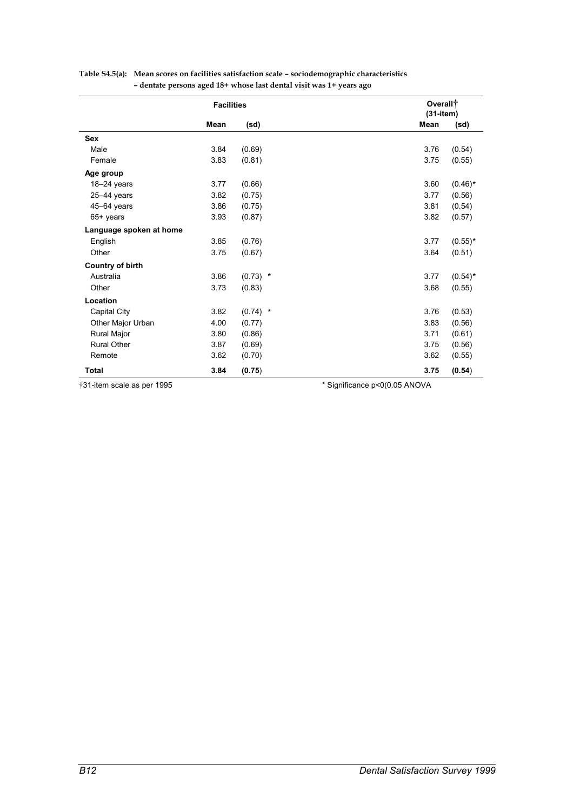|                            | <b>Facilities</b> |            | Overall <sup>+</sup><br>$(31 - item)$ |            |
|----------------------------|-------------------|------------|---------------------------------------|------------|
|                            | Mean              | (sd)       | Mean                                  | (sd)       |
| <b>Sex</b>                 |                   |            |                                       |            |
| Male                       | 3.84              | (0.69)     | 3.76                                  | (0.54)     |
| Female                     | 3.83              | (0.81)     | 3.75                                  | (0.55)     |
| Age group                  |                   |            |                                       |            |
| $18 - 24$ years            | 3.77              | (0.66)     | 3.60                                  | $(0.46)$ * |
| $25-44$ years              | 3.82              | (0.75)     | 3.77                                  | (0.56)     |
| 45-64 years                | 3.86              | (0.75)     | 3.81                                  | (0.54)     |
| 65+ years                  | 3.93              | (0.87)     | 3.82                                  | (0.57)     |
| Language spoken at home    |                   |            |                                       |            |
| English                    | 3.85              | (0.76)     | 3.77                                  | $(0.55)^*$ |
| Other                      | 3.75              | (0.67)     | 3.64                                  | (0.51)     |
| <b>Country of birth</b>    |                   |            |                                       |            |
| Australia                  | 3.86              | $(0.73)$ * | 3.77                                  | $(0.54)$ * |
| Other                      | 3.73              | (0.83)     | 3.68                                  | (0.55)     |
| Location                   |                   |            |                                       |            |
| Capital City               | 3.82              | $(0.74)$ * | 3.76                                  | (0.53)     |
| Other Major Urban          | 4.00              | (0.77)     | 3.83                                  | (0.56)     |
| Rural Major                | 3.80              | (0.86)     | 3.71                                  | (0.61)     |
| <b>Rural Other</b>         | 3.87              | (0.69)     | 3.75                                  | (0.56)     |
| Remote                     | 3.62              | (0.70)     | 3.62                                  | (0.55)     |
| <b>Total</b>               | 3.84              | (0.75)     | 3.75                                  | (0.54)     |
| †31-item scale as per 1995 |                   |            | * Significance p<0(0.05 ANOVA         |            |

# **Table S4.5(a): Mean scores on facilities satisfaction scale – sociodemographic characteristics – dentate persons aged 18+ whose last dental visit was 1+ years ago**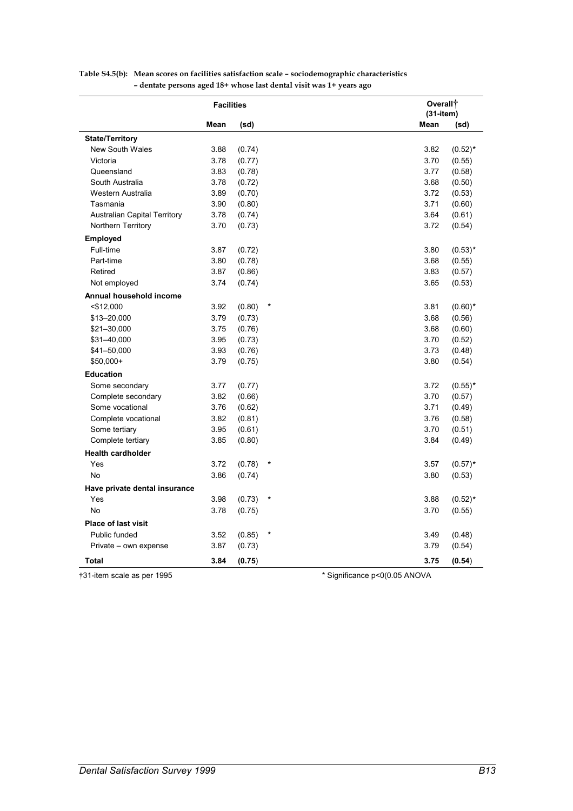|                                     | <b>Facilities</b> |        |                               | Overall <sup>+</sup><br>$(31 - item)$ |            |
|-------------------------------------|-------------------|--------|-------------------------------|---------------------------------------|------------|
|                                     | Mean              | (sd)   |                               | Mean                                  | (sd)       |
| <b>State/Territory</b>              |                   |        |                               |                                       |            |
| <b>New South Wales</b>              | 3.88              | (0.74) |                               | 3.82                                  | $(0.52)$ * |
| Victoria                            | 3.78              | (0.77) |                               | 3.70                                  | (0.55)     |
| Queensland                          | 3.83              | (0.78) |                               | 3.77                                  | (0.58)     |
| South Australia                     | 3.78              | (0.72) |                               | 3.68                                  | (0.50)     |
| Western Australia                   | 3.89              | (0.70) |                               | 3.72                                  | (0.53)     |
| Tasmania                            | 3.90              | (0.80) |                               | 3.71                                  | (0.60)     |
| <b>Australian Capital Territory</b> | 3.78              | (0.74) |                               | 3.64                                  | (0.61)     |
| Northern Territory                  | 3.70              | (0.73) |                               | 3.72                                  | (0.54)     |
| <b>Employed</b>                     |                   |        |                               |                                       |            |
| Full-time                           | 3.87              | (0.72) |                               | 3.80                                  | $(0.53)*$  |
| Part-time                           | 3.80              | (0.78) |                               | 3.68                                  | (0.55)     |
| Retired                             | 3.87              | (0.86) |                               | 3.83                                  | (0.57)     |
| Not employed                        | 3.74              | (0.74) |                               | 3.65                                  | (0.53)     |
| Annual household income             |                   |        |                               |                                       |            |
| $<$ \$12,000                        | 3.92              | (0.80) | $\ast$                        | 3.81                                  | $(0.60)*$  |
| \$13-20,000                         | 3.79              | (0.73) |                               | 3.68                                  | (0.56)     |
| \$21-30,000                         | 3.75              | (0.76) |                               | 3.68                                  | (0.60)     |
| \$31-40,000                         | 3.95              | (0.73) |                               | 3.70                                  | (0.52)     |
| \$41-50,000                         | 3.93              | (0.76) |                               | 3.73                                  | (0.48)     |
| $$50,000+$                          | 3.79              | (0.75) |                               | 3.80                                  | (0.54)     |
| <b>Education</b>                    |                   |        |                               |                                       |            |
| Some secondary                      | 3.77              | (0.77) |                               | 3.72                                  | $(0.55)^*$ |
| Complete secondary                  | 3.82              | (0.66) |                               | 3.70                                  | (0.57)     |
| Some vocational                     | 3.76              | (0.62) |                               | 3.71                                  | (0.49)     |
| Complete vocational                 | 3.82              | (0.81) |                               | 3.76                                  | (0.58)     |
| Some tertiary                       | 3.95              | (0.61) |                               | 3.70                                  | (0.51)     |
| Complete tertiary                   | 3.85              | (0.80) |                               | 3.84                                  | (0.49)     |
| <b>Health cardholder</b>            |                   |        |                               |                                       |            |
| Yes                                 | 3.72              | (0.78) | $\ast$                        | 3.57                                  | $(0.57)^*$ |
| <b>No</b>                           | 3.86              | (0.74) |                               | 3.80                                  | (0.53)     |
| Have private dental insurance       |                   |        |                               |                                       |            |
| Yes                                 | 3.98              | (0.73) | *                             | 3.88                                  | $(0.52)^*$ |
| <b>No</b>                           | 3.78              | (0.75) |                               | 3.70                                  | (0.55)     |
| <b>Place of last visit</b>          |                   |        |                               |                                       |            |
| Public funded                       | 3.52              | (0.85) |                               | 3.49                                  | (0.48)     |
| Private – own expense               | 3.87              | (0.73) |                               | 3.79                                  | (0.54)     |
| Total                               | 3.84              | (0.75) |                               | 3.75                                  | (0.54)     |
| †31-item scale as per 1995          |                   |        | * Significance p<0(0.05 ANOVA |                                       |            |

# **Table S4.5(b): Mean scores on facilities satisfaction scale – sociodemographic characteristics – dentate persons aged 18+ whose last dental visit was 1+ years ago**